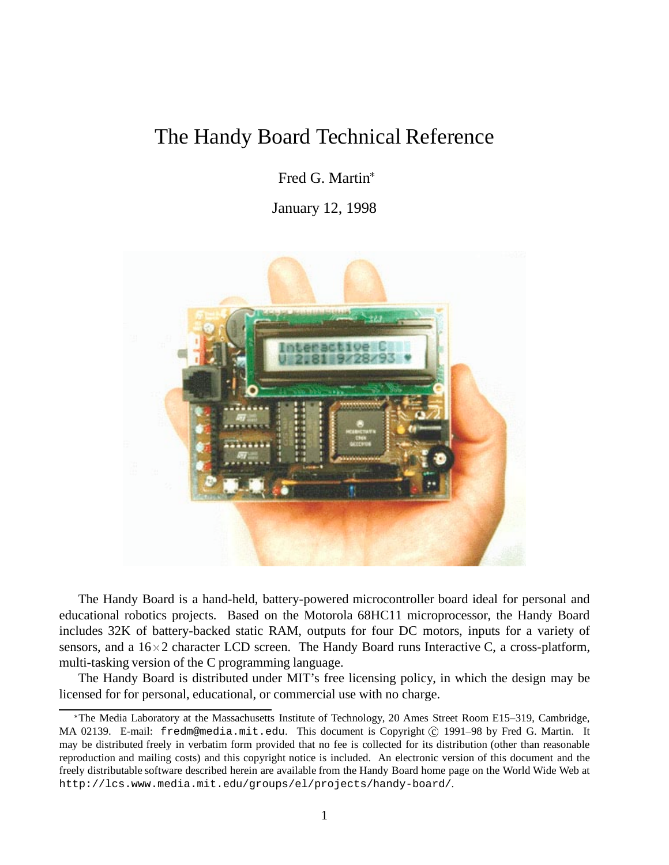# The Handy Board Technical Reference

Fred G. Martin

January 12, 1998



The Handy Board is a hand-held, battery-powered microcontroller board ideal for personal and educational robotics projects. Based on the Motorola 68HC11 microprocessor, the Handy Board includes 32K of battery-backed static RAM, outputs for four DC motors, inputs for a variety of sensors, and a  $16\times2$  character LCD screen. The Handy Board runs Interactive C, a cross-platform, multi-tasking version of the C programming language.

The Handy Board is distributed under MIT's free licensing policy, in which the design may be licensed for for personal, educational, or commercial use with no charge.

The Media Laboratory at the Massachusetts Institute of Technology, 20 Ames Street Room E15–319, Cambridge, MA 02139. E-mail: fredm@media.mit.edu. This document is Copyright c 1991–98 by Fred G. Martin. It may be distributed freely in verbatim form provided that no fee is collected for its distribution (other than reasonable reproduction and mailing costs) and this copyright notice is included. An electronic version of this document and the freely distributable software described herein are available from the Handy Board home page on the World Wide Web at http://lcs.www.media.mit.edu/groups/el/projects/handy-board/.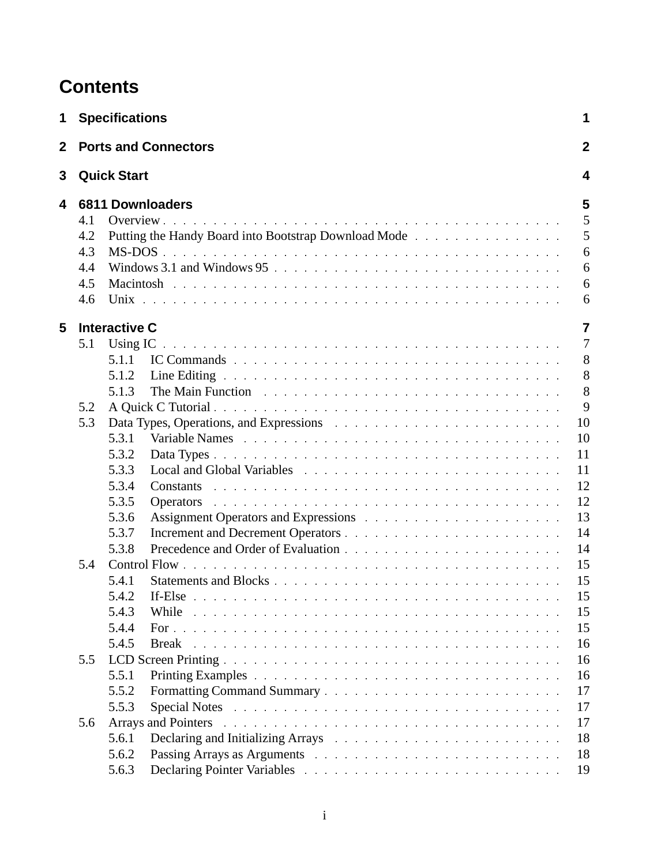# **Contents**

| 1                       | <b>Specifications</b>                     |                                                                                                                                                                                                                                                                                                                                                                                                                                                                                                                                                                                                                                                                                                                                                                                                      |                                                                                                            |  |  |
|-------------------------|-------------------------------------------|------------------------------------------------------------------------------------------------------------------------------------------------------------------------------------------------------------------------------------------------------------------------------------------------------------------------------------------------------------------------------------------------------------------------------------------------------------------------------------------------------------------------------------------------------------------------------------------------------------------------------------------------------------------------------------------------------------------------------------------------------------------------------------------------------|------------------------------------------------------------------------------------------------------------|--|--|
| $\mathbf 2$             | <b>Ports and Connectors</b>               |                                                                                                                                                                                                                                                                                                                                                                                                                                                                                                                                                                                                                                                                                                                                                                                                      |                                                                                                            |  |  |
| 3<br><b>Quick Start</b> |                                           |                                                                                                                                                                                                                                                                                                                                                                                                                                                                                                                                                                                                                                                                                                                                                                                                      |                                                                                                            |  |  |
| 4                       | 4.1<br>4.2<br>4.3<br>4.4<br>4.5<br>4.6    | <b>6811 Downloaders</b><br>Putting the Handy Board into Bootstrap Download Mode                                                                                                                                                                                                                                                                                                                                                                                                                                                                                                                                                                                                                                                                                                                      | 5<br>5<br>5<br>6<br>6<br>6<br>6                                                                            |  |  |
| 5                       | <b>Interactive C</b><br>5.1<br>5.2<br>5.3 | 5.1.1<br>5.1.2<br>The Main Function resources and contact the main contact the main contact the main contact the main contact the Main Contact the Main Contact the Main Contact the Main Contact the Main Contact the Main Contact the Main Con<br>5.1.3<br>5.3.1<br>Variable Names research research research research research research research research research research research research research research research research research research research research research research research<br>5.3.2<br>5.3.3<br>5.3.4<br>Constants experience in the constant of the constants of the constant of the constant of the constant of the constant of the constant of the constant of the constant of the constant of the constant of the constant of the c<br>5.3.5<br>5.3.6<br>5.3.7<br>5.3.8 | $\overline{7}$<br>$\overline{7}$<br>8<br>8<br>8<br>9<br>10<br>10<br>11<br>11<br>12<br>12<br>13<br>14<br>14 |  |  |
|                         | 5.4<br>5.5                                | 5.4.1<br>5.4.2<br>5.4.3<br>While received received and the contract of the contract of the contract of the contract of the contract of the contract of the contract of the contract of the contract of the contract of the contract of the contract of th<br>5.4.4<br>5.4.5<br>5.5.1<br>5.5.2                                                                                                                                                                                                                                                                                                                                                                                                                                                                                                        | 15<br>15<br>15<br>15<br>15<br>16<br>16<br>16<br>17                                                         |  |  |
|                         | 5.6                                       | 5.5.3<br>5.6.1<br>5.6.2<br>5.6.3                                                                                                                                                                                                                                                                                                                                                                                                                                                                                                                                                                                                                                                                                                                                                                     | 17<br>17<br>18<br>18<br>19                                                                                 |  |  |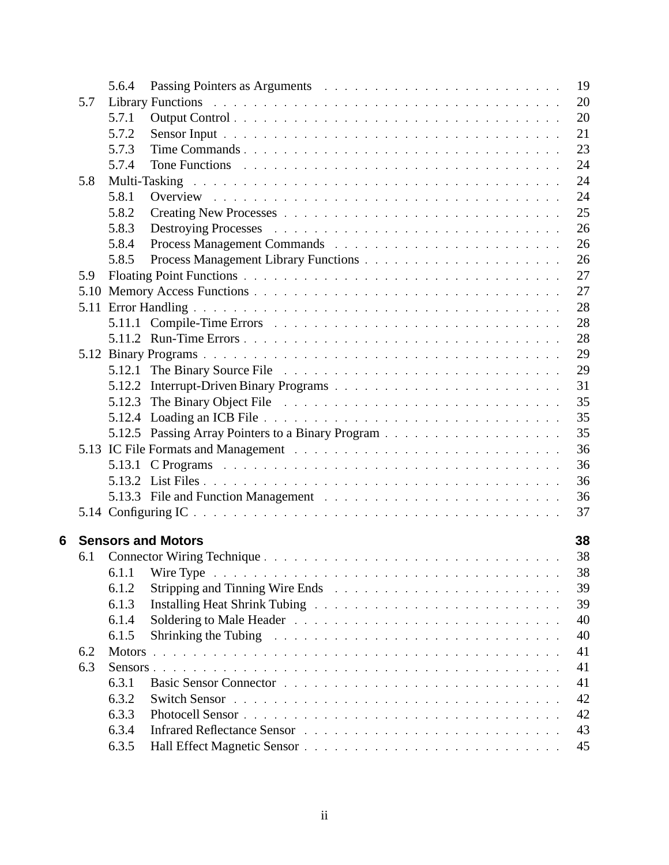|   |     | 5.6.4         |                                                                                                                                                                                                                                | 19 |
|---|-----|---------------|--------------------------------------------------------------------------------------------------------------------------------------------------------------------------------------------------------------------------------|----|
|   | 5.7 |               |                                                                                                                                                                                                                                | 20 |
|   |     | 5.7.1         |                                                                                                                                                                                                                                | 20 |
|   |     | 5.7.2         |                                                                                                                                                                                                                                | 21 |
|   |     | 5.7.3         |                                                                                                                                                                                                                                | 23 |
|   |     | 5.7.4         | Tone Functions residence in the contract of the contract of the contract of the contract of the contract of the contract of the contract of the contract of the contract of the contract of the contract of the contract of th | 24 |
|   | 5.8 |               |                                                                                                                                                                                                                                | 24 |
|   |     | 5.8.1         |                                                                                                                                                                                                                                | 24 |
|   |     | 5.8.2         |                                                                                                                                                                                                                                | 25 |
|   |     | 5.8.3         |                                                                                                                                                                                                                                | 26 |
|   |     | 5.8.4         |                                                                                                                                                                                                                                | 26 |
|   |     | 5.8.5         |                                                                                                                                                                                                                                | 26 |
|   | 5.9 |               |                                                                                                                                                                                                                                | 27 |
|   |     |               |                                                                                                                                                                                                                                | 27 |
|   |     |               |                                                                                                                                                                                                                                | 28 |
|   |     |               |                                                                                                                                                                                                                                | 28 |
|   |     |               |                                                                                                                                                                                                                                | 28 |
|   |     |               |                                                                                                                                                                                                                                | 29 |
|   |     |               |                                                                                                                                                                                                                                | 29 |
|   |     | 5.12.2        |                                                                                                                                                                                                                                | 31 |
|   |     | 5.12.3        |                                                                                                                                                                                                                                | 35 |
|   |     |               |                                                                                                                                                                                                                                | 35 |
|   |     |               |                                                                                                                                                                                                                                | 35 |
|   |     |               |                                                                                                                                                                                                                                | 36 |
|   |     |               |                                                                                                                                                                                                                                | 36 |
|   |     |               |                                                                                                                                                                                                                                | 36 |
|   |     |               |                                                                                                                                                                                                                                | 36 |
|   |     |               |                                                                                                                                                                                                                                | 37 |
|   |     |               |                                                                                                                                                                                                                                |    |
| 6 |     |               | <b>Sensors and Motors</b>                                                                                                                                                                                                      | 38 |
|   | 6.1 |               |                                                                                                                                                                                                                                | 38 |
|   |     | 6.1.1         |                                                                                                                                                                                                                                | 38 |
|   |     | 6.1.2         |                                                                                                                                                                                                                                | 39 |
|   |     | 6.1.3         |                                                                                                                                                                                                                                | 39 |
|   |     | 6.1.4         |                                                                                                                                                                                                                                | 40 |
|   |     | 6.1.5         | Shrinking the Tubing $\ldots \ldots \ldots \ldots \ldots \ldots \ldots \ldots \ldots \ldots$                                                                                                                                   | 40 |
|   | 6.2 | <b>Motors</b> |                                                                                                                                                                                                                                | 41 |
|   | 6.3 |               |                                                                                                                                                                                                                                | 41 |
|   |     | 6.3.1         |                                                                                                                                                                                                                                | 41 |
|   |     | 6.3.2         |                                                                                                                                                                                                                                | 42 |
|   |     | 6.3.3         |                                                                                                                                                                                                                                | 42 |
|   |     | 6.3.4         |                                                                                                                                                                                                                                | 43 |
|   |     | 6.3.5         |                                                                                                                                                                                                                                | 45 |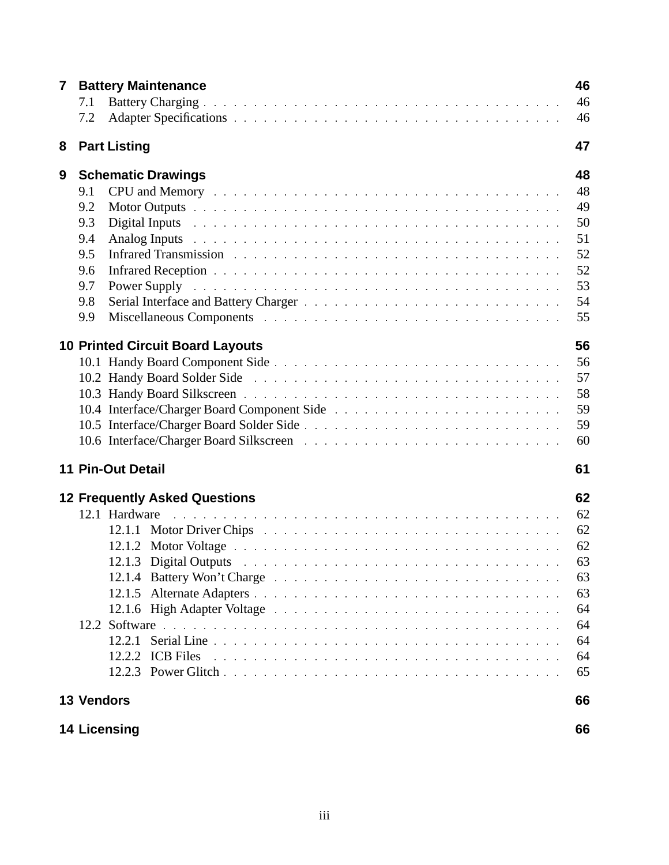| $\mathbf 7$ | <b>Battery Maintenance</b>                                                                                                                                                                                                            | 46 |
|-------------|---------------------------------------------------------------------------------------------------------------------------------------------------------------------------------------------------------------------------------------|----|
|             | 7.1                                                                                                                                                                                                                                   | 46 |
|             | 7.2                                                                                                                                                                                                                                   | 46 |
| 8           | <b>Part Listing</b>                                                                                                                                                                                                                   | 47 |
| 9           | <b>Schematic Drawings</b>                                                                                                                                                                                                             | 48 |
|             | 9.1                                                                                                                                                                                                                                   | 48 |
|             | 9.2                                                                                                                                                                                                                                   | 49 |
|             | 9.3<br>Digital Inputs and contain the contract of the contract of the contract of the contract of the contract of the contract of the contract of the contract of the contract of the contract of the contract of the contract of the | 50 |
|             | 9.4                                                                                                                                                                                                                                   | 51 |
|             | 9.5                                                                                                                                                                                                                                   | 52 |
|             | 9.6                                                                                                                                                                                                                                   | 52 |
|             | 9.7<br>Power Supply and a substitution of the substantial contract of the Supply of the substantial contract of the Supply of Table                                                                                                   | 53 |
|             | 9.8                                                                                                                                                                                                                                   | 54 |
|             | 9.9                                                                                                                                                                                                                                   | 55 |
|             | <b>10 Printed Circuit Board Layouts</b>                                                                                                                                                                                               | 56 |
|             |                                                                                                                                                                                                                                       | 56 |
|             |                                                                                                                                                                                                                                       | 57 |
|             |                                                                                                                                                                                                                                       | 58 |
|             |                                                                                                                                                                                                                                       | 59 |
|             |                                                                                                                                                                                                                                       | 59 |
|             |                                                                                                                                                                                                                                       | 60 |
|             |                                                                                                                                                                                                                                       |    |
|             | <b>11 Pin-Out Detail</b>                                                                                                                                                                                                              | 61 |
|             | <b>12 Frequently Asked Questions</b>                                                                                                                                                                                                  | 62 |
|             | 12.1 Hardware                                                                                                                                                                                                                         | 62 |
|             |                                                                                                                                                                                                                                       | 62 |
|             |                                                                                                                                                                                                                                       | 62 |
|             | 12.1.3 Digital Outputs and a series of the series of the series of the series of the series of the series of the series of the series of the series of the series of the series of the series of the series of the series of t        | 63 |
|             |                                                                                                                                                                                                                                       | 63 |
|             |                                                                                                                                                                                                                                       | 63 |
|             |                                                                                                                                                                                                                                       | 64 |
|             |                                                                                                                                                                                                                                       | 64 |
|             |                                                                                                                                                                                                                                       | 64 |
|             | 12.2.2 ICB Files                                                                                                                                                                                                                      | 64 |
|             |                                                                                                                                                                                                                                       | 65 |
|             | <b>13 Vendors</b>                                                                                                                                                                                                                     | 66 |
|             |                                                                                                                                                                                                                                       |    |
|             | <b>14 Licensing</b>                                                                                                                                                                                                                   | 66 |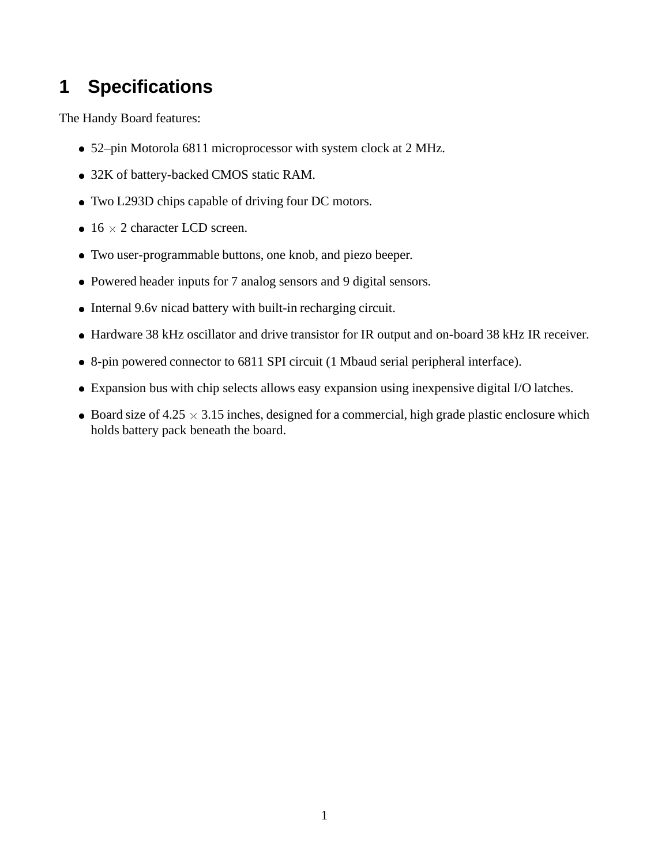# **1 Specifications**

The Handy Board features:

- 52–pin Motorola 6811 microprocessor with system clock at 2 MHz.
- 32K of battery-backed CMOS static RAM.
- Two L293D chips capable of driving four DC motors.
- $16 \times 2$  character LCD screen.
- Two user-programmable buttons, one knob, and piezo beeper.
- Powered header inputs for 7 analog sensors and 9 digital sensors.
- Internal 9.6v nicad battery with built-in recharging circuit.
- Hardware 38 kHz oscillator and drive transistor for IR output and on-board 38 kHz IR receiver.
- 8-pin powered connector to 6811 SPI circuit (1 Mbaud serial peripheral interface).
- Expansion bus with chip selects allows easy expansion using inexpensive digital I/O latches.
- Board size of 4.25  $\times$  3.15 inches, designed for a commercial, high grade plastic enclosure which holds battery pack beneath the board.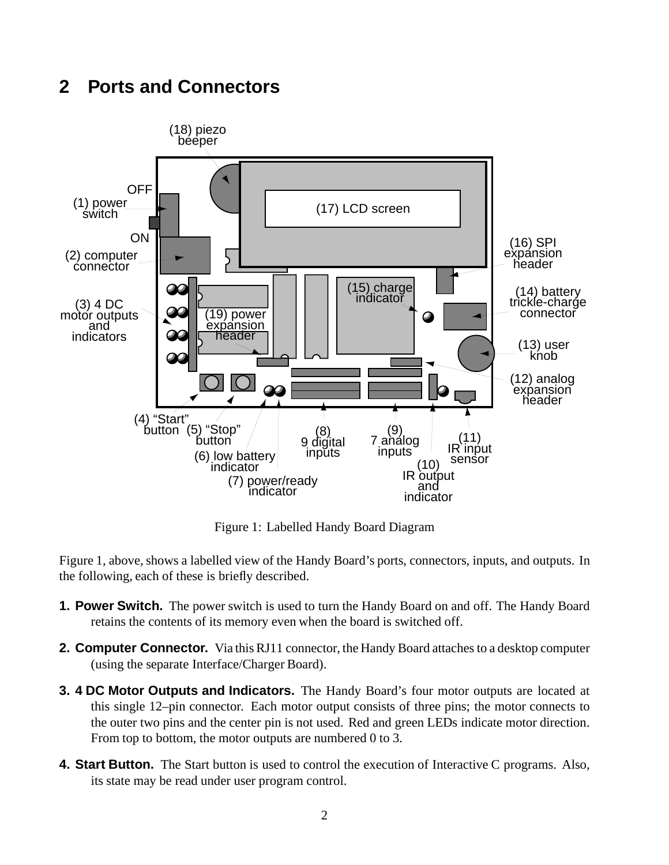# **2 Ports and Connectors**



Figure 1: Labelled Handy Board Diagram

Figure 1, above, shows a labelled view of the Handy Board's ports, connectors, inputs, and outputs. In the following, each of these is briefly described.

- **1. Power Switch.** The power switch is used to turn the Handy Board on and off. The Handy Board retains the contents of its memory even when the board is switched off.
- **2. Computer Connector.** Via this RJ11 connector, the Handy Board attaches to a desktop computer (using the separate Interface/Charger Board).
- **3. 4 DC Motor Outputs and Indicators.** The Handy Board's four motor outputs are located at this single 12–pin connector. Each motor output consists of three pins; the motor connects to the outer two pins and the center pin is not used. Red and green LEDs indicate motor direction. From top to bottom, the motor outputs are numbered 0 to 3.
- **4. Start Button.** The Start button is used to control the execution of Interactive C programs. Also, its state may be read under user program control.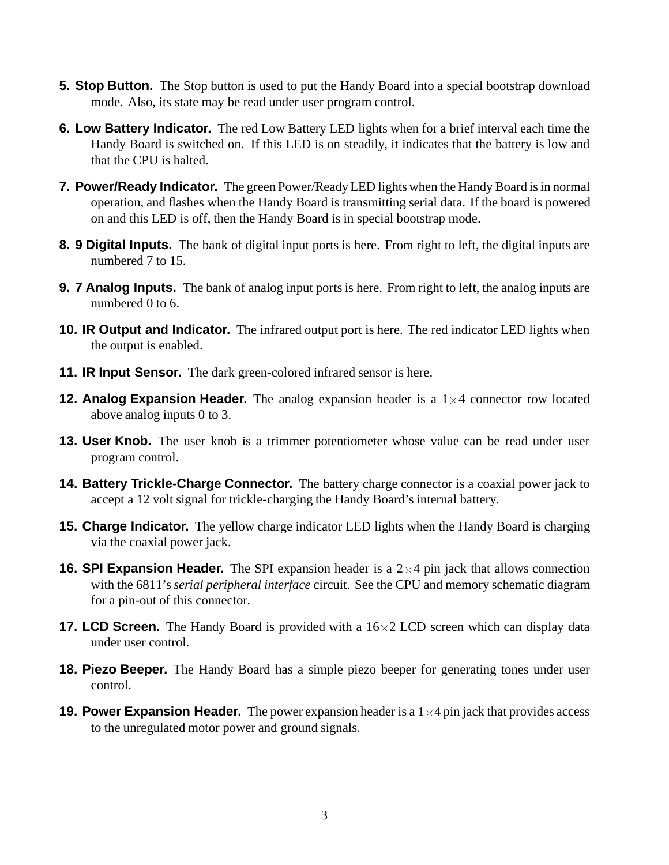- **5. Stop Button.** The Stop button is used to put the Handy Board into a special bootstrap download mode. Also, its state may be read under user program control.
- **6. Low Battery Indicator.** The red Low Battery LED lights when for a brief interval each time the Handy Board is switched on. If this LED is on steadily, it indicates that the battery is low and that the CPU is halted.
- **7. Power/Ready Indicator.** The green Power/Ready LED lights when the Handy Board is in normal operation, and flashes when the Handy Board is transmitting serial data. If the board is powered on and this LED is off, then the Handy Board is in special bootstrap mode.
- **8. 9 Digital Inputs.** The bank of digital input ports is here. From right to left, the digital inputs are numbered 7 to 15.
- **9. 7 Analog Inputs.** The bank of analog input ports is here. From right to left, the analog inputs are numbered 0 to 6.
- **10. IR Output and Indicator.** The infrared output port is here. The red indicator LED lights when the output is enabled.
- **11. IR Input Sensor.** The dark green-colored infrared sensor is here.
- **12. Analog Expansion Header.** The analog expansion header is a  $1\times4$  connector row located above analog inputs 0 to 3.
- **13. User Knob.** The user knob is a trimmer potentiometer whose value can be read under user program control.
- **14. Battery Trickle-Charge Connector.** The battery charge connector is a coaxial power jack to accept a 12 volt signal for trickle-charging the Handy Board's internal battery.
- **15. Charge Indicator.** The yellow charge indicator LED lights when the Handy Board is charging via the coaxial power jack.
- **16. SPI Expansion Header.** The SPI expansion header is a  $2 \times 4$  pin jack that allows connection with the 6811's*serial peripheral interface* circuit. See the CPU and memory schematic diagram for a pin-out of this connector.
- **17. LCD Screen.** The Handy Board is provided with a  $16\times2$  LCD screen which can display data under user control.
- **18. Piezo Beeper.** The Handy Board has a simple piezo beeper for generating tones under user control.
- **19. Power Expansion Header.** The power expansion header is a  $1 \times 4$  pin jack that provides access to the unregulated motor power and ground signals.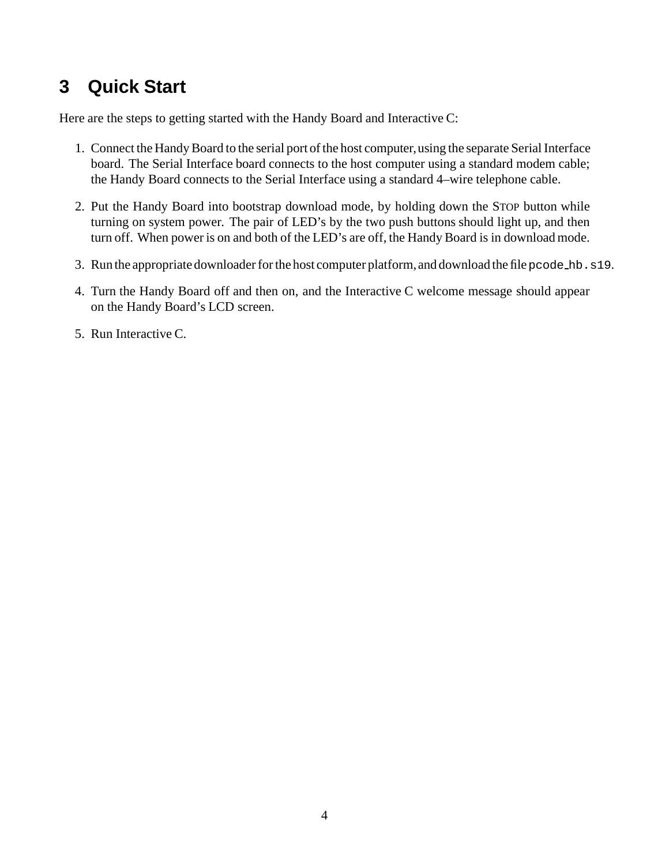# **3 Quick Start**

Here are the steps to getting started with the Handy Board and Interactive C:

- 1. Connect the Handy Board to the serial port of the host computer,using the separate Serial Interface board. The Serial Interface board connects to the host computer using a standard modem cable; the Handy Board connects to the Serial Interface using a standard 4–wire telephone cable.
- 2. Put the Handy Board into bootstrap download mode, by holding down the STOP button while turning on system power. The pair of LED's by the two push buttons should light up, and then turn off. When power is on and both of the LED's are off, the Handy Board is in download mode.
- 3. Run the appropriate downloader for the host computer platform, and download the file pcode hb. s19.
- 4. Turn the Handy Board off and then on, and the Interactive C welcome message should appear on the Handy Board's LCD screen.
- 5. Run Interactive C.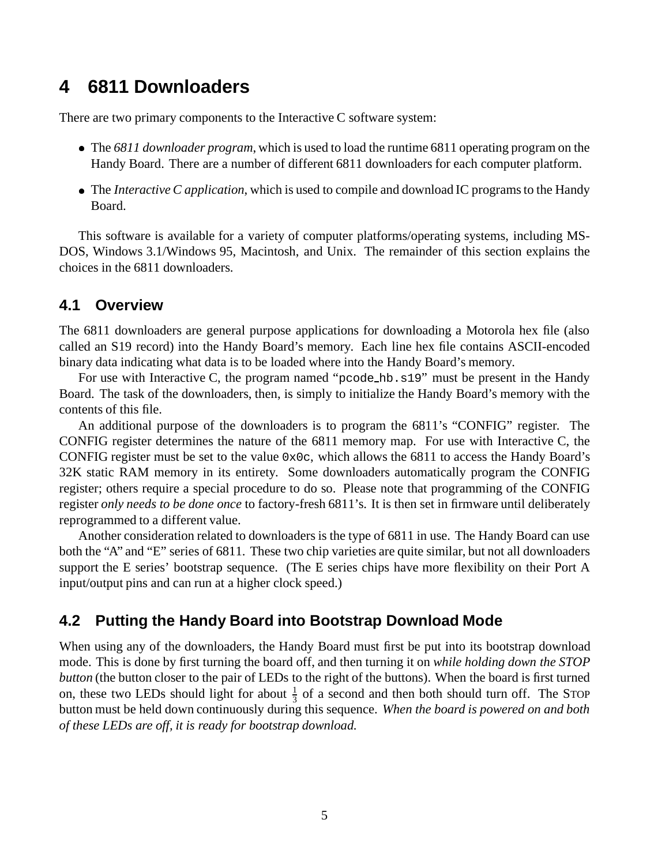# **4 6811 Downloaders**

There are two primary components to the Interactive C software system:

- The*6811 downloader program*, which is used to load the runtime 6811 operating program on the Handy Board. There are a number of different 6811 downloaders for each computer platform.
- The*Interactive C application*, which is used to compile and download IC programs to the Handy Board.

This software is available for a variety of computer platforms/operating systems, including MS-DOS, Windows 3.1/Windows 95, Macintosh, and Unix. The remainder of this section explains the choices in the 6811 downloaders.

### **4.1 Overview**

The 6811 downloaders are general purpose applications for downloading a Motorola hex file (also called an S19 record) into the Handy Board's memory. Each line hex file contains ASCII-encoded binary data indicating what data is to be loaded where into the Handy Board's memory.

For use with Interactive C, the program named "pcode\_hb.s19" must be present in the Handy Board. The task of the downloaders, then, is simply to initialize the Handy Board's memory with the contents of this file.

An additional purpose of the downloaders is to program the 6811's "CONFIG" register. The CONFIG register determines the nature of the 6811 memory map. For use with Interactive C, the CONFIG register must be set to the value  $0 \times 0$  c, which allows the 6811 to access the Handy Board's 32K static RAM memory in its entirety. Some downloaders automatically program the CONFIG register; others require a special procedure to do so. Please note that programming of the CONFIG register *only needs to be done once* to factory-fresh 6811's. It is then set in firmware until deliberately reprogrammed to a different value.

Another consideration related to downloaders is the type of 6811 in use. The Handy Board can use both the "A" and "E" series of 6811. These two chip varieties are quite similar, but not all downloaders support the E series' bootstrap sequence. (The E series chips have more flexibility on their Port A input/output pins and can run at a higher clock speed.)

### **4.2 Putting the Handy Board into Bootstrap Download Mode**

When using any of the downloaders, the Handy Board must first be put into its bootstrap download mode. This is done by first turning the board off, and then turning it on *while holding down the STOP button* (the button closer to the pair of LEDs to the right of the buttons). When the board is first turned on, these two LEDs should light for about  $\frac{1}{3}$  of a second and then both should turn off. The STOP button must be held down continuously during this sequence. *When the board is powered on and both of these LEDs are off, it is ready for bootstrap download.*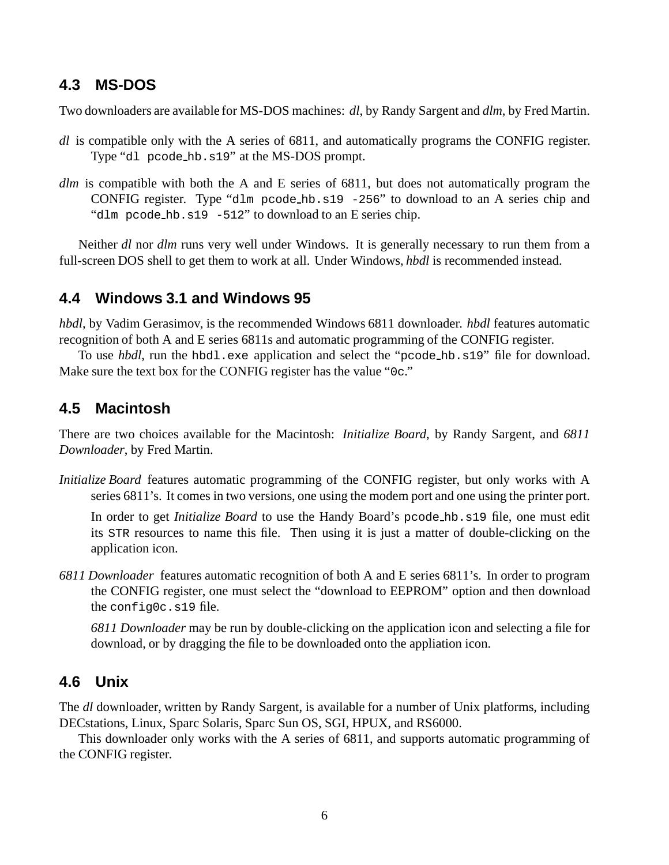## **4.3 MS-DOS**

Two downloaders are available for MS-DOS machines: *dl*, by Randy Sargent and *dlm*, by Fred Martin.

- *dl* is compatible only with the A series of 6811, and automatically programs the CONFIG register. Type "dl pcode hb.s19" at the MS-DOS prompt.
- *dlm* is compatible with both the A and E series of 6811, but does not automatically program the CONFIG register. Type "dlm pcode hb.s19 -256" to download to an A series chip and "dlm pcode hb.s19 -512" to download to an E series chip.

Neither *dl* nor *dlm* runs very well under Windows. It is generally necessary to run them from a full-screen DOS shell to get them to work at all. Under Windows, *hbdl* is recommended instead.

## **4.4 Windows 3.1 and Windows 95**

*hbdl*, by Vadim Gerasimov, is the recommended Windows 6811 downloader. *hbdl* features automatic recognition of both A and E series 6811s and automatic programming of the CONFIG register.

To use *hbdl*, run the hbdl.exe application and select the "pcode<sub>hb.s19</sub>" file for download. Make sure the text box for the CONFIG register has the value "0c."

## **4.5 Macintosh**

There are two choices available for the Macintosh: *Initialize Board*, by Randy Sargent, and *6811 Downloader*, by Fred Martin.

*Initialize Board* features automatic programming of the CONFIG register, but only works with A series 6811's. It comes in two versions, one using the modem port and one using the printer port.

In order to get *Initialize Board* to use the Handy Board's pcode hb.s19 file, one must edit its STR resources to name this file. Then using it is just a matter of double-clicking on the application icon.

*6811 Downloader* features automatic recognition of both A and E series 6811's. In order to program the CONFIG register, one must select the "download to EEPROM" option and then download the config0c.s19 file.

*6811 Downloader* may be run by double-clicking on the application icon and selecting a file for download, or by dragging the file to be downloaded onto the appliation icon.

## **4.6 Unix**

The *dl* downloader, written by Randy Sargent, is available for a number of Unix platforms, including DECstations, Linux, Sparc Solaris, Sparc Sun OS, SGI, HPUX, and RS6000.

This downloader only works with the A series of 6811, and supports automatic programming of the CONFIG register.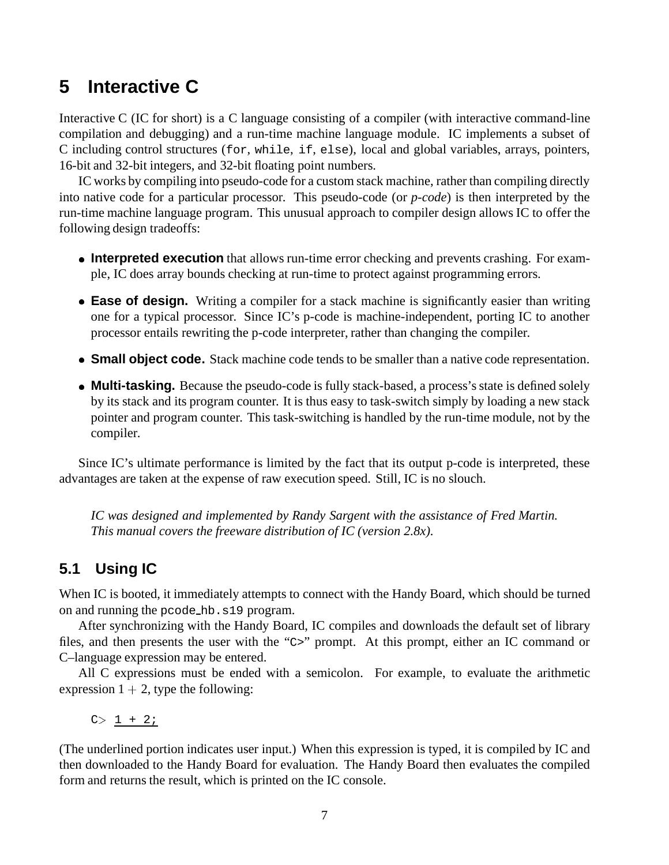# **5 Interactive C**

Interactive C (IC for short) is a C language consisting of a compiler (with interactive command-line compilation and debugging) and a run-time machine language module. IC implements a subset of C including control structures (for, while, if, else), local and global variables, arrays, pointers, 16-bit and 32-bit integers, and 32-bit floating point numbers.

IC works by compiling into pseudo-code for a custom stack machine, rather than compiling directly into native code for a particular processor. This pseudo-code (or *p-code*) is then interpreted by the run-time machine language program. This unusual approach to compiler design allows IC to offer the following design tradeoffs:

- **Interpreted execution** that allows run-time error checking and prevents crashing. For example, IC does array bounds checking at run-time to protect against programming errors.
- **Ease of design.** Writing a compiler for a stack machine is significantly easier than writing one for a typical processor. Since IC's p-code is machine-independent, porting IC to another processor entails rewriting the p-code interpreter, rather than changing the compiler.
- **Small object code.** Stack machine code tends to be smaller than a native code representation.
- **Multi-tasking.** Because the pseudo-code is fully stack-based, a process's state is defined solely by its stack and its program counter. It is thus easy to task-switch simply by loading a new stack pointer and program counter. This task-switching is handled by the run-time module, not by the compiler.

Since IC's ultimate performance is limited by the fact that its output p-code is interpreted, these advantages are taken at the expense of raw execution speed. Still, IC is no slouch.

*IC was designed and implemented by Randy Sargent with the assistance of Fred Martin. This manual covers the freeware distribution of IC (version 2.8x).*

# **5.1 Using IC**

When IC is booted, it immediately attempts to connect with the Handy Board, which should be turned on and running the pcode hb.s19 program.

After synchronizing with the Handy Board, IC compiles and downloads the default set of library files, and then presents the user with the "C>" prompt. At this prompt, either an IC command or C–language expression may be entered.

All C expressions must be ended with a semicolon. For example, to evaluate the arithmetic expression  $1 + 2$ , type the following:

 $C> 1 + 2i$ 

(The underlined portion indicates user input.) When this expression is typed, it is compiled by IC and then downloaded to the Handy Board for evaluation. The Handy Board then evaluates the compiled form and returns the result, which is printed on the IC console.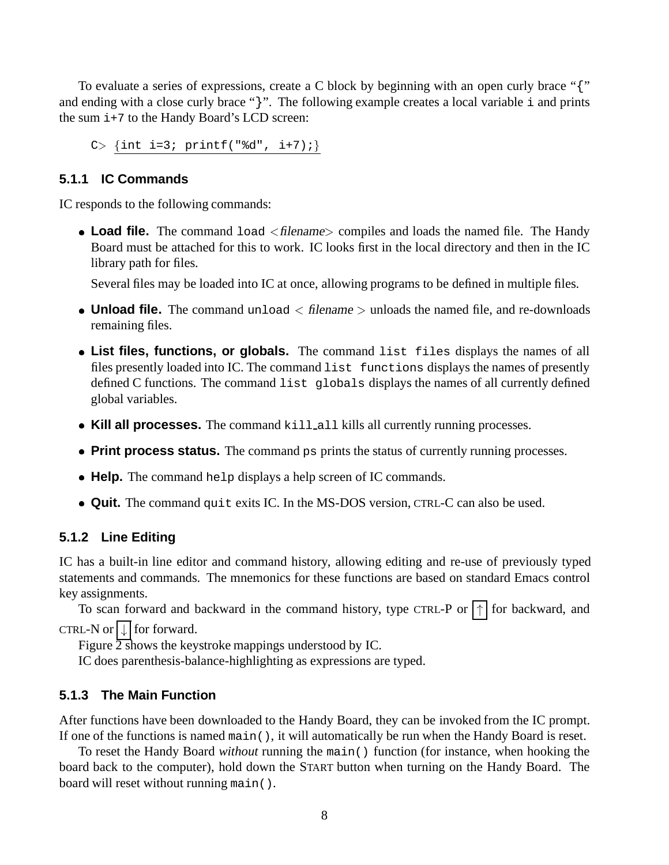To evaluate a series of expressions, create a C block by beginning with an open curly brace "{" and ending with a close curly brace "}". The following example creates a local variable i and prints the sum i+7 to the Handy Board's LCD screen:

```
C> \{int i=3; print(f("d", i+7));\}
```
### **5.1.1 IC Commands**

IC responds to the following commands:

• Load file. The command load <filename> compiles and loads the named file. The Handy Board must be attached for this to work. IC looks first in the local directory and then in the IC library path for files.

Several files may be loaded into IC at once, allowing programs to be defined in multiple files.

- **Unload file.** The command unload <sup>&</sup>lt; filename <sup>&</sup>gt; unloads the named file, and re-downloads remaining files.
- **List files, functions, or globals.** The command list files displays the names of all files presently loaded into IC. The command list functions displays the names of presently defined C functions. The command list globals displays the names of all currently defined global variables.
- Kill all processes. The command kill all kills all currently running processes.
- **Print process status.** The command ps prints the status of currently running processes.
- **Help.** The command help displays a help screen of IC commands.
- **Quit.** The command quit exits IC. In the MS-DOS version, CTRL-C can also be used.

### **5.1.2 Line Editing**

IC has a built-in line editor and command history, allowing editing and re-use of previously typed statements and commands. The mnemonics for these functions are based on standard Emacs control key assignments.

To scan forward and backward in the command history, type CTRL-P or  $|\uparrow|$  for backward, and CTRL-N or  $\downarrow$  for forward.

Figure  $\overline{2}$  shows the keystroke mappings understood by IC.

IC does parenthesis-balance-highlighting as expressions are typed.

### **5.1.3 The Main Function**

After functions have been downloaded to the Handy Board, they can be invoked from the IC prompt. If one of the functions is named main(), it will automatically be run when the Handy Board is reset.

To reset the Handy Board *without* running the main() function (for instance, when hooking the board back to the computer), hold down the START button when turning on the Handy Board. The board will reset without running main().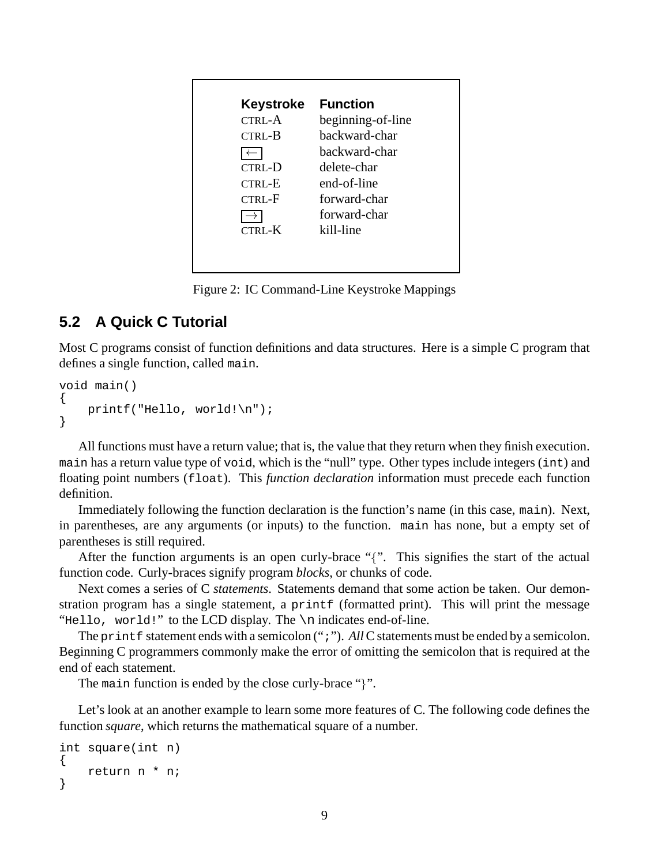| <b>Keystroke</b> | <b>Function</b>   |
|------------------|-------------------|
| $CTRI - A$       | beginning-of-line |
| CTRL-B           | hackward-char     |
|                  | backward-char     |
| <b>CTRL-D</b>    | delete-char       |
| CTRL-E           | end-of-line       |
| CTRL-F           | forward-char      |
|                  | forward-char      |
| $CTRL-K$         | kill-line         |

Figure 2: IC Command-Line Keystroke Mappings

## **5.2 A Quick C Tutorial**

Most C programs consist of function definitions and data structures. Here is a simple C program that defines a single function, called main.

```
void main()
{
    printf("Hello, world!\n");
}
```
All functions must have a return value; that is, the value that they return when they finish execution. main has a return value type of void, which is the "null" type. Other types include integers (int) and floating point numbers (float). This *function declaration* information must precede each function definition.

Immediately following the function declaration is the function's name (in this case, main). Next, in parentheses, are any arguments (or inputs) to the function. main has none, but a empty set of parentheses is still required.

After the function arguments is an open curly-brace "f". This signifies the start of the actual function code. Curly-braces signify program *blocks*, or chunks of code.

Next comes a series of C *statements*. Statements demand that some action be taken. Our demonstration program has a single statement, a printf (formatted print). This will print the message "Hello, world!" to the LCD display. The \n indicates end-of-line.

The printf statement ends with a semicolon (";"). *All* C statements must be ended by a semicolon. Beginning C programmers commonly make the error of omitting the semicolon that is required at the end of each statement.

The main function is ended by the close curly-brace "?".

Let's look at an another example to learn some more features of C. The following code defines the function *square*, which returns the mathematical square of a number.

```
int square(int n)
\{return n * n;
}
```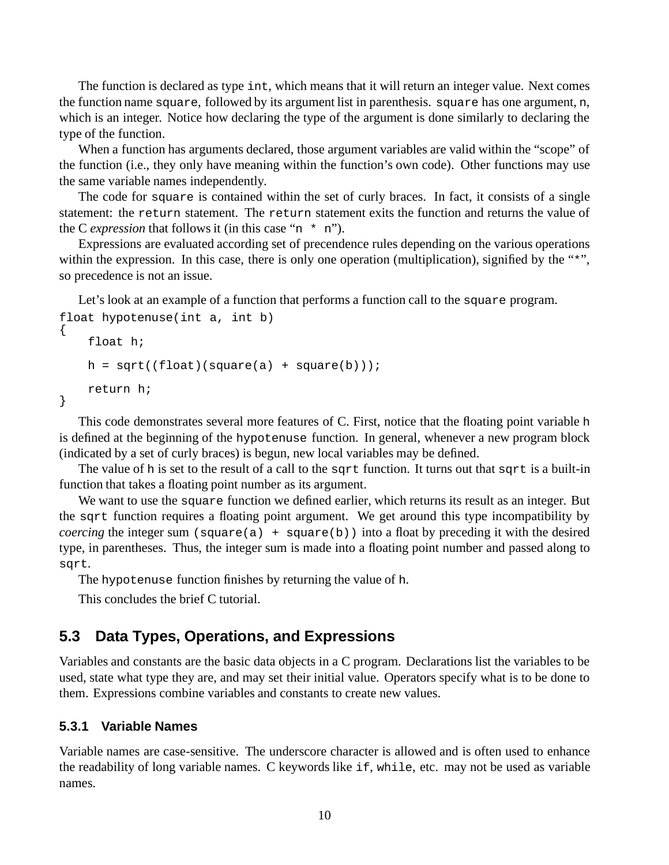The function is declared as type int, which means that it will return an integer value. Next comes the function name square, followed by its argument list in parenthesis. square has one argument, n, which is an integer. Notice how declaring the type of the argument is done similarly to declaring the type of the function.

When a function has arguments declared, those argument variables are valid within the "scope" of the function (i.e., they only have meaning within the function's own code). Other functions may use the same variable names independently.

The code for square is contained within the set of curly braces. In fact, it consists of a single statement: the return statement. The return statement exits the function and returns the value of the C *expression* that follows it (in this case "n  $*$ n").

Expressions are evaluated according set of precendence rules depending on the various operations within the expression. In this case, there is only one operation (multiplication), signified by the "\*", so precedence is not an issue.

Let's look at an example of a function that performs a function call to the square program.

float hypotenuse(int a, int b) {

```
float h;
   h = sqrt((float)(square(a) + square(b))))return h;
}
```
This code demonstrates several more features of C. First, notice that the floating point variable h is defined at the beginning of the hypotenuse function. In general, whenever a new program block (indicated by a set of curly braces) is begun, new local variables may be defined.

The value of h is set to the result of a call to the sqrt function. It turns out that sqrt is a built-in function that takes a floating point number as its argument.

We want to use the square function we defined earlier, which returns its result as an integer. But the sqrt function requires a floating point argument. We get around this type incompatibility by *coercing* the integer sum ( $square(a) + square(b)$ ) into a float by preceding it with the desired type, in parentheses. Thus, the integer sum is made into a floating point number and passed along to sqrt.

The hypotenuse function finishes by returning the value of h.

This concludes the brief C tutorial.

## **5.3 Data Types, Operations, and Expressions**

Variables and constants are the basic data objects in a C program. Declarations list the variables to be used, state what type they are, and may set their initial value. Operators specify what is to be done to them. Expressions combine variables and constants to create new values.

### **5.3.1 Variable Names**

Variable names are case-sensitive. The underscore character is allowed and is often used to enhance the readability of long variable names. C keywords like if, while, etc. may not be used as variable names.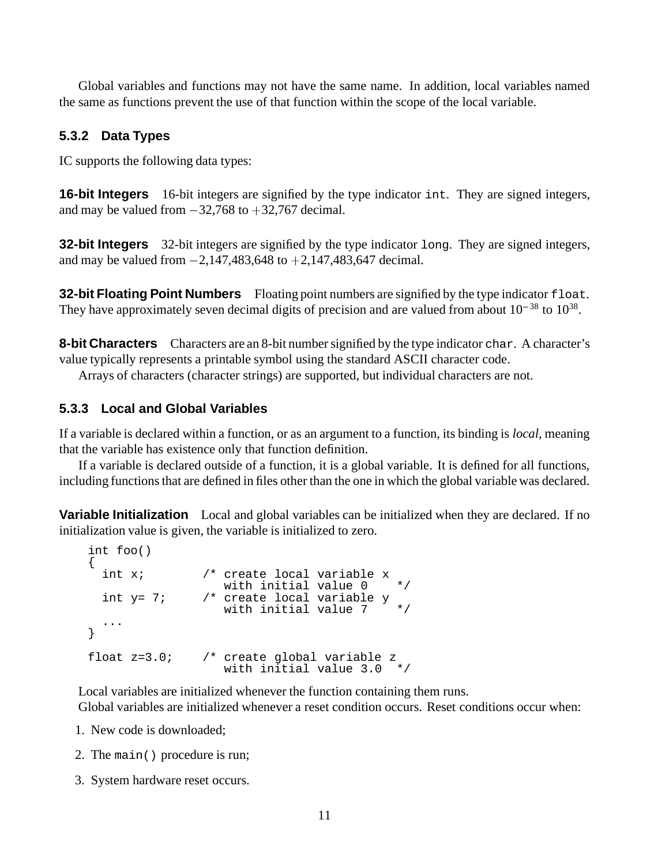Global variables and functions may not have the same name. In addition, local variables named the same as functions prevent the use of that function within the scope of the local variable.

### **5.3.2 Data Types**

IC supports the following data types:

**16-bit Integers** 16-bit integers are signified by the type indicator int. They are signed integers, and may be valued from  $-32,768$  to  $+32,767$  decimal.

**32-bit Integers** 32-bit integers are signified by the type indicator long. They are signed integers, and may be valued from  $-2,147,483,648$  to  $+2,147,483,647$  decimal.

**32-bit Floating Point Numbers** Floating point numbers are signified by the type indicator float. They have approximately seven decimal digits of precision and are valued from about  $10^{-38}$  to  $10^{38}$ .

**8-bit Characters** Characters are an 8-bit number signified by the type indicator char. A character's value typically represents a printable symbol using the standard ASCII character code.

Arrays of characters (character strings) are supported, but individual characters are not.

### **5.3.3 Local and Global Variables**

If a variable is declared within a function, or as an argument to a function, its binding is *local*, meaning that the variable has existence only that function definition.

If a variable is declared outside of a function, it is a global variable. It is defined for all functions, including functions that are defined in files other than the one in which the global variable was declared.

**Variable Initialization** Local and global variables can be initialized when they are declared. If no initialization value is given, the variable is initialized to zero.

```
int foo()
{
  int x; /* create local variable x
                   with initial value 0
  int y = 7; y^* create local variable y
\dots with initial value 7 \times / ...
float z=3.0; /* create global variable z<br>with initial value 3.0 \cdot*/
                    with initial value 3.0
```
Local variables are initialized whenever the function containing them runs. Global variables are initialized whenever a reset condition occurs. Reset conditions occur when:

1. New code is downloaded;

- 2. The main() procedure is run;
- 3. System hardware reset occurs.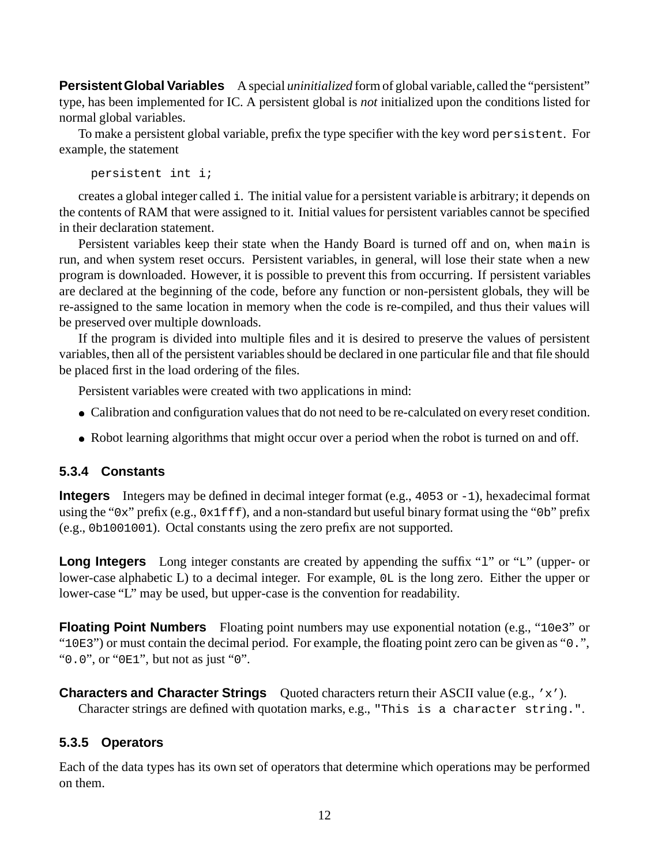**Persistent Global Variables** A special *uninitialized* form of global variable, called the "persistent" type, has been implemented for IC. A persistent global is *not* initialized upon the conditions listed for normal global variables.

To make a persistent global variable, prefix the type specifier with the key word persistent. For example, the statement

persistent int i;

creates a global integer called i. The initial value for a persistent variable is arbitrary; it depends on the contents of RAM that were assigned to it. Initial values for persistent variables cannot be specified in their declaration statement.

Persistent variables keep their state when the Handy Board is turned off and on, when main is run, and when system reset occurs. Persistent variables, in general, will lose their state when a new program is downloaded. However, it is possible to prevent this from occurring. If persistent variables are declared at the beginning of the code, before any function or non-persistent globals, they will be re-assigned to the same location in memory when the code is re-compiled, and thus their values will be preserved over multiple downloads.

If the program is divided into multiple files and it is desired to preserve the values of persistent variables, then all of the persistent variables should be declared in one particular file and that file should be placed first in the load ordering of the files.

Persistent variables were created with two applications in mind:

- Calibration and configuration values that do not need to be re-calculated on every reset condition.
- Robot learning algorithms that might occur over a period when the robot is turned on and off.

## **5.3.4 Constants**

**Integers** Integers may be defined in decimal integer format (e.g., 4053 or -1), hexadecimal format using the "0x" prefix (e.g., 0x1fff), and a non-standard but useful binary format using the "0b" prefix (e.g., 0b1001001). Octal constants using the zero prefix are not supported.

Long Integers Long integer constants are created by appending the suffix "1" or "L" (upper- or lower-case alphabetic L) to a decimal integer. For example, 0L is the long zero. Either the upper or lower-case "L" may be used, but upper-case is the convention for readability.

**Floating Point Numbers** Floating point numbers may use exponential notation (e.g., "10e3" or "10E3") or must contain the decimal period. For example, the floating point zero can be given as "0.", "0.0", or "0E1", but not as just "0".

**Characters and Character Strings** Ouoted characters return their ASCII value (e.g., 'x'). Character strings are defined with quotation marks, e.g., "This is a character string.".

## **5.3.5 Operators**

Each of the data types has its own set of operators that determine which operations may be performed on them.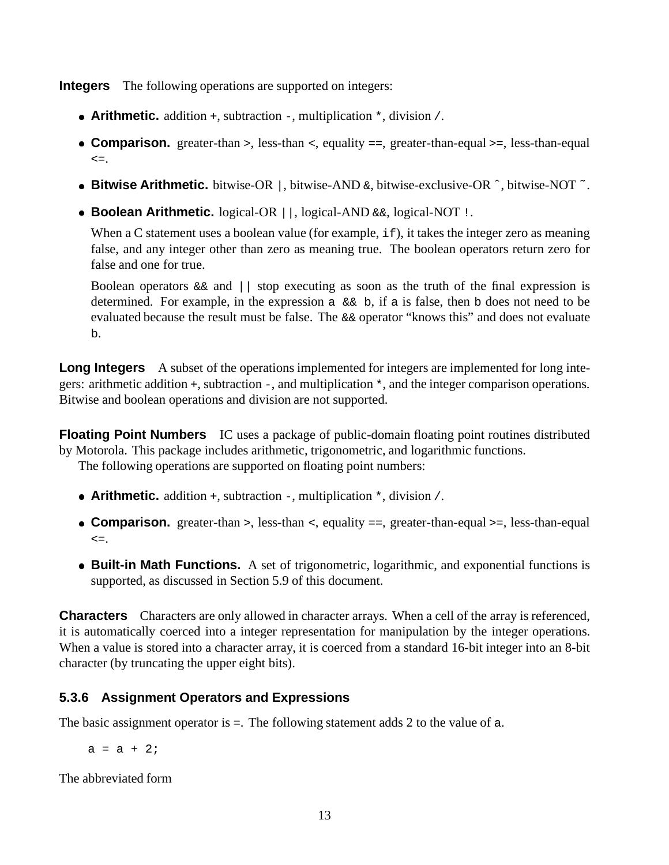**Integers** The following operations are supported on integers:

- **Arithmetic.** addition +, subtraction -, multiplication \*, division /.
- **Comparison.** greater-than >, less-than <, equality ==, greater-than-equal >=, less-than-equal  $\leq$   $=$   $\leq$
- **Bitwise Arithmetic.** bitwise-OR |, bitwise-AND &, bitwise-exclusive-OR ˆ, bitwise-NOT ˜.
- **Boolean Arithmetic.** logical-OR | |, logical-AND & &, logical-NOT !.

When a C statement uses a boolean value (for example, if), it takes the integer zero as meaning false, and any integer other than zero as meaning true. The boolean operators return zero for false and one for true.

Boolean operators  $\&\&\&$  and  $\vert\vert$  stop executing as soon as the truth of the final expression is determined. For example, in the expression  $a \&b$ , if a is false, then b does not need to be evaluated because the result must be false. The && operator "knows this" and does not evaluate b.

**Long Integers** A subset of the operations implemented for integers are implemented for long integers: arithmetic addition +, subtraction -, and multiplication \*, and the integer comparison operations. Bitwise and boolean operations and division are not supported.

**Floating Point Numbers** IC uses a package of public-domain floating point routines distributed by Motorola. This package includes arithmetic, trigonometric, and logarithmic functions.

The following operations are supported on floating point numbers:

- **Arithmetic.** addition +, subtraction -, multiplication \*, division /.
- **Comparison.** greater-than >, less-than <, equality ==, greater-than-equal >=, less-than-equal  $\leq$   $=$ .
- **Built-in Math Functions.** A set of trigonometric, logarithmic, and exponential functions is supported, as discussed in Section 5.9 of this document.

**Characters** Characters are only allowed in character arrays. When a cell of the array is referenced, it is automatically coerced into a integer representation for manipulation by the integer operations. When a value is stored into a character array, it is coerced from a standard 16-bit integer into an 8-bit character (by truncating the upper eight bits).

## **5.3.6 Assignment Operators and Expressions**

The basic assignment operator is  $=$ . The following statement adds 2 to the value of  $\alpha$ .

 $a = a + 2i$ 

The abbreviated form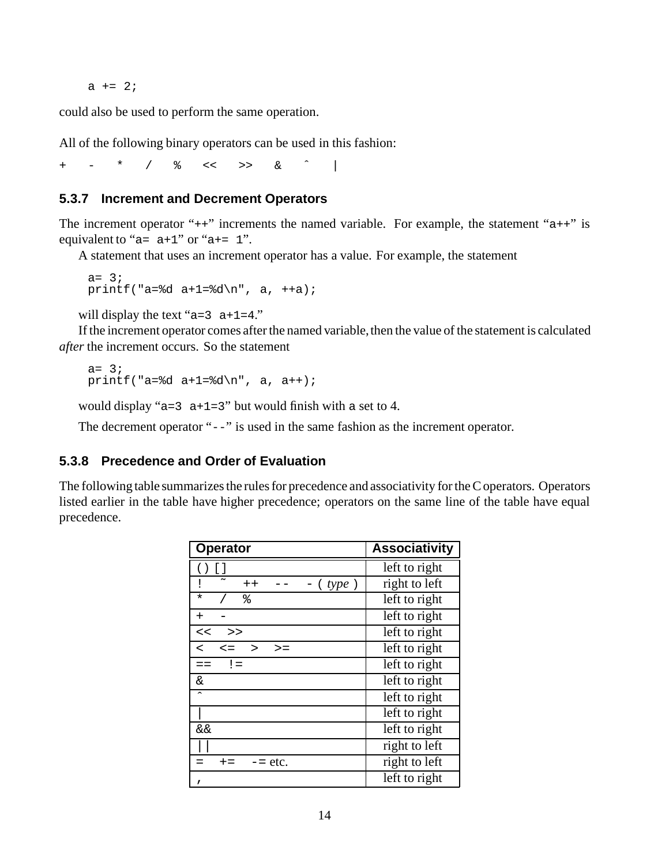$a += 2i$ 

could also be used to perform the same operation.

All of the following binary operators can be used in this fashion:

+ - \* / % << >> & ˆ |

#### **5.3.7 Increment and Decrement Operators**

The increment operator " $++$ " increments the named variable. For example, the statement " $a++$ " is equivalent to " $a = a+1$ " or " $a += 1$ ".

A statement that uses an increment operator has a value. For example, the statement

```
a = 3;printf("a=%d a+1=%d\n", a, ++a);
```
will display the text " $a=3$  a+1=4."

If the increment operator comes after the named variable, then the value of the statement is calculated *after* the increment occurs. So the statement

```
a = 3;printf("a=%d a+1=%d\n", a, a++);
```
would display " $a=3$  a+1=3" but would finish with a set to 4.

The decrement operator "--" is used in the same fashion as the increment operator.

#### **5.3.8 Precedence and Order of Evaluation**

The following table summarizes the rules for precedence and associativity for the C operators. Operators listed earlier in the table have higher precedence; operators on the same line of the table have equal precedence.

| <b>Operator</b>                           | <b>Associativity</b> |  |  |
|-------------------------------------------|----------------------|--|--|
|                                           | left to right        |  |  |
| type)<br>$^{\mathrm{+}}$<br>- (           | right to left        |  |  |
| ిం<br>$^\star$                            | left to right        |  |  |
| $\,^+$                                    | left to right        |  |  |
| <<<br>>                                   | left to right        |  |  |
| $\leq$ $=$<br>$\geq$<br>$\,<\,$<br>$\geq$ | left to right        |  |  |
| $!=$                                      | left to right        |  |  |
| &                                         | left to right        |  |  |
| ́                                         | left to right        |  |  |
|                                           | left to right        |  |  |
| &&                                        | left to right        |  |  |
|                                           | right to left        |  |  |
| $=$ etc.<br>$+=$                          | right to left        |  |  |
| ,                                         | left to right        |  |  |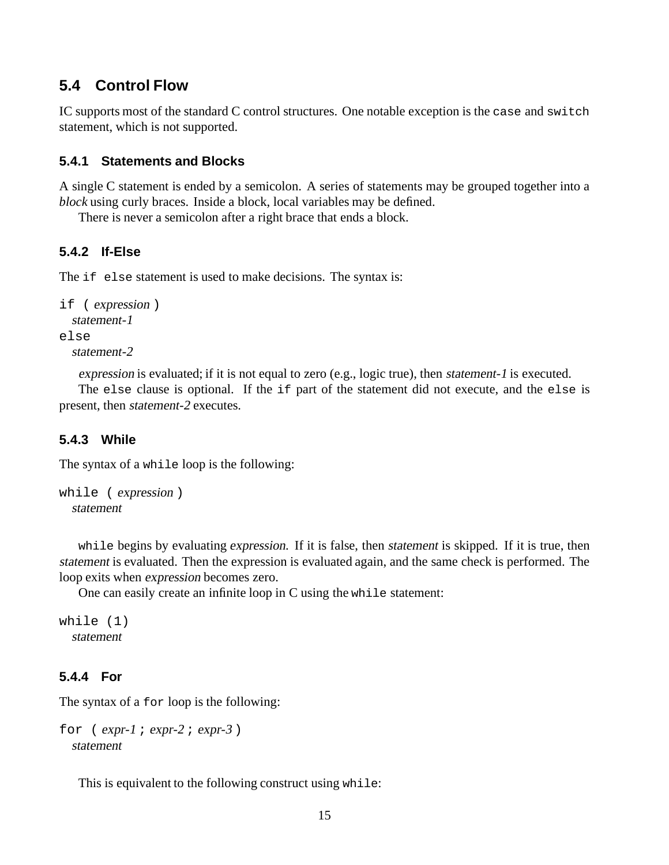# **5.4 Control Flow**

IC supports most of the standard C control structures. One notable exception is the case and switch statement, which is not supported.

### **5.4.1 Statements and Blocks**

A single C statement is ended by a semicolon. A series of statements may be grouped together into a *block* using curly braces. Inside a block, local variables may be defined.

There is never a semicolon after a right brace that ends a block.

### **5.4.2 If-Else**

The if else statement is used to make decisions. The syntax is:

```
if ( expression )
  statement-1
else
  statement-2
```
expression is evaluated; if it is not equal to zero (e.g., logic true), then statement-1 is executed.

The else clause is optional. If the if part of the statement did not execute, and the else is present, then statement-2 executes.

### **5.4.3 While**

The syntax of a while loop is the following:

```
while ( expression )
  statement
```
while begins by evaluating expression. If it is false, then statement is skipped. If it is true, then statement is evaluated. Then the expression is evaluated again, and the same check is performed. The loop exits when expression becomes zero.

One can easily create an infinite loop in C using the while statement:

```
while (1)
  statement
```
### **5.4.4 For**

The syntax of a for loop is the following:

```
for (xpr-1 : expr-2 : expr-3)statement
```
This is equivalent to the following construct using while: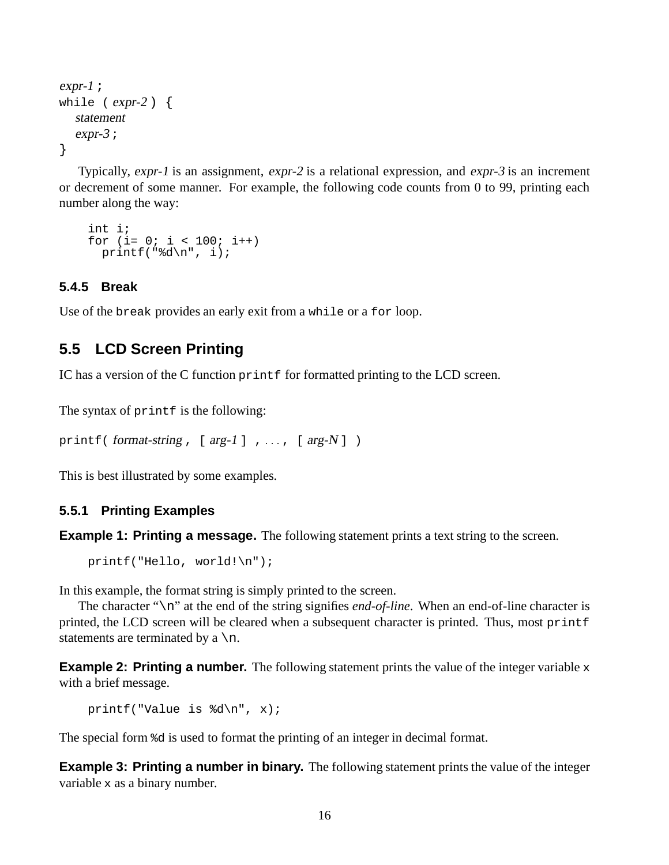```
expr-1 ;
while (expr-2) {
  statement
  expr-3 ;
}
```
Typically, expr-<sup>1</sup> is an assignment, expr-<sup>2</sup> is a relational expression, and expr-<sup>3</sup> is an increment or decrement of some manner. For example, the following code counts from 0 to 99, printing each number along the way:

```
int i;
for (i= 0; i < 100; i++)printf("d\n\{n", i);
```
### **5.4.5 Break**

Use of the break provides an early exit from a while or a for loop.

## **5.5 LCD Screen Printing**

IC has a version of the C function printf for formatted printing to the LCD screen.

The syntax of printf is the following:

```
printf( format-string, [arg-1], ..., [arg-N])
```
This is best illustrated by some examples.

### **5.5.1 Printing Examples**

**Example 1: Printing a message.** The following statement prints a text string to the screen.

```
printf("Hello, world!\n");
```
In this example, the format string is simply printed to the screen.

The character "\n" at the end of the string signifies *end-of-line*. When an end-of-line character is printed, the LCD screen will be cleared when a subsequent character is printed. Thus, most printf statements are terminated by a  $\n\times$ n.

**Example 2: Printing a number.** The following statement prints the value of the integer variable x with a brief message.

```
printf("Value is d\n^n, x);
```
The special form %d is used to format the printing of an integer in decimal format.

**Example 3: Printing a number in binary.** The following statement prints the value of the integer variable x as a binary number.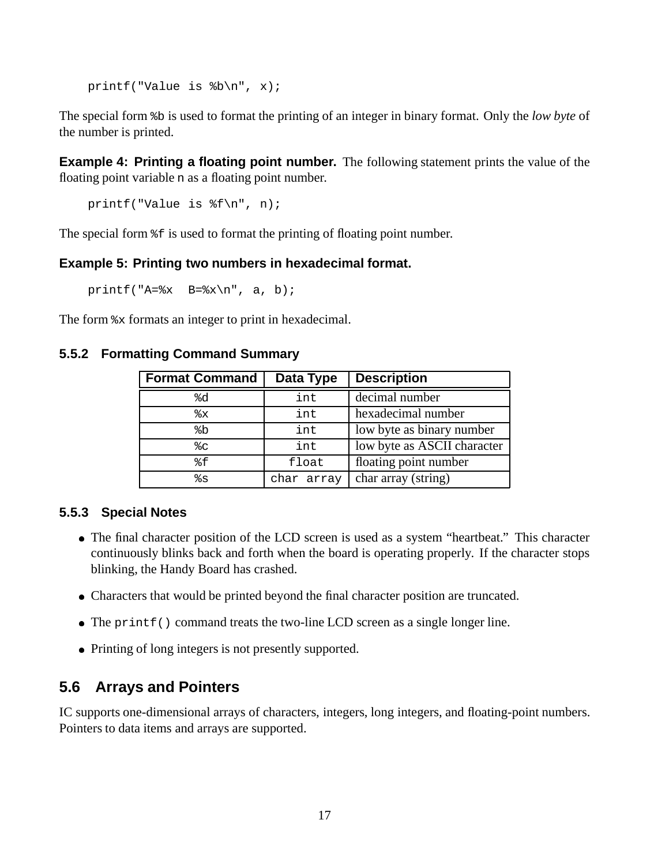printf("Value is  $b\n\ln$ ", x);

The special form %b is used to format the printing of an integer in binary format. Only the *low byte* of the number is printed.

**Example 4: Printing a floating point number.** The following statement prints the value of the floating point variable n as a floating point number.

```
printf("Value is %f\n", n);
```
The special form %f is used to format the printing of floating point number.

### **Example 5: Printing two numbers in hexadecimal format.**

printf(" $A=\&x \quad B=\&x\n\infty$ ", a, b);

The form %x formats an integer to print in hexadecimal.

#### **5.5.2 Formatting Command Summary**

| <b>Format Command</b> | Data Type  | <b>Description</b>          |
|-----------------------|------------|-----------------------------|
| %d                    | int        | decimal number              |
| %x                    | int        | hexadecimal number          |
| %b                    | int        | low byte as binary number   |
| ៖c                    | int        | low byte as ASCII character |
| %f                    | float      | floating point number       |
| $\mathcal{E}$ ន       | char array | char array (string)         |

#### **5.5.3 Special Notes**

- The final character position of the LCD screen is used as a system "heartbeat." This character continuously blinks back and forth when the board is operating properly. If the character stops blinking, the Handy Board has crashed.
- Characters that would be printed beyond the final character position are truncated.
- $\bullet$  The printf() command treats the two-line LCD screen as a single longer line.
- Printing of long integers is not presently supported.

## **5.6 Arrays and Pointers**

IC supports one-dimensional arrays of characters, integers, long integers, and floating-point numbers. Pointers to data items and arrays are supported.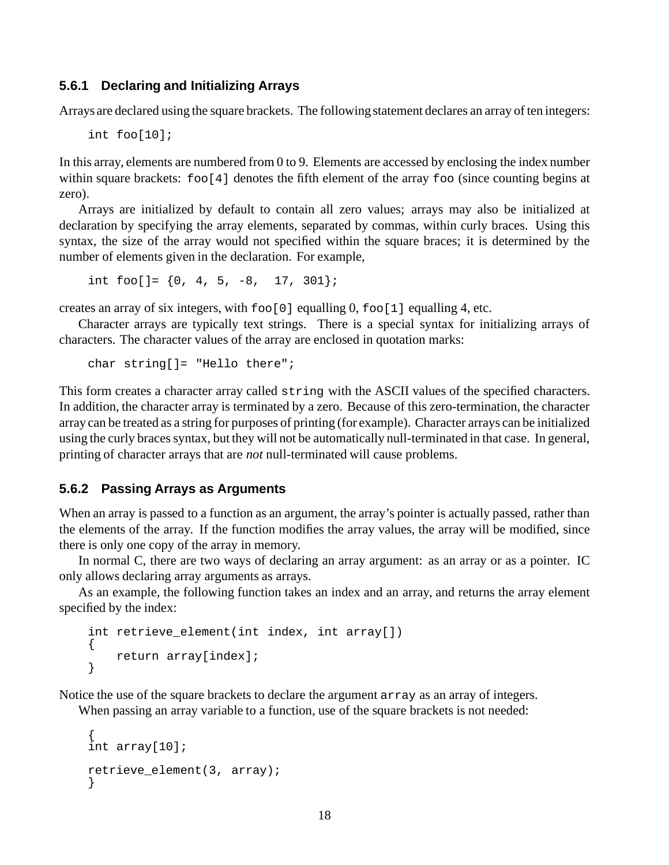#### **5.6.1 Declaring and Initializing Arrays**

Arrays are declared using the square brackets. The following statement declares an array of ten integers:

int foo[10];

In this array, elements are numbered from 0 to 9. Elements are accessed by enclosing the index number within square brackets:  $f \circ \circ [4]$  denotes the fifth element of the array  $f \circ \circ$  (since counting begins at zero).

Arrays are initialized by default to contain all zero values; arrays may also be initialized at declaration by specifying the array elements, separated by commas, within curly braces. Using this syntax, the size of the array would not specified within the square braces; it is determined by the number of elements given in the declaration. For example,

int foo[]=  $\{0, 4, 5, -8, 17, 301\};$ 

creates an array of six integers, with foo[0] equalling 0, foo[1] equalling 4, etc.

Character arrays are typically text strings. There is a special syntax for initializing arrays of characters. The character values of the array are enclosed in quotation marks:

char string[]= "Hello there";

This form creates a character array called string with the ASCII values of the specified characters. In addition, the character array is terminated by a zero. Because of this zero-termination, the character array can be treated as a string for purposes of printing (for example). Character arrays can be initialized using the curly braces syntax, but they will not be automatically null-terminated in that case. In general, printing of character arrays that are *not* null-terminated will cause problems.

#### **5.6.2 Passing Arrays as Arguments**

When an array is passed to a function as an argument, the array's pointer is actually passed, rather than the elements of the array. If the function modifies the array values, the array will be modified, since there is only one copy of the array in memory.

In normal C, there are two ways of declaring an array argument: as an array or as a pointer. IC only allows declaring array arguments as arrays.

As an example, the following function takes an index and an array, and returns the array element specified by the index:

```
int retrieve element(int index, int array[])
{
    return array[index];
}
```
Notice the use of the square brackets to declare the argument array as an array of integers.

When passing an array variable to a function, use of the square brackets is not needed:

```
{
int array[10];
retrieve element(3, array);
}
```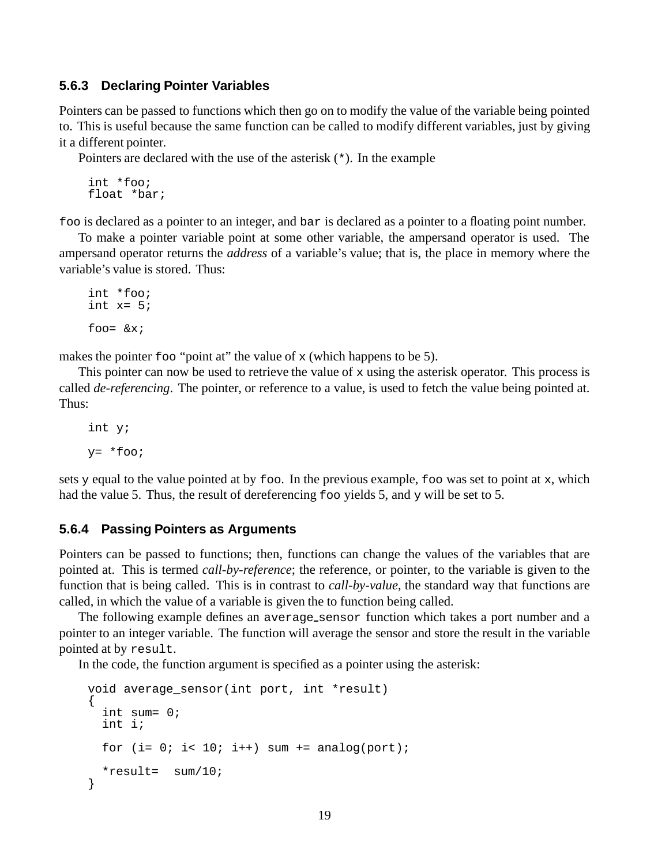#### **5.6.3 Declaring Pointer Variables**

Pointers can be passed to functions which then go on to modify the value of the variable being pointed to. This is useful because the same function can be called to modify different variables, just by giving it a different pointer.

Pointers are declared with the use of the asterisk (\*). In the example

```
int *foo;
float *bar;
```
foo is declared as a pointer to an integer, and bar is declared as a pointer to a floating point number.

To make a pointer variable point at some other variable, the ampersand operator is used. The ampersand operator returns the *address* of a variable's value; that is, the place in memory where the variable's value is stored. Thus:

```
int *foo;
int x= 5;
foo= &xi
```
makes the pointer  $f \circ \circ f$  "point at" the value of x (which happens to be 5).

This pointer can now be used to retrieve the value of x using the asterisk operator. This process is called *de-referencing*. The pointer, or reference to a value, is used to fetch the value being pointed at. Thus:

int y; y= \*foo;

sets y equal to the value pointed at by foo. In the previous example, foo was set to point at x, which had the value 5. Thus, the result of dereferencing foo yields 5, and y will be set to 5.

#### **5.6.4 Passing Pointers as Arguments**

Pointers can be passed to functions; then, functions can change the values of the variables that are pointed at. This is termed *call-by-reference*; the reference, or pointer, to the variable is given to the function that is being called. This is in contrast to *call-by-value*, the standard way that functions are called, in which the value of a variable is given the to function being called.

The following example defines an average\_sensor function which takes a port number and a pointer to an integer variable. The function will average the sensor and store the result in the variable pointed at by result.

In the code, the function argument is specified as a pointer using the asterisk:

```
void average_sensor(int port, int *result)
{
  int sum= 0;
  int i;
  for (i= 0; i< 10; i++) sum += analog(port);
  *result= sum/10;
}
```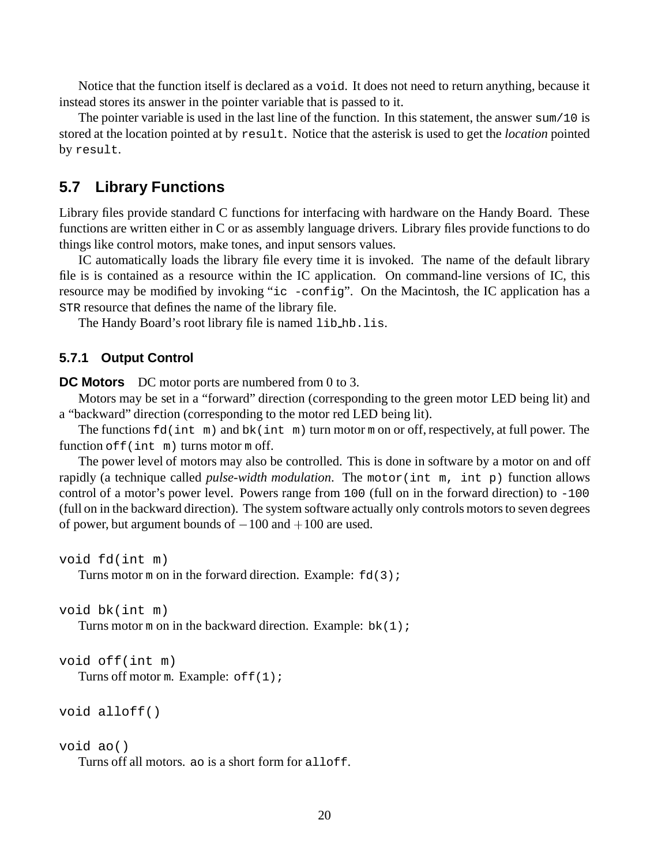Notice that the function itself is declared as a void. It does not need to return anything, because it instead stores its answer in the pointer variable that is passed to it.

The pointer variable is used in the last line of the function. In this statement, the answer sum/10 is stored at the location pointed at by result. Notice that the asterisk is used to get the *location* pointed by result.

## **5.7 Library Functions**

Library files provide standard C functions for interfacing with hardware on the Handy Board. These functions are written either in C or as assembly language drivers. Library files provide functions to do things like control motors, make tones, and input sensors values.

IC automatically loads the library file every time it is invoked. The name of the default library file is is contained as a resource within the IC application. On command-line versions of IC, this resource may be modified by invoking "ic -config". On the Macintosh, the IC application has a STR resource that defines the name of the library file.

The Handy Board's root library file is named lib\_hb.lis.

#### **5.7.1 Output Control**

**DC Motors** DC motor ports are numbered from 0 to 3.

Motors may be set in a "forward" direction (corresponding to the green motor LED being lit) and a "backward" direction (corresponding to the motor red LED being lit).

The functions fd(int m) and bk(int m) turn motor m on or off, respectively, at full power. The function  $\circ$  f (int m) turns motor m off.

The power level of motors may also be controlled. This is done in software by a motor on and off rapidly (a technique called *pulse-width modulation*. The motor(int m, int p) function allows control of a motor's power level. Powers range from 100 (full on in the forward direction) to -100 (full on in the backward direction). The system software actually only controls motors to seven degrees of power, but argument bounds of  $-100$  and  $+100$  are used.

```
void fd(int m)
```
Turns motor m on in the forward direction. Example:  $fd(3)$ ;

void bk(int m)

Turns motor m on in the backward direction. Example:  $bk(1)$ ;

void off(int m)

Turns off motor m. Example:  $\text{off}(1)$ ;

```
void alloff()
```
void ao()

Turns off all motors. ao is a short form for alloff.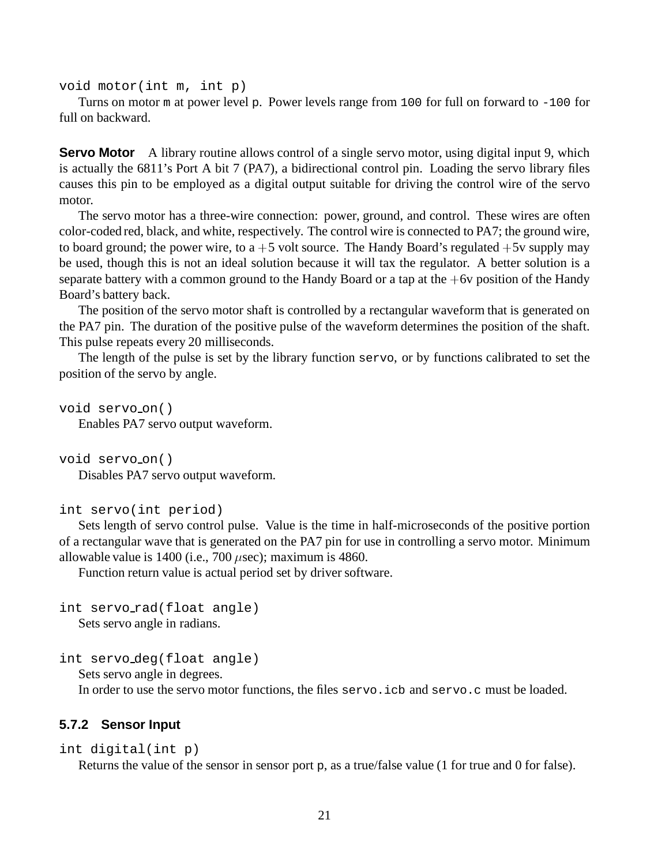```
void motor(int m, int p)
```
Turns on motor m at power level p. Power levels range from 100 for full on forward to -100 for full on backward.

**Servo Motor** A library routine allows control of a single servo motor, using digital input 9, which is actually the 6811's Port A bit 7 (PA7), a bidirectional control pin. Loading the servo library files causes this pin to be employed as a digital output suitable for driving the control wire of the servo motor.

The servo motor has a three-wire connection: power, ground, and control. These wires are often color-coded red, black, and white, respectively. The control wire is connected to PA7; the ground wire, to board ground; the power wire, to a  $+5$  volt source. The Handy Board's regulated  $+5v$  supply may be used, though this is not an ideal solution because it will tax the regulator. A better solution is a separate battery with a common ground to the Handy Board or a tap at the  $+6v$  position of the Handy Board's battery back.

The position of the servo motor shaft is controlled by a rectangular waveform that is generated on the PA7 pin. The duration of the positive pulse of the waveform determines the position of the shaft. This pulse repeats every 20 milliseconds.

The length of the pulse is set by the library function servo, or by functions calibrated to set the position of the servo by angle.

```
void servo on()
```
Enables PA7 servo output waveform.

```
void servo on()
```
Disables PA7 servo output waveform.

```
int servo(int period)
```
Sets length of servo control pulse. Value is the time in half-microseconds of the positive portion of a rectangular wave that is generated on the PA7 pin for use in controlling a servo motor. Minimum allowable value is 1400 (i.e., 700  $\mu$ sec); maximum is 4860.

Function return value is actual period set by driver software.

```
int servo rad(float angle)
```
Sets servo angle in radians.

```
int servo deg(float angle)
```
Sets servo angle in degrees.

In order to use the servo motor functions, the files servo.icb and servo.c must be loaded.

#### **5.7.2 Sensor Input**

```
int digital(int p)
```
Returns the value of the sensor in sensor port p, as a true/false value (1 for true and 0 for false).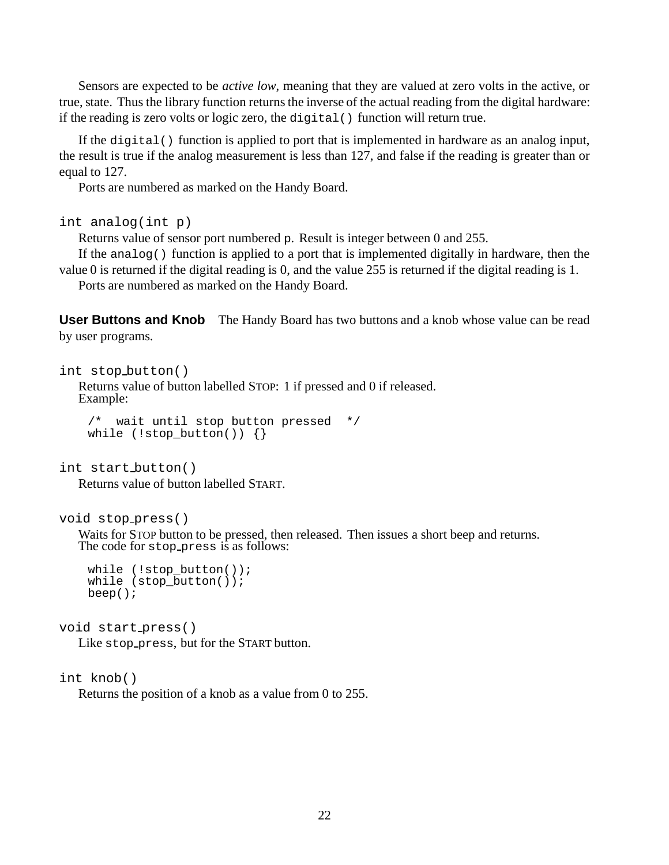Sensors are expected to be *active low*, meaning that they are valued at zero volts in the active, or true, state. Thus the library function returns the inverse of the actual reading from the digital hardware: if the reading is zero volts or logic zero, the digital() function will return true.

If the digital() function is applied to port that is implemented in hardware as an analog input, the result is true if the analog measurement is less than 127, and false if the reading is greater than or equal to 127.

Ports are numbered as marked on the Handy Board.

```
int analog(int p)
```
Returns value of sensor port numbered p. Result is integer between 0 and 255.

If the analog() function is applied to a port that is implemented digitally in hardware, then the value 0 is returned if the digital reading is 0, and the value 255 is returned if the digital reading is 1.

Ports are numbered as marked on the Handy Board.

**User Buttons and Knob** The Handy Board has two buttons and a knob whose value can be read by user programs.

```
int stop button()
```
Returns value of button labelled STOP: 1 if pressed and 0 if released. Example:

```
/* wait until stop button pressed */
while (!stop\_button() ) { }
```
int start button()

Returns value of button labelled START.

void stop press()

Waits for STOP button to be pressed, then released. Then issues a short beep and returns. The code for stop press is as follows:

```
while (!stop_button());
while (stop_button());
beep();
```

```
void start press()
```
Like stop press, but for the START button.

int knob()

Returns the position of a knob as a value from 0 to 255.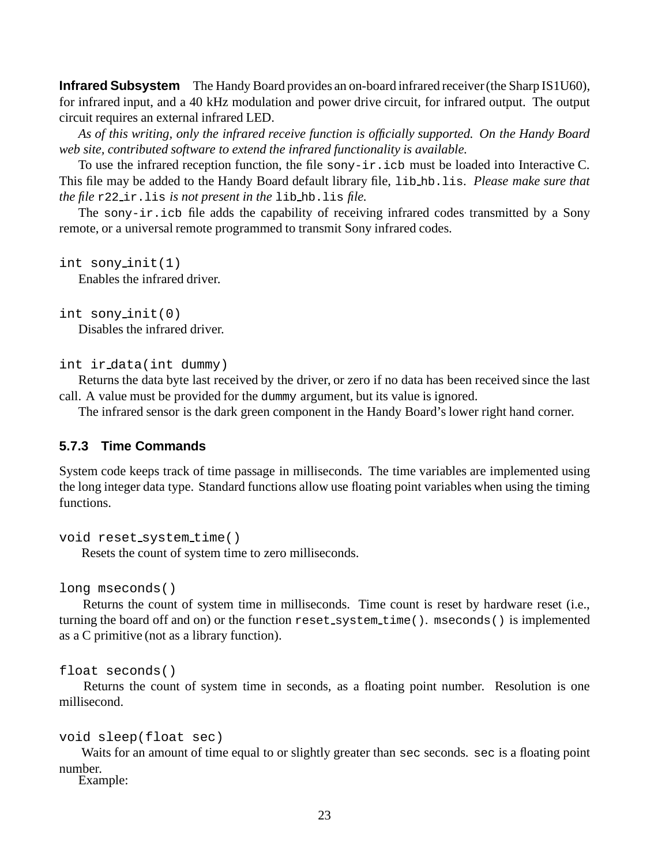**Infrared Subsystem** The Handy Board provides an on-board infrared receiver (the Sharp IS1U60), for infrared input, and a 40 kHz modulation and power drive circuit, for infrared output. The output circuit requires an external infrared LED.

*As of this writing, only the infrared receive function is officially supported. On the Handy Board web site, contributed software to extend the infrared functionality is available.*

To use the infrared reception function, the file sony-ir.icb must be loaded into Interactive C. This file may be added to the Handy Board default library file, lib hb.lis. *Please make sure that the file* r22 ir.lis *is not present in the* lib hb.lis *file.*

The sony-ir.icb file adds the capability of receiving infrared codes transmitted by a Sony remote, or a universal remote programmed to transmit Sony infrared codes.

```
int sony init(1)
```
Enables the infrared driver.

```
int sony init(0)
```
Disables the infrared driver.

```
int ir data(int dummy)
```
Returns the data byte last received by the driver, or zero if no data has been received since the last call. A value must be provided for the dummy argument, but its value is ignored.

The infrared sensor is the dark green component in the Handy Board's lower right hand corner.

### **5.7.3 Time Commands**

System code keeps track of time passage in milliseconds. The time variables are implemented using the long integer data type. Standard functions allow use floating point variables when using the timing functions.

```
void reset system time()
```
Resets the count of system time to zero milliseconds.

long mseconds()

Returns the count of system time in milliseconds. Time count is reset by hardware reset (i.e., turning the board off and on) or the function reset\_system\_time(). mseconds() is implemented as a C primitive (not as a library function).

float seconds()

Returns the count of system time in seconds, as a floating point number. Resolution is one millisecond.

```
void sleep(float sec)
```
Waits for an amount of time equal to or slightly greater than sec seconds. sec is a floating point number.

Example: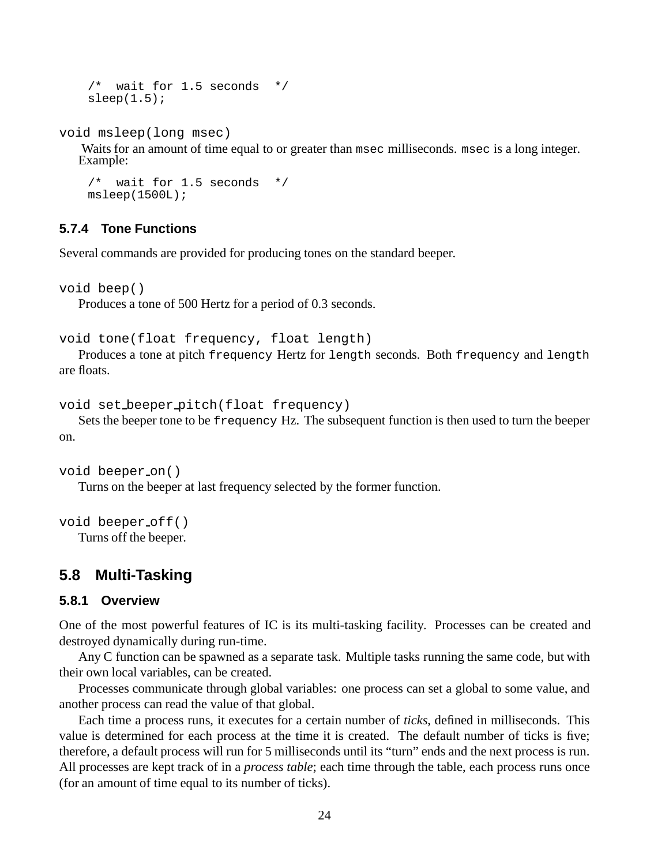```
/* wait for 1.5 seconds */
sleep(1.5);
```

```
void msleep(long msec)
```
Waits for an amount of time equal to or greater than msec milliseconds. msec is a long integer. Example:

```
/* wait for 1.5 seconds */msleep(1500L);
```
#### **5.7.4 Tone Functions**

Several commands are provided for producing tones on the standard beeper.

void beep()

Produces a tone of 500 Hertz for a period of 0.3 seconds.

```
void tone(float frequency, float length)
```
Produces a tone at pitch frequency Hertz for length seconds. Both frequency and length are floats.

```
void set beeper pitch(float frequency)
```
Sets the beeper tone to be frequency Hz. The subsequent function is then used to turn the beeper on.

```
void beeper on()
```
Turns on the beeper at last frequency selected by the former function.

```
void beeper off()
```
Turns off the beeper.

### **5.8 Multi-Tasking**

#### **5.8.1 Overview**

One of the most powerful features of IC is its multi-tasking facility. Processes can be created and destroyed dynamically during run-time.

Any C function can be spawned as a separate task. Multiple tasks running the same code, but with their own local variables, can be created.

Processes communicate through global variables: one process can set a global to some value, and another process can read the value of that global.

Each time a process runs, it executes for a certain number of *ticks*, defined in milliseconds. This value is determined for each process at the time it is created. The default number of ticks is five; therefore, a default process will run for 5 milliseconds until its "turn" ends and the next process is run. All processes are kept track of in a *process table*; each time through the table, each process runs once (for an amount of time equal to its number of ticks).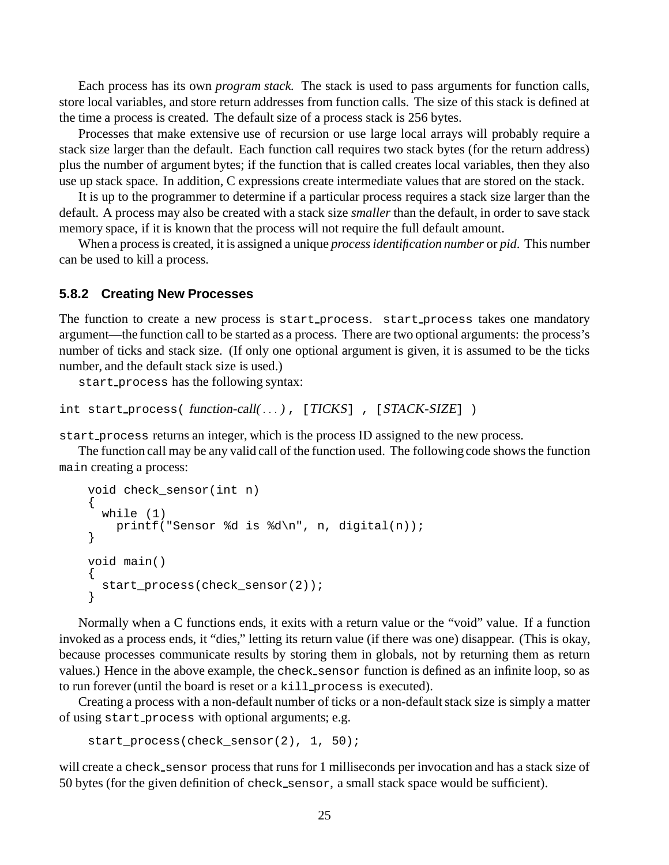Each process has its own *program stack.* The stack is used to pass arguments for function calls, store local variables, and store return addresses from function calls. The size of this stack is defined at the time a process is created. The default size of a process stack is 256 bytes.

Processes that make extensive use of recursion or use large local arrays will probably require a stack size larger than the default. Each function call requires two stack bytes (for the return address) plus the number of argument bytes; if the function that is called creates local variables, then they also use up stack space. In addition, C expressions create intermediate values that are stored on the stack.

It is up to the programmer to determine if a particular process requires a stack size larger than the default. A process may also be created with a stack size *smaller* than the default, in order to save stack memory space, if it is known that the process will not require the full default amount.

When a process is created, it is assigned a unique *process identification number* or *pid*. This number can be used to kill a process.

#### **5.8.2 Creating New Processes**

The function to create a new process is start process. start process takes one mandatory argument—the function call to be started as a process. There are two optional arguments: the process's number of ticks and stack size. (If only one optional argument is given, it is assumed to be the ticks number, and the default stack size is used.)

start process has the following syntax:

```
int start_process( function-call(...), [TICKS], [STACK-SIZE] )
```
start process returns an integer, which is the process ID assigned to the new process.

The function call may be any valid call of the function used. The following code shows the function main creating a process:

```
void check_sensor(int n)
{
  while (1)
    printf("Sensor %d is %d\n", n, digital(n));
}
void main()
{
  start_process(check_sensor(2));
}
```
Normally when a C functions ends, it exits with a return value or the "void" value. If a function invoked as a process ends, it "dies," letting its return value (if there was one) disappear. (This is okay, because processes communicate results by storing them in globals, not by returning them as return values.) Hence in the above example, the check sensor function is defined as an infinite loop, so as to run forever (until the board is reset or a kill process is executed).

Creating a process with a non-default number of ticks or a non-default stack size is simply a matter of using start process with optional arguments; e.g.

start\_process(check\_sensor(2), 1, 50);

will create a check sensor process that runs for 1 milliseconds per invocation and has a stack size of 50 bytes (for the given definition of check sensor, a small stack space would be sufficient).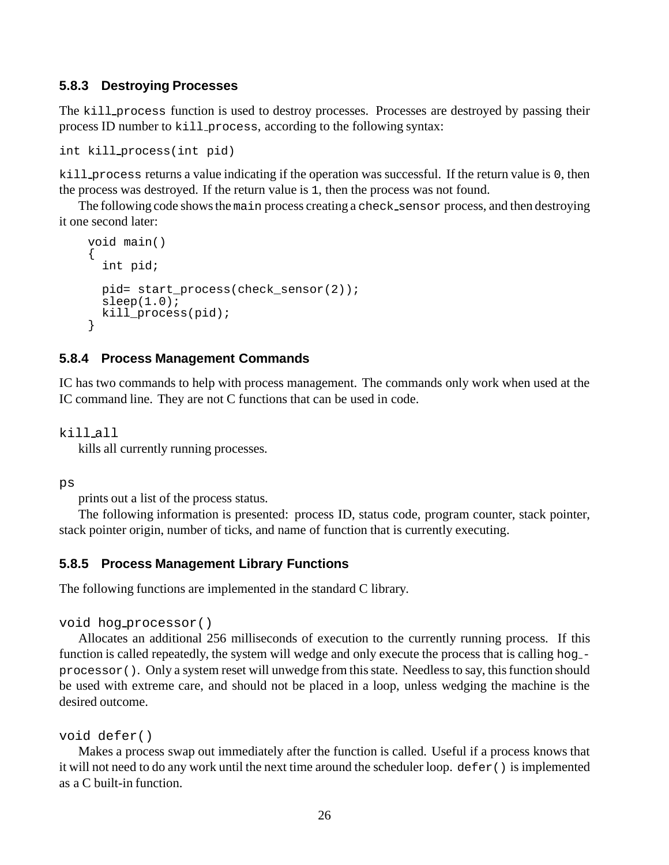### **5.8.3 Destroying Processes**

The kill process function is used to destroy processes. Processes are destroyed by passing their process ID number to kill process, according to the following syntax:

```
int kill process(int pid)
```
kill process returns a value indicating if the operation was successful. If the return value is 0, then the process was destroyed. If the return value is 1, then the process was not found.

The following code shows the main process creating a check sensor process, and then destroying it one second later:

```
void main()
{
  int pid;
 pid= start process(check sensor(2));
  sleep(1.0);kill_process(pid);
}
```
## **5.8.4 Process Management Commands**

IC has two commands to help with process management. The commands only work when used at the IC command line. They are not C functions that can be used in code.

kill all

kills all currently running processes.

ps

prints out a list of the process status.

The following information is presented: process ID, status code, program counter, stack pointer, stack pointer origin, number of ticks, and name of function that is currently executing.

### **5.8.5 Process Management Library Functions**

The following functions are implemented in the standard C library.

```
void hog processor()
```
Allocates an additional 256 milliseconds of execution to the currently running process. If this function is called repeatedly, the system will wedge and only execute the process that is calling hogprocessor(). Only a system reset will unwedge from this state. Needless to say, this function should be used with extreme care, and should not be placed in a loop, unless wedging the machine is the desired outcome.

```
void defer()
```
Makes a process swap out immediately after the function is called. Useful if a process knows that it will not need to do any work until the next time around the scheduler loop.  $\text{defer}(\cdot)$  is implemented as a C built-in function.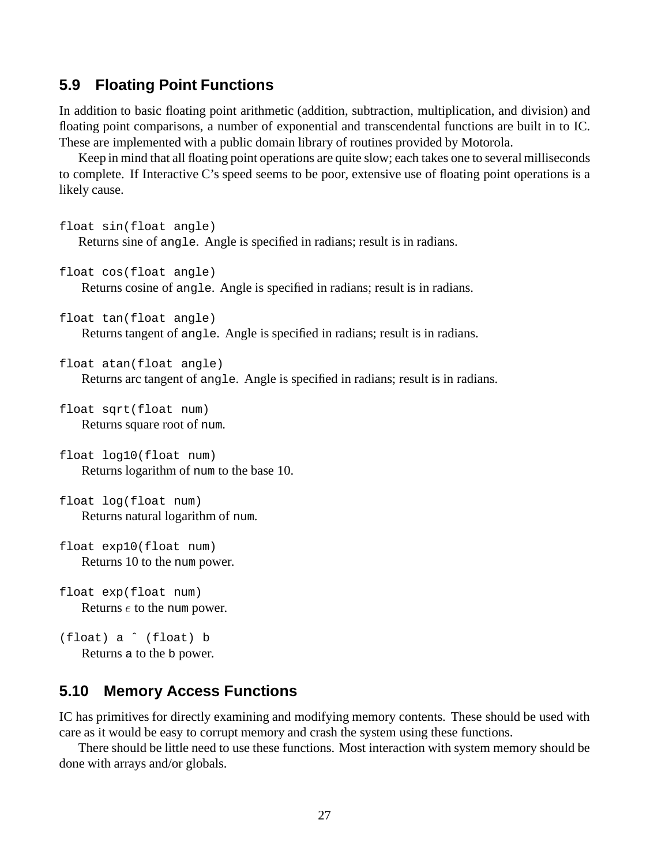## **5.9 Floating Point Functions**

In addition to basic floating point arithmetic (addition, subtraction, multiplication, and division) and floating point comparisons, a number of exponential and transcendental functions are built in to IC. These are implemented with a public domain library of routines provided by Motorola.

Keep in mind that all floating point operations are quite slow; each takes one to several milliseconds to complete. If Interactive C's speed seems to be poor, extensive use of floating point operations is a likely cause.

```
float sin(float angle)
```
Returns sine of angle. Angle is specified in radians; result is in radians.

```
float cos(float angle)
```
Returns cosine of angle. Angle is specified in radians; result is in radians.

```
float tan(float angle)
```
Returns tangent of angle. Angle is specified in radians; result is in radians.

```
float atan(float angle)
```
Returns arc tangent of angle. Angle is specified in radians; result is in radians.

```
float sqrt(float num)
```
Returns square root of num.

```
float log10(float num)
   Returns logarithm of num to the base 10.
```

```
float log(float num)
   Returns natural logarithm of num.
```

```
float exp10(float num)
   Returns 10 to the num power.
```

```
float exp(float num)
   Returns e to the num power.
```

```
(float) a ˆ (float) b
   Returns a to the b power.
```
## **5.10 Memory Access Functions**

IC has primitives for directly examining and modifying memory contents. These should be used with care as it would be easy to corrupt memory and crash the system using these functions.

There should be little need to use these functions. Most interaction with system memory should be done with arrays and/or globals.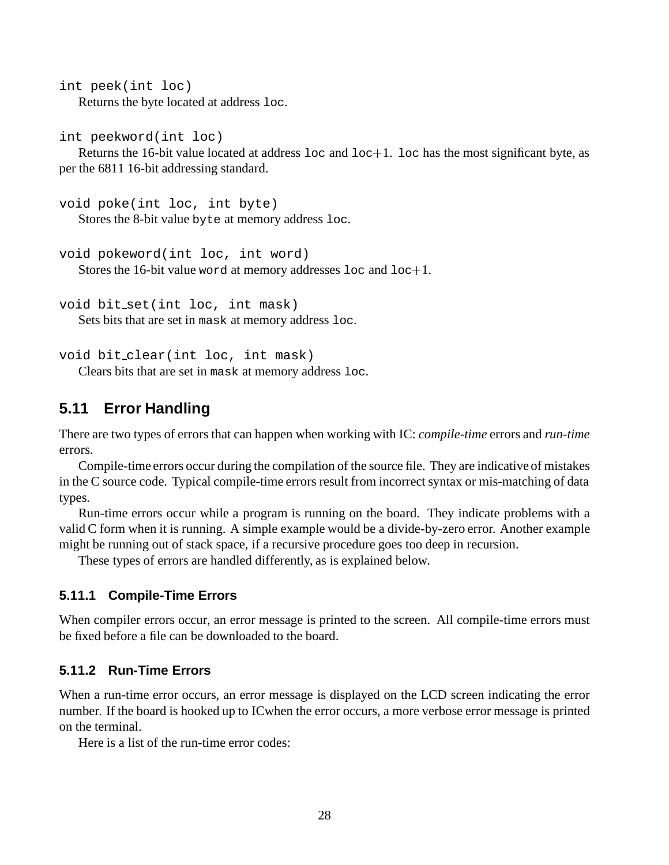int peek(int loc)

Returns the byte located at address loc.

int peekword(int loc)

Returns the 16-bit value located at address  $\log$  and  $\log+1$ .  $\log$  has the most significant byte, as per the 6811 16-bit addressing standard.

void poke(int loc, int byte) Stores the 8-bit value byte at memory address loc.

void pokeword(int loc, int word) Stores the 16-bit value word at memory addresses  $\log$  and  $\log +1$ .

void bit set(int loc, int mask) Sets bits that are set in mask at memory address loc.

```
void bit clear(int loc, int mask)
   Clears bits that are set in mask at memory address loc.
```
# **5.11 Error Handling**

There are two types of errors that can happen when working with IC: *compile-time* errors and *run-time* errors.

Compile-time errors occur during the compilation of the source file. They are indicative of mistakes in the C source code. Typical compile-time errors result from incorrect syntax or mis-matching of data types.

Run-time errors occur while a program is running on the board. They indicate problems with a valid C form when it is running. A simple example would be a divide-by-zero error. Another example might be running out of stack space, if a recursive procedure goes too deep in recursion.

These types of errors are handled differently, as is explained below.

### **5.11.1 Compile-Time Errors**

When compiler errors occur, an error message is printed to the screen. All compile-time errors must be fixed before a file can be downloaded to the board.

#### **5.11.2 Run-Time Errors**

When a run-time error occurs, an error message is displayed on the LCD screen indicating the error number. If the board is hooked up to ICwhen the error occurs, a more verbose error message is printed on the terminal.

Here is a list of the run-time error codes: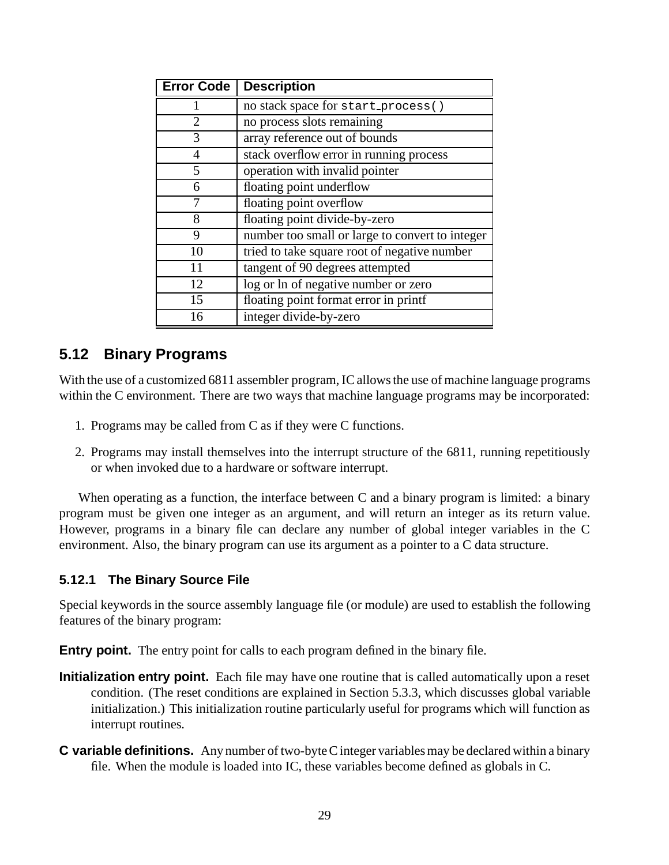| <b>Error Code</b> | <b>Description</b>                              |
|-------------------|-------------------------------------------------|
|                   | no stack space for start_process()              |
| $\mathfrak{D}$    | no process slots remaining                      |
| 3                 | array reference out of bounds                   |
| $\overline{4}$    | stack overflow error in running process         |
| 5                 | operation with invalid pointer                  |
| 6                 | floating point underflow                        |
| 7                 | floating point overflow                         |
| 8                 | floating point divide-by-zero                   |
| 9                 | number too small or large to convert to integer |
| 10                | tried to take square root of negative number    |
| 11                | tangent of 90 degrees attempted                 |
| 12                | log or ln of negative number or zero            |
| 15                | floating point format error in printf           |
| 16                | integer divide-by-zero                          |

## **5.12 Binary Programs**

With the use of a customized 6811 assembler program, IC allows the use of machine language programs within the C environment. There are two ways that machine language programs may be incorporated:

- 1. Programs may be called from C as if they were C functions.
- 2. Programs may install themselves into the interrupt structure of the 6811, running repetitiously or when invoked due to a hardware or software interrupt.

When operating as a function, the interface between C and a binary program is limited: a binary program must be given one integer as an argument, and will return an integer as its return value. However, programs in a binary file can declare any number of global integer variables in the C environment. Also, the binary program can use its argument as a pointer to a C data structure.

### **5.12.1 The Binary Source File**

Special keywords in the source assembly language file (or module) are used to establish the following features of the binary program:

**Entry point.** The entry point for calls to each program defined in the binary file.

- **Initialization entry point.** Each file may have one routine that is called automatically upon a reset condition. (The reset conditions are explained in Section 5.3.3, which discusses global variable initialization.) This initialization routine particularly useful for programs which will function as interrupt routines.
- **C variable definitions.** Any number of two-byte C integer variables may be declared within a binary file. When the module is loaded into IC, these variables become defined as globals in C.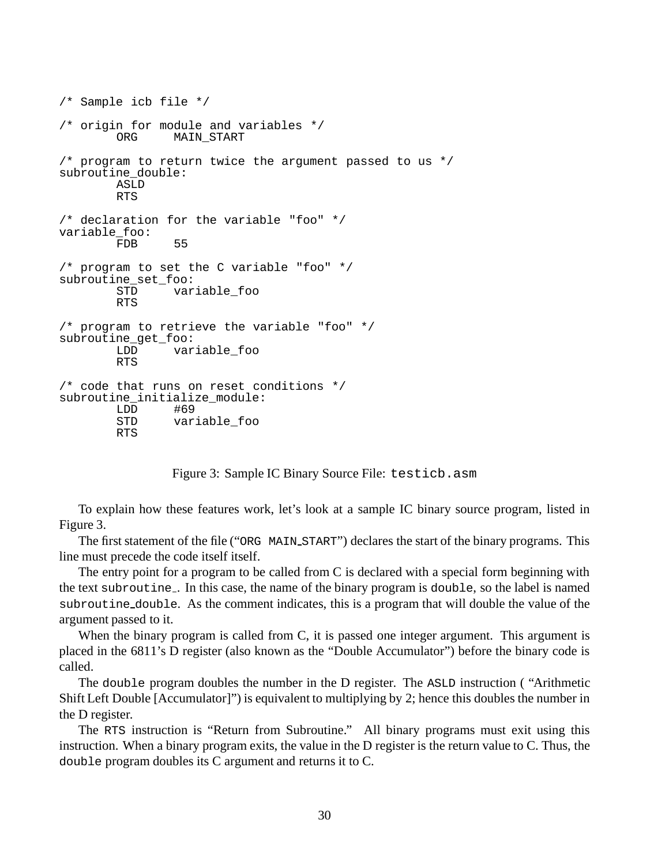```
/* Sample icb file */
/* origin for module and variables */
        ORG MAIN START
/* program to return twice the argument passed to us */
subroutine double:
        ASLD
        RTS
/* declaration for the variable "foo" */
variable foo:
        FDB 55
/* program to set the C variable "foo" */
subroutine_set_foo:
        STD variable_foo
        RTS
/* program to retrieve the variable "foo" */
subroutine_get_foo:
        LDD variable_foo
        RTS
/* code that runs on reset conditions */
subroutine initialize module:
        LDD #69<br>STD var
                variable foo
        RTS
```
Figure 3: Sample IC Binary Source File: testicb.asm

To explain how these features work, let's look at a sample IC binary source program, listed in Figure 3.

The first statement of the file ("ORG MAIN START") declares the start of the binary programs. This line must precede the code itself itself.

The entry point for a program to be called from C is declared with a special form beginning with the text subroutine . In this case, the name of the binary program is double, so the label is named subroutine double. As the comment indicates, this is a program that will double the value of the argument passed to it.

When the binary program is called from C, it is passed one integer argument. This argument is placed in the 6811's D register (also known as the "Double Accumulator") before the binary code is called.

The double program doubles the number in the D register. The ASLD instruction ( "Arithmetic Shift Left Double [Accumulator]") is equivalent to multiplying by 2; hence this doubles the number in the D register.

The RTS instruction is "Return from Subroutine." All binary programs must exit using this instruction. When a binary program exits, the value in the D register is the return value to C. Thus, the double program doubles its C argument and returns it to C.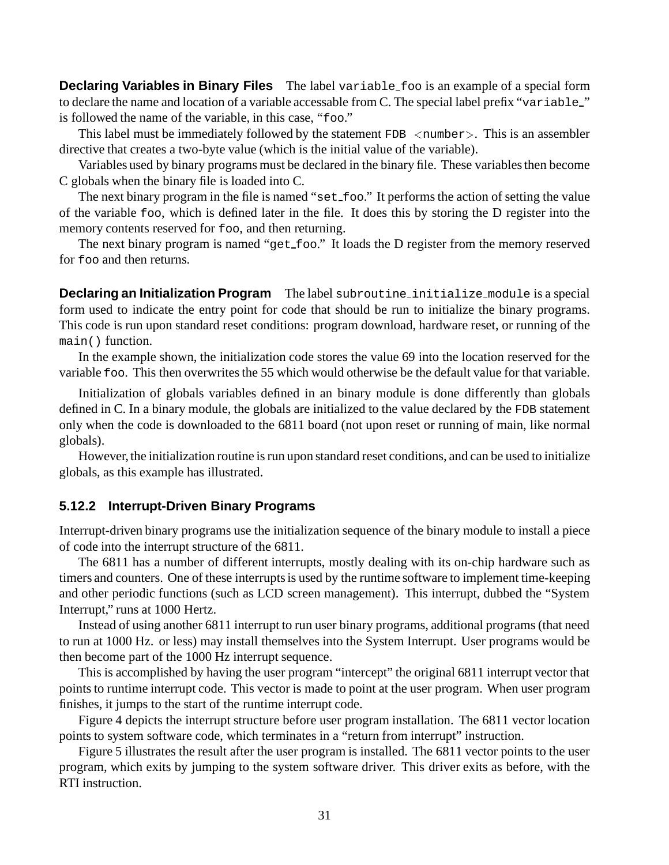**Declaring Variables in Binary Files** The label variable foo is an example of a special form to declare the name and location of a variable accessable from C. The special label prefix "variable\_" is followed the name of the variable, in this case, "foo."

This label must be immediately followed by the statement  $FDB <$   $\alpha$ umber  $>$ . This is an assembler directive that creates a two-byte value (which is the initial value of the variable).

Variables used by binary programs must be declared in the binary file. These variables then become C globals when the binary file is loaded into C.

The next binary program in the file is named "set\_foo." It performs the action of setting the value of the variable foo, which is defined later in the file. It does this by storing the D register into the memory contents reserved for foo, and then returning.

The next binary program is named "get\_foo." It loads the D register from the memory reserved for foo and then returns.

**Declaring an Initialization Program** The label subroutine initialize module is a special form used to indicate the entry point for code that should be run to initialize the binary programs. This code is run upon standard reset conditions: program download, hardware reset, or running of the main() function.

In the example shown, the initialization code stores the value 69 into the location reserved for the variable foo. This then overwrites the 55 which would otherwise be the default value for that variable.

Initialization of globals variables defined in an binary module is done differently than globals defined in C. In a binary module, the globals are initialized to the value declared by the FDB statement only when the code is downloaded to the 6811 board (not upon reset or running of main, like normal globals).

However, the initialization routine is run upon standard reset conditions, and can be used to initialize globals, as this example has illustrated.

#### **5.12.2 Interrupt-Driven Binary Programs**

Interrupt-driven binary programs use the initialization sequence of the binary module to install a piece of code into the interrupt structure of the 6811.

The 6811 has a number of different interrupts, mostly dealing with its on-chip hardware such as timers and counters. One of these interrupts is used by the runtime software to implement time-keeping and other periodic functions (such as LCD screen management). This interrupt, dubbed the "System Interrupt," runs at 1000 Hertz.

Instead of using another 6811 interrupt to run user binary programs, additional programs (that need to run at 1000 Hz. or less) may install themselves into the System Interrupt. User programs would be then become part of the 1000 Hz interrupt sequence.

This is accomplished by having the user program "intercept" the original 6811 interrupt vector that points to runtime interrupt code. This vector is made to point at the user program. When user program finishes, it jumps to the start of the runtime interrupt code.

Figure 4 depicts the interrupt structure before user program installation. The 6811 vector location points to system software code, which terminates in a "return from interrupt" instruction.

Figure 5 illustrates the result after the user program is installed. The 6811 vector points to the user program, which exits by jumping to the system software driver. This driver exits as before, with the RTI instruction.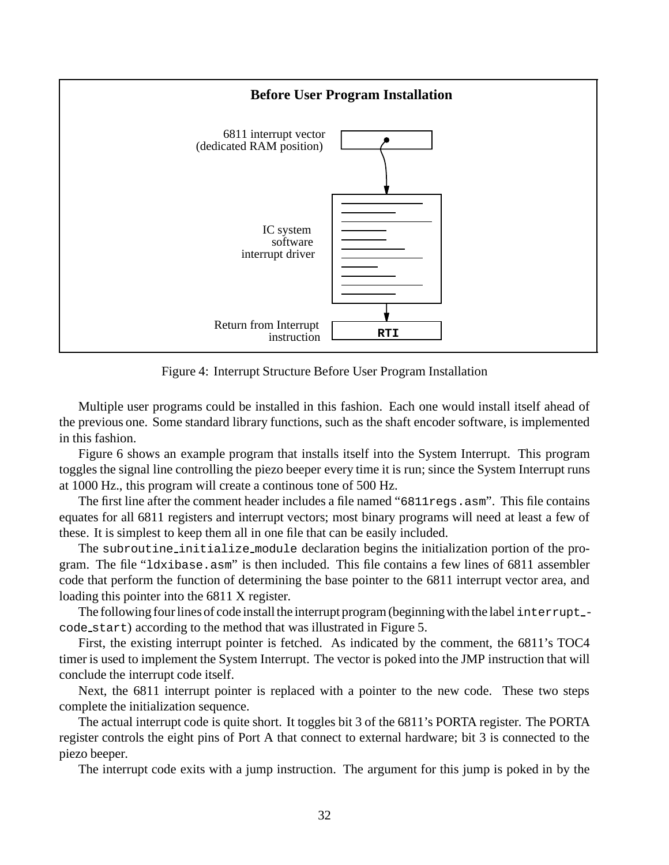

Figure 4: Interrupt Structure Before User Program Installation

Multiple user programs could be installed in this fashion. Each one would install itself ahead of the previous one. Some standard library functions, such as the shaft encoder software, is implemented in this fashion.

Figure 6 shows an example program that installs itself into the System Interrupt. This program toggles the signal line controlling the piezo beeper every time it is run; since the System Interrupt runs at 1000 Hz., this program will create a continous tone of 500 Hz.

The first line after the comment header includes a file named "6811 regs. asm". This file contains equates for all 6811 registers and interrupt vectors; most binary programs will need at least a few of these. It is simplest to keep them all in one file that can be easily included.

The subroutine initialize module declaration begins the initialization portion of the program. The file "ldxibase.asm" is then included. This file contains a few lines of 6811 assembler code that perform the function of determining the base pointer to the 6811 interrupt vector area, and loading this pointer into the 6811 X register.

The following four lines of code install the interrupt program (beginning with the label interrupt\_code start) according to the method that was illustrated in Figure 5.

First, the existing interrupt pointer is fetched. As indicated by the comment, the 6811's TOC4 timer is used to implement the System Interrupt. The vector is poked into the JMP instruction that will conclude the interrupt code itself.

Next, the 6811 interrupt pointer is replaced with a pointer to the new code. These two steps complete the initialization sequence.

The actual interrupt code is quite short. It toggles bit 3 of the 6811's PORTA register. The PORTA register controls the eight pins of Port A that connect to external hardware; bit 3 is connected to the piezo beeper.

The interrupt code exits with a jump instruction. The argument for this jump is poked in by the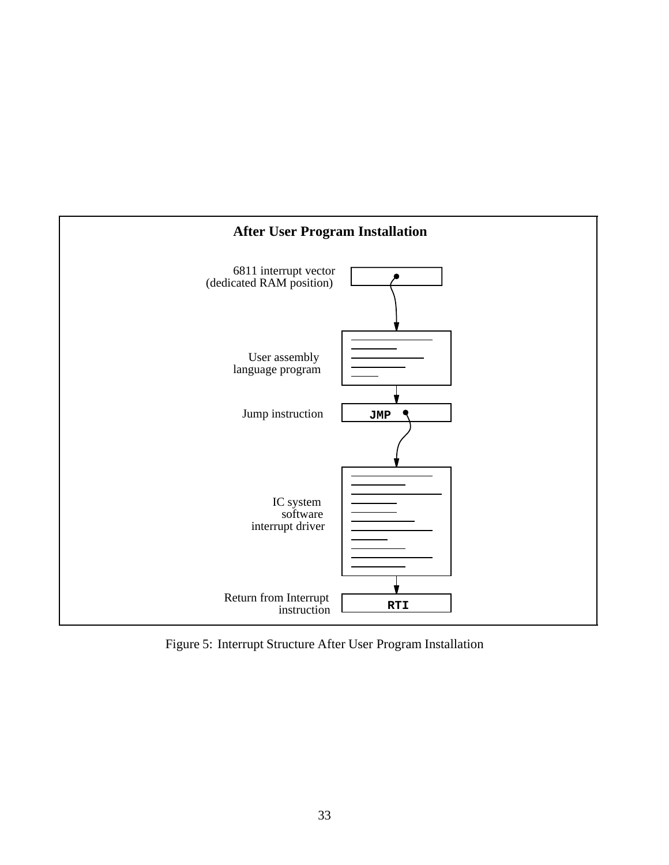

Figure 5: Interrupt Structure After User Program Installation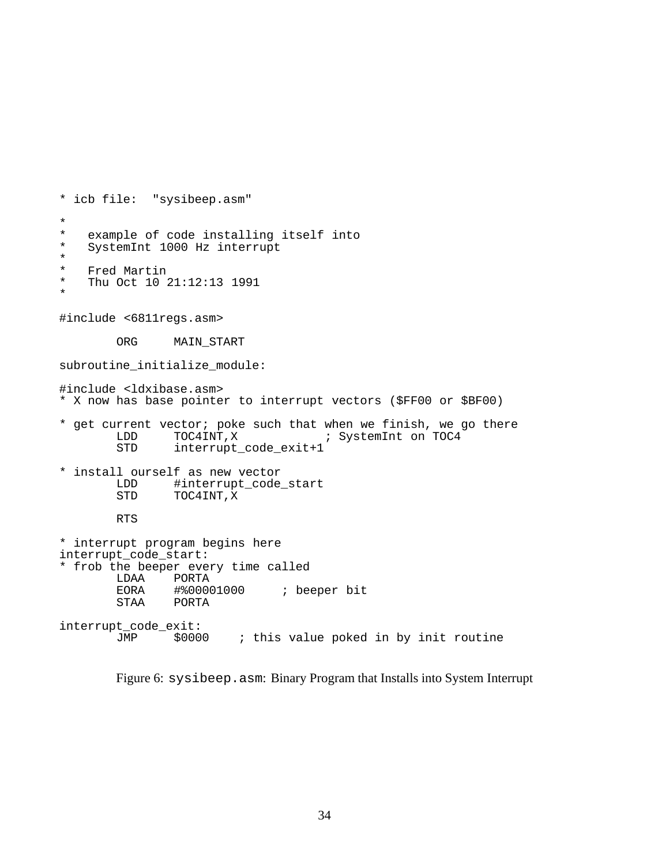\* icb file: "sysibeep.asm" \* \* example of code installing itself into<br>\* SystemInt 1000 Hz intervunt SystemInt 1000 Hz interrupt \* \* Fred Martin Thu Oct 10 21:12:13 1991 \* #include <6811regs.asm> ORG MAIN\_START subroutine\_initialize\_module: #include <ldxibase.asm> \* X now has base pointer to interrupt vectors (\$FF00 or \$BF00) \* get current vector; poke such that when we finish, we go there<br>LDD TOC4INT,X : SystemInt on TOC4 LDD TOC4INT, X ; SystemInt on TOC4<br>STD interrupt code exit+1 interrupt\_code\_exit+1 \* install ourself as new vector LDD #interrupt\_code\_start<br>STD TOC4INT,X TOC4INT, X RTS \* interrupt program begins here interrupt\_code\_start: \* frob the beeper every time called LDAA PORTA<br>EORA #%0000 EORA #%00001000 ; beeper bit<br>STAA PORTA PORTA interrupt\_code\_exit:<br>JMP \$0000  $i$  this value poked in by init routine

Figure 6: sysibeep.asm: Binary Program that Installs into System Interrupt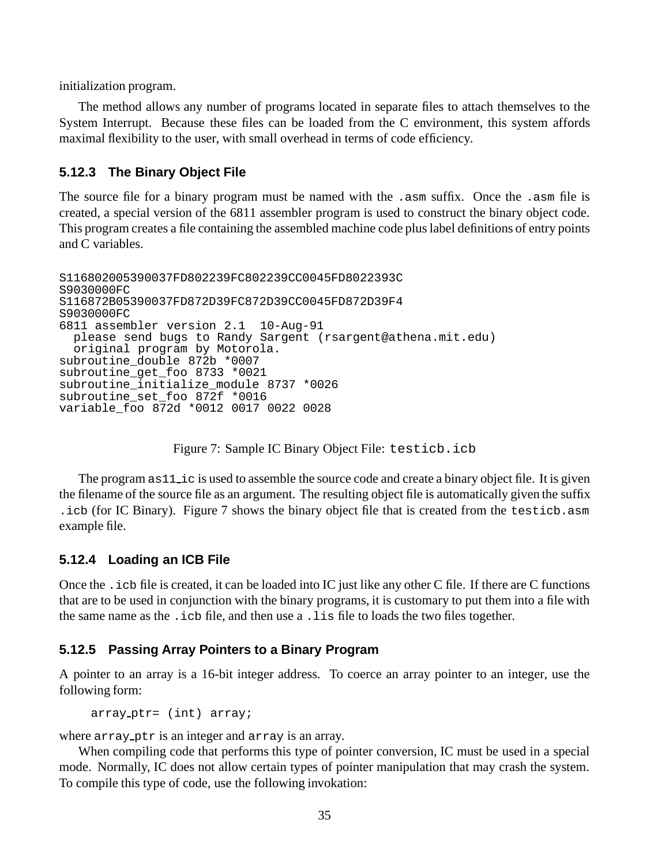initialization program.

The method allows any number of programs located in separate files to attach themselves to the System Interrupt. Because these files can be loaded from the C environment, this system affords maximal flexibility to the user, with small overhead in terms of code efficiency.

#### **5.12.3 The Binary Object File**

The source file for a binary program must be named with the .asm suffix. Once the .asm file is created, a special version of the 6811 assembler program is used to construct the binary object code. This program creates a file containing the assembled machine code plus label definitions of entry points and C variables.

```
S116802005390037FD802239FC802239CC0045FD8022393C
S9030000FC
S116872B05390037FD872D39FC872D39CC0045FD872D39F4
S9030000FC
6811 assembler version 2.1 10-Aug-91
  please send bugs to Randy Sargent (rsargent@athena.mit.edu)
  original program by Motorola.
subroutine_double 872b *0007
subroutine_get_foo 8733 *0021
subroutine_initialize_module 8737 *0026
subroutine_set_foo 872f *0016
variable_foo 872d *0012 0017 0022 0028
```
Figure 7: Sample IC Binary Object File: testicb.icb

The program as  $11$  ic is used to assemble the source code and create a binary object file. It is given the filename of the source file as an argument. The resulting object file is automatically given the suffix .icb (for IC Binary). Figure 7 shows the binary object file that is created from the testicb.asm example file.

#### **5.12.4 Loading an ICB File**

Once the .icb file is created, it can be loaded into IC just like any other C file. If there are C functions that are to be used in conjunction with the binary programs, it is customary to put them into a file with the same name as the .icb file, and then use a .lis file to loads the two files together.

#### **5.12.5 Passing Array Pointers to a Binary Program**

A pointer to an array is a 16-bit integer address. To coerce an array pointer to an integer, use the following form:

array ptr= (int) array;

where array ptr is an integer and array is an array.

When compiling code that performs this type of pointer conversion, IC must be used in a special mode. Normally, IC does not allow certain types of pointer manipulation that may crash the system. To compile this type of code, use the following invokation: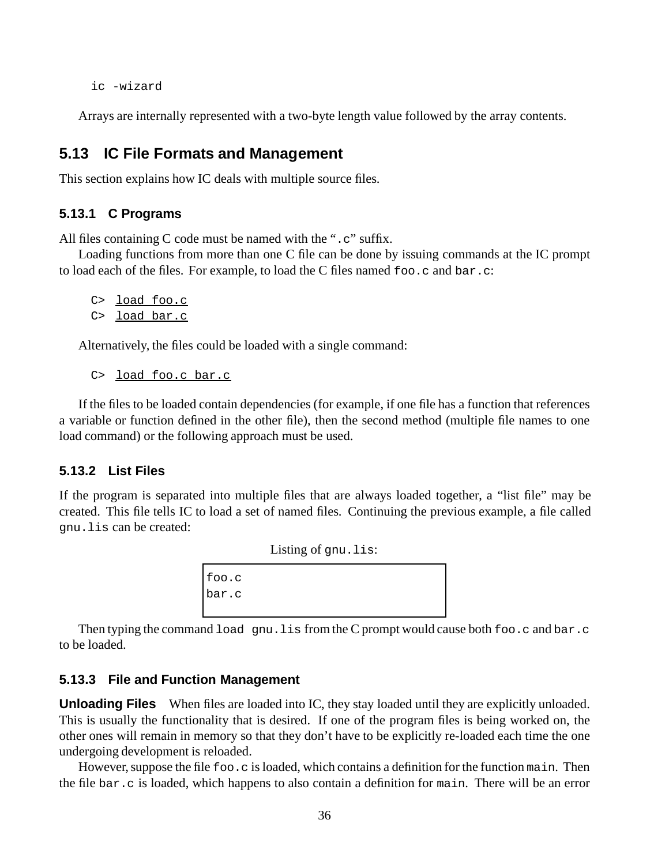ic -wizard

Arrays are internally represented with a two-byte length value followed by the array contents.

#### **5.13 IC File Formats and Management**

This section explains how IC deals with multiple source files.

#### **5.13.1 C Programs**

All files containing C code must be named with the ".c" suffix.

Loading functions from more than one C file can be done by issuing commands at the IC prompt to load each of the files. For example, to load the C files named foo.c and bar.c:

```
C> load foo.c
C> load bar.c
```
Alternatively, the files could be loaded with a single command:

C> load foo.c bar.c

If the files to be loaded contain dependencies (for example, if one file has a function that references a variable or function defined in the other file), then the second method (multiple file names to one load command) or the following approach must be used.

#### **5.13.2 List Files**

If the program is separated into multiple files that are always loaded together, a "list file" may be created. This file tells IC to load a set of named files. Continuing the previous example, a file called gnu.lis can be created:

```
Listing of qnu.lis:
foo.c
bar.c
```
Then typing the command load gnu.lis from the C prompt would cause both foo.c and bar.c to be loaded.

#### **5.13.3 File and Function Management**

**Unloading Files** When files are loaded into IC, they stay loaded until they are explicitly unloaded. This is usually the functionality that is desired. If one of the program files is being worked on, the other ones will remain in memory so that they don't have to be explicitly re-loaded each time the one undergoing development is reloaded.

However, suppose the file foo.c is loaded, which contains a definition for the function main. Then the file bar.c is loaded, which happens to also contain a definition for main. There will be an error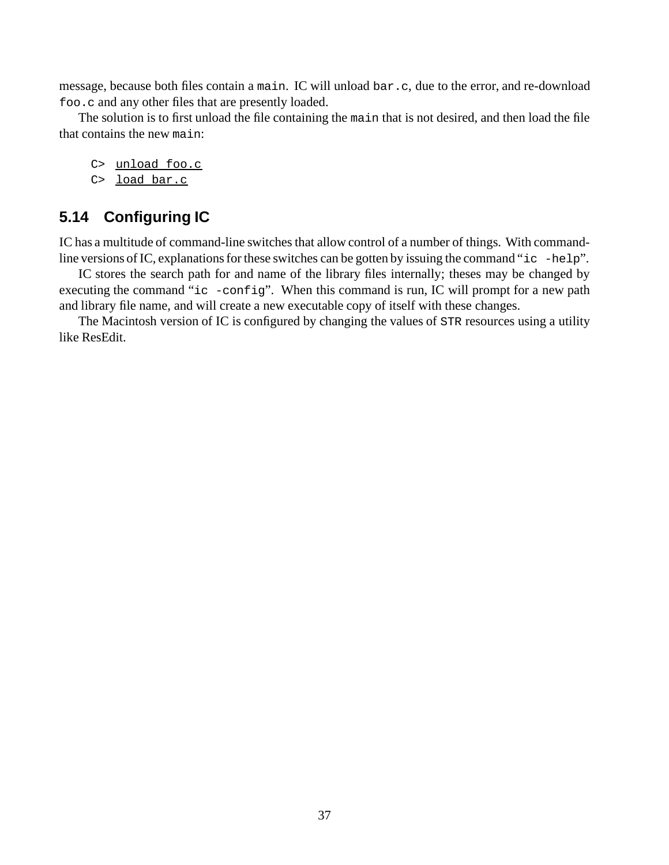message, because both files contain a main. IC will unload bar.c, due to the error, and re-download foo.c and any other files that are presently loaded.

The solution is to first unload the file containing the main that is not desired, and then load the file that contains the new main:

C> unload foo.c

C> load bar.c

## **5.14 Configuring IC**

IC has a multitude of command-line switches that allow control of a number of things. With commandline versions of IC, explanations for these switches can be gotten by issuing the command "ic -help".

IC stores the search path for and name of the library files internally; theses may be changed by executing the command "ic -config". When this command is run, IC will prompt for a new path and library file name, and will create a new executable copy of itself with these changes.

The Macintosh version of IC is configured by changing the values of STR resources using a utility like ResEdit.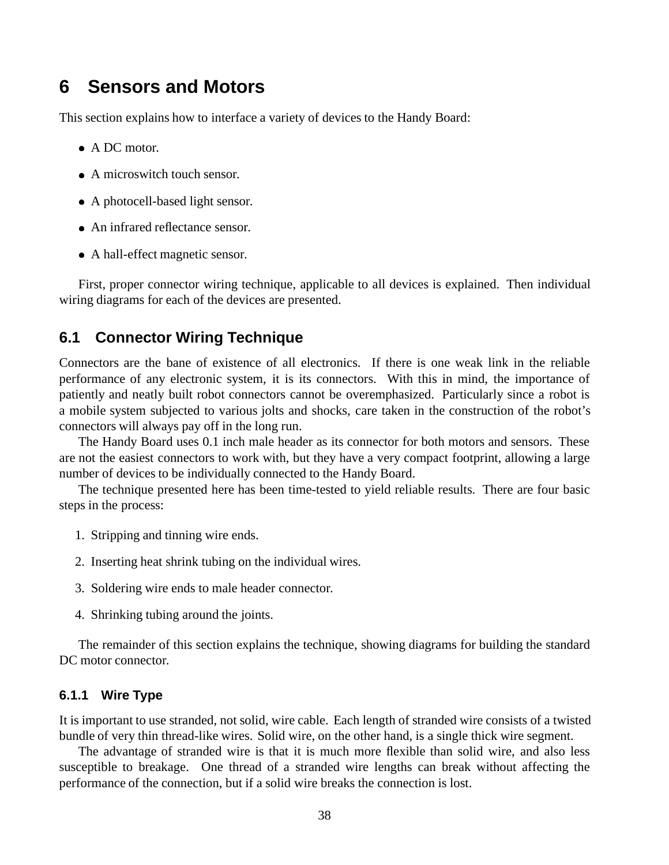# **6 Sensors and Motors**

This section explains how to interface a variety of devices to the Handy Board:

- A DC motor.
- A microswitch touch sensor.
- A photocell-based light sensor.
- An infrared reflectance sensor.
- A hall-effect magnetic sensor.

First, proper connector wiring technique, applicable to all devices is explained. Then individual wiring diagrams for each of the devices are presented.

## **6.1 Connector Wiring Technique**

Connectors are the bane of existence of all electronics. If there is one weak link in the reliable performance of any electronic system, it is its connectors. With this in mind, the importance of patiently and neatly built robot connectors cannot be overemphasized. Particularly since a robot is a mobile system subjected to various jolts and shocks, care taken in the construction of the robot's connectors will always pay off in the long run.

The Handy Board uses 0.1 inch male header as its connector for both motors and sensors. These are not the easiest connectors to work with, but they have a very compact footprint, allowing a large number of devices to be individually connected to the Handy Board.

The technique presented here has been time-tested to yield reliable results. There are four basic steps in the process:

- 1. Stripping and tinning wire ends.
- 2. Inserting heat shrink tubing on the individual wires.
- 3. Soldering wire ends to male header connector.
- 4. Shrinking tubing around the joints.

The remainder of this section explains the technique, showing diagrams for building the standard DC motor connector.

#### **6.1.1 Wire Type**

It is important to use stranded, not solid, wire cable. Each length of stranded wire consists of a twisted bundle of very thin thread-like wires. Solid wire, on the other hand, is a single thick wire segment.

The advantage of stranded wire is that it is much more flexible than solid wire, and also less susceptible to breakage. One thread of a stranded wire lengths can break without affecting the performance of the connection, but if a solid wire breaks the connection is lost.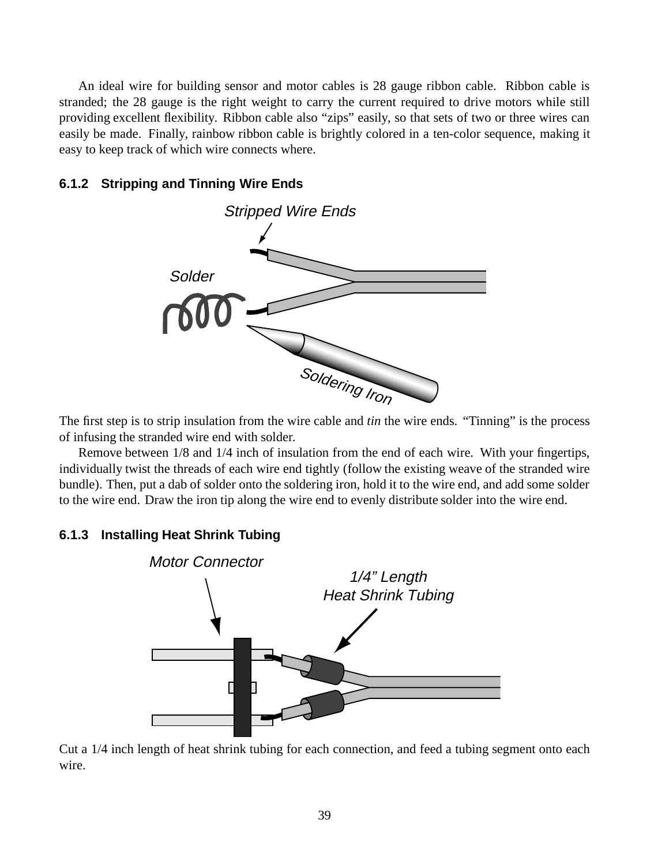An ideal wire for building sensor and motor cables is 28 gauge ribbon cable. Ribbon cable is stranded; the 28 gauge is the right weight to carry the current required to drive motors while still providing excellent flexibility. Ribbon cable also "zips" easily, so that sets of two or three wires can easily be made. Finally, rainbow ribbon cable is brightly colored in a ten-color sequence, making it easy to keep track of which wire connects where.

### **6.1.2 Stripping and Tinning Wire Ends**



The first step is to strip insulation from the wire cable and *tin* the wire ends. "Tinning" is the process of infusing the stranded wire end with solder.

Remove between 1/8 and 1/4 inch of insulation from the end of each wire. With your fingertips, individually twist the threads of each wire end tightly (follow the existing weave of the stranded wire bundle). Then, put a dab of solder onto the soldering iron, hold it to the wire end, and add some solder to the wire end. Draw the iron tip along the wire end to evenly distribute solder into the wire end.

### **6.1.3 Installing Heat Shrink Tubing**



Cut a 1/4 inch length of heat shrink tubing for each connection, and feed a tubing segment onto each wire.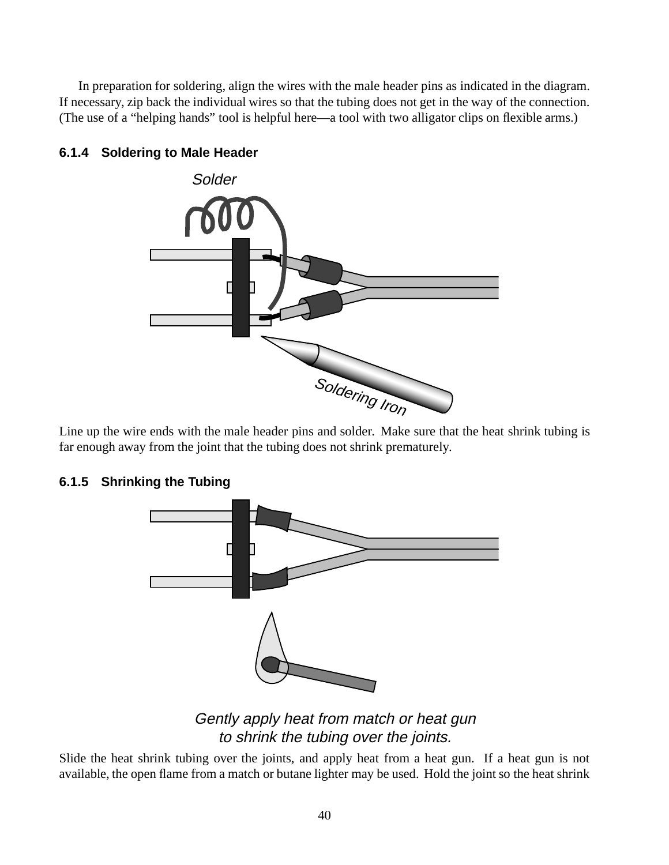In preparation for soldering, align the wires with the male header pins as indicated in the diagram. If necessary, zip back the individual wires so that the tubing does not get in the way of the connection. (The use of a "helping hands" tool is helpful here—a tool with two alligator clips on flexible arms.)



## **6.1.4 Soldering to Male Header**

Line up the wire ends with the male header pins and solder. Make sure that the heat shrink tubing is far enough away from the joint that the tubing does not shrink prematurely.

### **6.1.5 Shrinking the Tubing**



Gently apply heat from match or heat gun to shrink the tubing over the joints.

Slide the heat shrink tubing over the joints, and apply heat from a heat gun. If a heat gun is not available, the open flame from a match or butane lighter may be used. Hold the joint so the heat shrink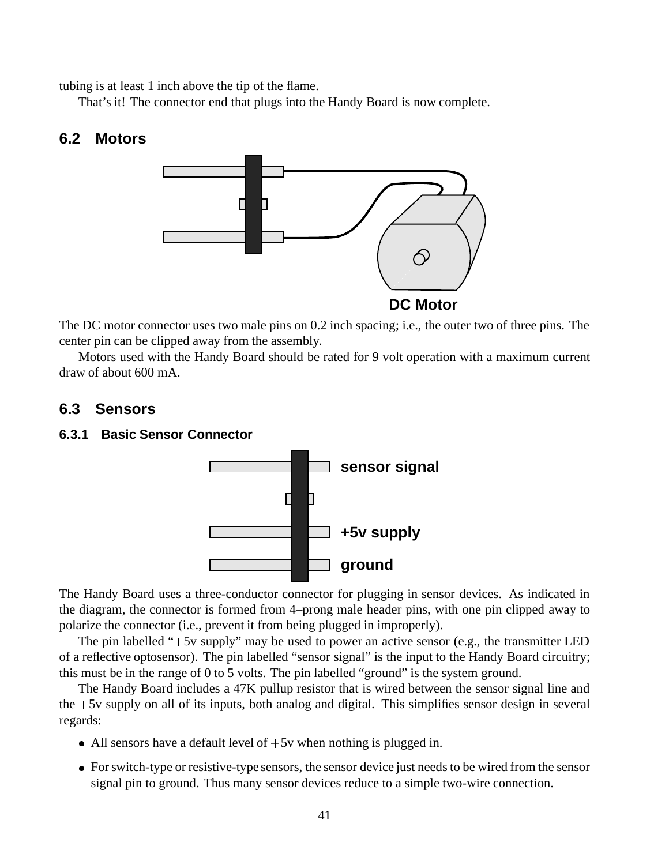tubing is at least 1 inch above the tip of the flame.

That's it! The connector end that plugs into the Handy Board is now complete.

## **6.2 Motors**



The DC motor connector uses two male pins on 0.2 inch spacing; i.e., the outer two of three pins. The center pin can be clipped away from the assembly.

Motors used with the Handy Board should be rated for 9 volt operation with a maximum current draw of about 600 mA.

## **6.3 Sensors**

#### **6.3.1 Basic Sensor Connector**



The Handy Board uses a three-conductor connector for plugging in sensor devices. As indicated in the diagram, the connector is formed from 4–prong male header pins, with one pin clipped away to polarize the connector (i.e., prevent it from being plugged in improperly).

The pin labelled " $+5v$  supply" may be used to power an active sensor (e.g., the transmitter LED of a reflective optosensor). The pin labelled "sensor signal" is the input to the Handy Board circuitry; this must be in the range of 0 to 5 volts. The pin labelled "ground" is the system ground.

The Handy Board includes a 47K pullup resistor that is wired between the sensor signal line and the <sup>+</sup>5v supply on all of its inputs, both analog and digital. This simplifies sensor design in several regards:

- All sensors have a default level of  $+5v$  when nothing is plugged in.
- For switch-type or resistive-type sensors, the sensor device just needs to be wired from the sensor signal pin to ground. Thus many sensor devices reduce to a simple two-wire connection.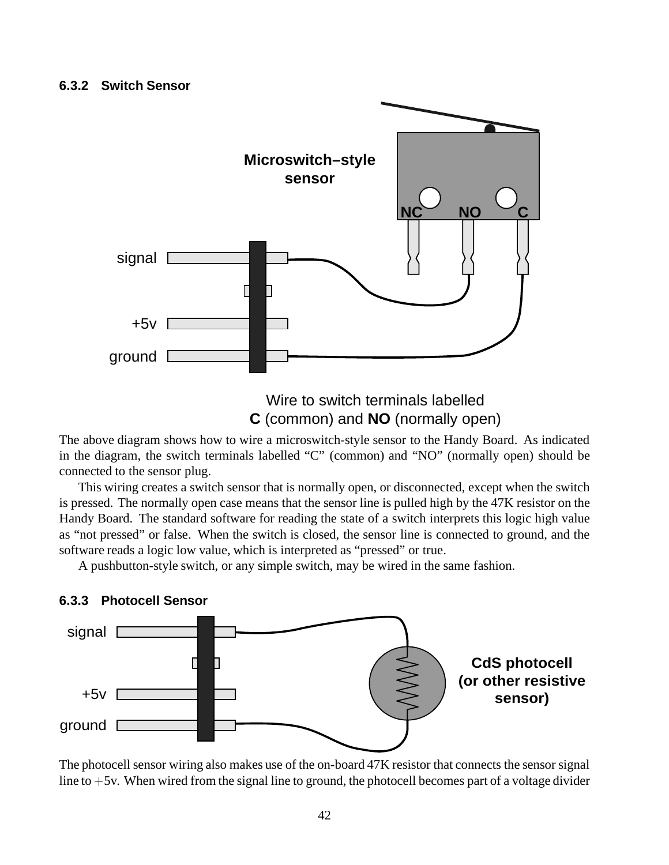ground



Wire to switch terminals labelled **C** (common) and **NO** (normally open)

The above diagram shows how to wire a microswitch-style sensor to the Handy Board. As indicated in the diagram, the switch terminals labelled "C" (common) and "NO" (normally open) should be connected to the sensor plug.

This wiring creates a switch sensor that is normally open, or disconnected, except when the switch is pressed. The normally open case means that the sensor line is pulled high by the 47K resistor on the Handy Board. The standard software for reading the state of a switch interprets this logic high value as "not pressed" or false. When the switch is closed, the sensor line is connected to ground, and the software reads a logic low value, which is interpreted as "pressed" or true.

A pushbutton-style switch, or any simple switch, may be wired in the same fashion.



# **CdS photocell (or other resistive sensor)**

The photocell sensor wiring also makes use of the on-board 47K resistor that connects the sensor signal line to  $+5v$ . When wired from the signal line to ground, the photocell becomes part of a voltage divider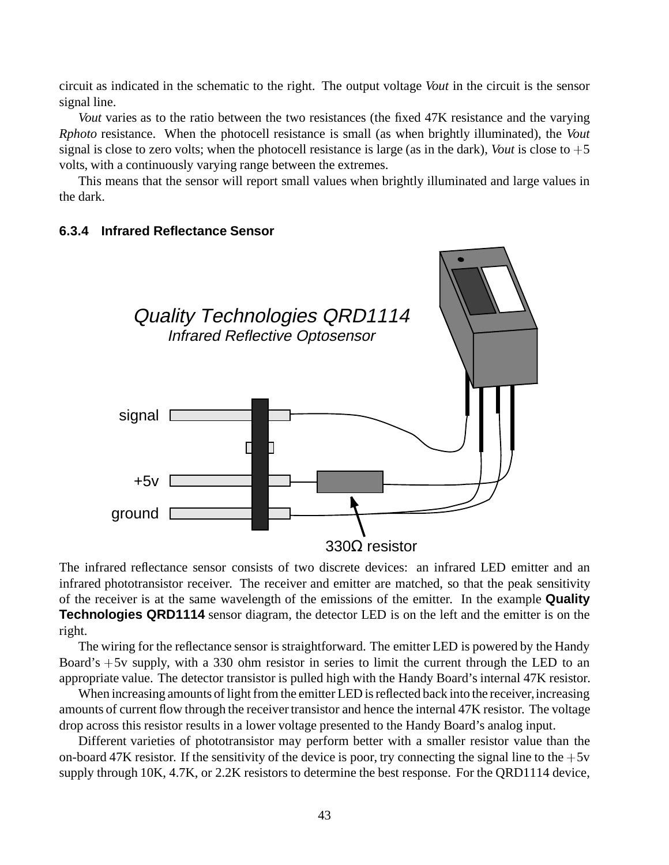circuit as indicated in the schematic to the right. The output voltage *Vout* in the circuit is the sensor signal line.

*Vout* varies as to the ratio between the two resistances (the fixed 47K resistance and the varying *Rphoto* resistance. When the photocell resistance is small (as when brightly illuminated), the *Vout* signal is close to zero volts; when the photocell resistance is large (as in the dark), *Vout* is close to  $+5$ volts, with a continuously varying range between the extremes.

This means that the sensor will report small values when brightly illuminated and large values in the dark.



#### **6.3.4 Infrared Reflectance Sensor**

The infrared reflectance sensor consists of two discrete devices: an infrared LED emitter and an infrared phototransistor receiver. The receiver and emitter are matched, so that the peak sensitivity of the receiver is at the same wavelength of the emissions of the emitter. In the example **Quality Technologies QRD1114** sensor diagram, the detector LED is on the left and the emitter is on the right.

The wiring for the reflectance sensor is straightforward. The emitter LED is powered by the Handy Board's  $+5v$  supply, with a 330 ohm resistor in series to limit the current through the LED to an appropriate value. The detector transistor is pulled high with the Handy Board's internal 47K resistor.

When increasing amounts of light from the emitter LED is reflected back into the receiver, increasing amounts of current flow through the receiver transistor and hence the internal 47K resistor. The voltage drop across this resistor results in a lower voltage presented to the Handy Board's analog input.

Different varieties of phototransistor may perform better with a smaller resistor value than the on-board 47K resistor. If the sensitivity of the device is poor, try connecting the signal line to the  $+5v$ supply through 10K, 4.7K, or 2.2K resistors to determine the best response. For the QRD1114 device,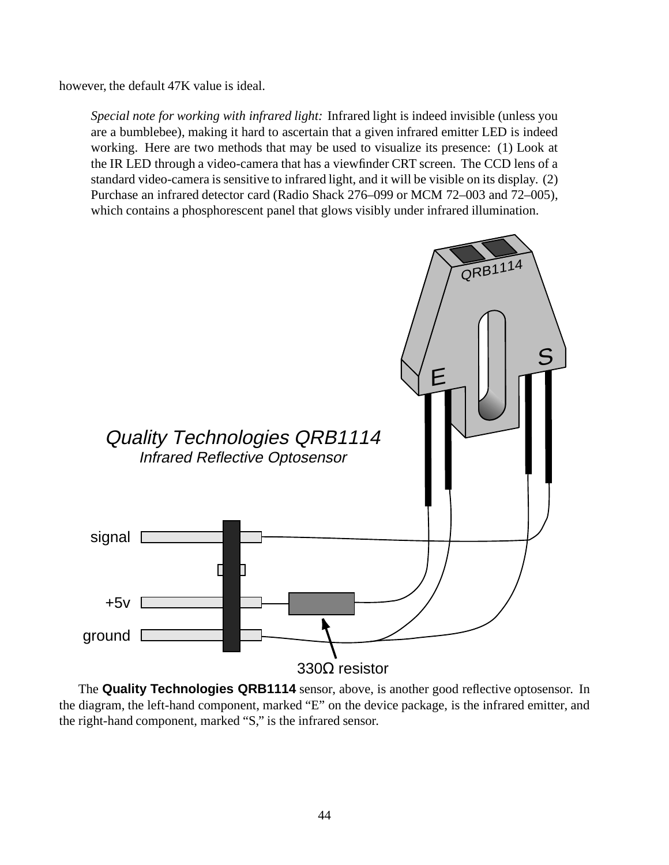however, the default 47K value is ideal.

*Special note for working with infrared light:* Infrared light is indeed invisible (unless you are a bumblebee), making it hard to ascertain that a given infrared emitter LED is indeed working. Here are two methods that may be used to visualize its presence: (1) Look at the IR LED through a video-camera that has a viewfinder CRT screen. The CCD lens of a standard video-camera is sensitive to infrared light, and it will be visible on its display. (2) Purchase an infrared detector card (Radio Shack 276–099 or MCM 72–003 and 72–005), which contains a phosphorescent panel that glows visibly under infrared illumination.



The **Quality Technologies QRB1114** sensor, above, is another good reflective optosensor. In the diagram, the left-hand component, marked "E" on the device package, is the infrared emitter, and the right-hand component, marked "S," is the infrared sensor.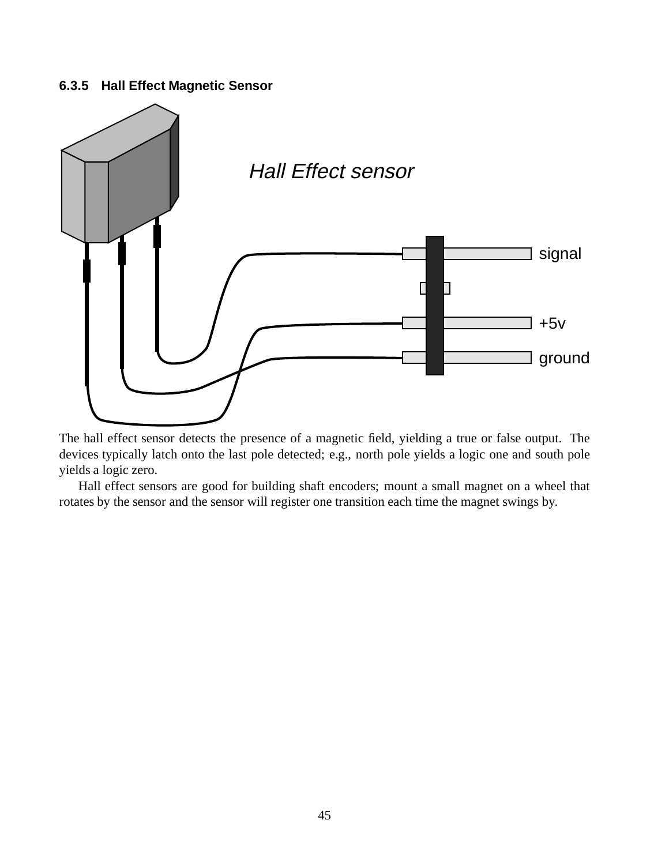### **6.3.5 Hall Effect Magnetic Sensor**



The hall effect sensor detects the presence of a magnetic field, yielding a true or false output. The devices typically latch onto the last pole detected; e.g., north pole yields a logic one and south pole yields a logic zero.

Hall effect sensors are good for building shaft encoders; mount a small magnet on a wheel that rotates by the sensor and the sensor will register one transition each time the magnet swings by.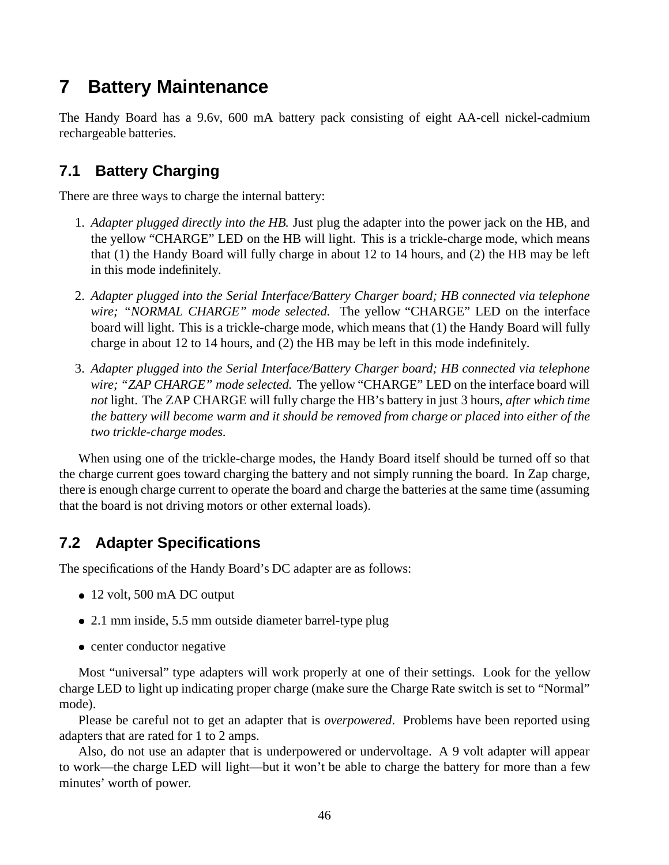# **7 Battery Maintenance**

The Handy Board has a 9.6v, 600 mA battery pack consisting of eight AA-cell nickel-cadmium rechargeable batteries.

# **7.1 Battery Charging**

There are three ways to charge the internal battery:

- 1. *Adapter plugged directly into the HB.* Just plug the adapter into the power jack on the HB, and the yellow "CHARGE" LED on the HB will light. This is a trickle-charge mode, which means that (1) the Handy Board will fully charge in about 12 to 14 hours, and (2) the HB may be left in this mode indefinitely.
- 2. *Adapter plugged into the Serial Interface/Battery Charger board; HB connected via telephone wire; "NORMAL CHARGE" mode selected.* The yellow "CHARGE" LED on the interface board will light. This is a trickle-charge mode, which means that (1) the Handy Board will fully charge in about 12 to 14 hours, and (2) the HB may be left in this mode indefinitely.
- 3. *Adapter plugged into the Serial Interface/Battery Charger board; HB connected via telephone wire; "ZAP CHARGE" mode selected.* The yellow "CHARGE" LED on the interface board will *not* light. The ZAP CHARGE will fully charge the HB's battery in just 3 hours, *after which time the battery will become warm and it should be removed from charge or placed into either of the two trickle-charge modes*.

When using one of the trickle-charge modes, the Handy Board itself should be turned off so that the charge current goes toward charging the battery and not simply running the board. In Zap charge, there is enough charge current to operate the board and charge the batteries at the same time (assuming that the board is not driving motors or other external loads).

# **7.2 Adapter Specifications**

The specifications of the Handy Board's DC adapter are as follows:

- 12 volt, 500 mA DC output
- 2.1 mm inside, 5.5 mm outside diameter barrel-type plug
- center conductor negative

Most "universal" type adapters will work properly at one of their settings. Look for the yellow charge LED to light up indicating proper charge (make sure the Charge Rate switch is set to "Normal" mode).

Please be careful not to get an adapter that is *overpowered*. Problems have been reported using adapters that are rated for 1 to 2 amps.

Also, do not use an adapter that is underpowered or undervoltage. A 9 volt adapter will appear to work—the charge LED will light—but it won't be able to charge the battery for more than a few minutes' worth of power.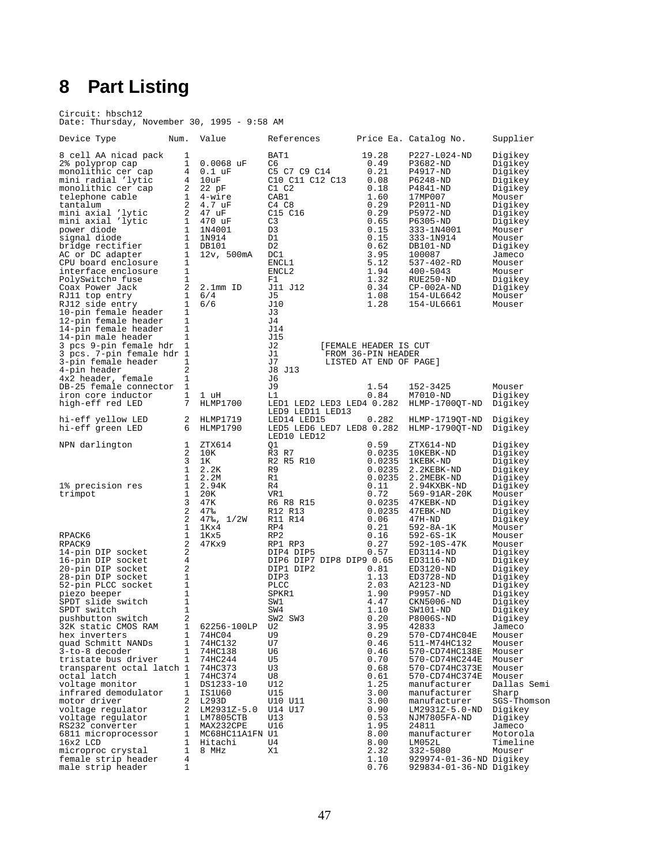# **8 Part Listing**

# Circuit: hbsch12 Date: Thursday, November 30, 1995 - 9:58 AM

| Device Type                                                                                                              | Num.                                                         | Value                                                 | References                                                                  |                                                                       | Price Ea. Catalog No.                                                        | Supplier                                                      |
|--------------------------------------------------------------------------------------------------------------------------|--------------------------------------------------------------|-------------------------------------------------------|-----------------------------------------------------------------------------|-----------------------------------------------------------------------|------------------------------------------------------------------------------|---------------------------------------------------------------|
| 8 cell AA nicad pack                                                                                                     | 1                                                            |                                                       | BAT1                                                                        | 19.28                                                                 | P227-L024-ND                                                                 | Digikey                                                       |
| 2% polyprop cap<br>monolithic cer cap<br>mini radial ′lytic<br>monolithic cer cap<br>telephone cable                     | 1<br>4<br>4<br>2<br>1                                        | 0.0068 uF<br>0.1 uF<br>10uF<br>22pF<br>4-wire         | C6<br>C5 C7 C9 C14<br>C10 C11 C12 C13<br>C1 C2<br>CAB1                      | 0.49<br>0.21<br>0.08<br>0.18<br>1.60                                  | P3682-ND<br>P4917-ND<br>P6248-ND<br>P4841-ND<br>17MP007                      | Digikey<br>Digikey<br>Digikey<br>Digikey<br>Mouser            |
| tantalum<br>mini axial ′lytic<br>mini axial 'lytic<br>power diode<br>signal diode<br>bridge rectifier                    | 2<br>2<br>1<br>1<br>1<br>1                                   | 4.7 uF<br>47 uF<br>470 uF<br>1N4001<br>1N914<br>DB101 | C4 C8<br>C15 C16<br>C3<br>D3<br>D1<br>D2                                    | 0.29<br>0.29<br>0.65<br>0.15<br>0.15<br>0.62                          | P2011-ND<br>P5972-ND<br>P6305-ND<br>333-1N4001<br>333-1N914<br>DB101-ND      | Digikey<br>Digikey<br>Digikey<br>Mouser<br>Mouser<br>Digikey  |
| AC or DC adapter<br>CPU board enclosure<br>interface enclosure<br>PolySwitch¤ fuse                                       | 1<br>1<br>1<br>1                                             | 12v, 500mA                                            | DC1<br>ENCL1<br>ENCL <sub>2</sub><br>F1                                     | 3.95<br>5.12<br>1.94<br>1.32                                          | 100087<br>537-402-RD<br>$400 - 5043$<br>RUE250-ND                            | Jameco<br>Mouser<br>Mouser<br>Digikey                         |
| Coax Power Jack<br>RJ11 top entry<br>RJ12 side entry<br>10-pin female header<br>12-pin female header                     | 2<br>1<br>1<br>1<br>1                                        | $2.1mm$ ID<br>6/4<br>6/6                              | J11 J12<br>J5<br>J10<br>J3<br>J4                                            | 0.34<br>1.08<br>1.28                                                  | $CP-002A-ND$<br>154-UL6642<br>154-UL6661                                     | Digikey<br>Mouser<br>Mouser                                   |
| 14-pin female header<br>14-pin male header<br>3 pcs 9-pin female hdr<br>3 pcs. 7-pin female hdr 1<br>3-pin female header | 1<br>1<br>1<br>1                                             |                                                       | J14<br>J15<br>J2<br>J1<br>J7                                                | [FEMALE HEADER IS CUT<br>FROM 36-PIN HEADER<br>LISTED AT END OF PAGE] |                                                                              |                                                               |
| 4-pin header<br>4x2 header, female                                                                                       | 2<br>1                                                       |                                                       | J8 J13<br>J6                                                                |                                                                       |                                                                              |                                                               |
| DB-25 female connector                                                                                                   | 1                                                            |                                                       | J9                                                                          | 1.54                                                                  | 152-3425                                                                     | Mouser                                                        |
| iron core inductor<br>high-eff red LED                                                                                   | 1<br>7                                                       | 1 uH<br>HLMP1700                                      | L1<br>LED1 LED2 LED3 LED4 0.282                                             | 0.84                                                                  | M7010-ND<br>HLMP-1700QT-ND                                                   | Digikey<br>Digikey                                            |
| hi-eff yellow LED<br>hi-eff green LED                                                                                    | 2<br>6                                                       | HLMP1719<br>HLMP1790                                  | LED9 LED11 LED13<br>LED14 LED15<br>LED5 LED6 LED7 LED8 0.282<br>LED10 LED12 | 0.282                                                                 | HLMP-1719QT-ND<br>HLMP-1790QT-ND                                             | Digikey<br>Digikey                                            |
| NPN darlington                                                                                                           | 1<br>2<br>3<br>1                                             | ZTX614<br>10K<br>1Κ<br>2.2K                           | Q1<br>R3 R7<br>R2 R5 R10<br>R9                                              | 0.59<br>0.0235<br>0.0235<br>0.0235                                    | ZTX614-ND<br>10KEBK-ND<br>1KEBK-ND<br>2.2KEBK-ND                             | Digikey<br>Digikey<br>Digikey<br>Digikey                      |
| 1% precision res<br>trimpot                                                                                              | 1<br>1<br>1<br>3<br>2<br>$\overline{c}$                      | 2.2M<br>2.94K<br>20K<br>47K<br>47%<br>47%, 1/2W       | R1<br>R4<br>VR1<br>R6 R8 R15<br>R12 R13<br>R11 R14                          | 0.0235<br>0.11<br>0.72<br>0.0235<br>0.0235<br>0.06                    | 2.2MEBK-ND<br>2.94KXBK-ND<br>569-91AR-20K<br>47KEBK-ND<br>47EBK-ND<br>47H-ND | Digikey<br>Digikey<br>Mouser<br>Digikey<br>Digikey<br>Digikey |
| RPACK6<br>RPACK9<br>14-pin DIP socket                                                                                    | $\mathbf 1$<br>$\mathbf 1$<br>$\boldsymbol{2}$<br>$\sqrt{2}$ | 1Kx4<br>1Kx5<br>47Kx9                                 | RP4<br>RP <sub>2</sub><br>RP1 RP3<br>DIP4 DIP5                              | 0.21<br>0.16<br>0.27<br>0.57                                          | 592-8A-1K<br>592-6S-1K<br>592-10S-47K<br>ED3114-ND                           | Mouser<br>Mouser<br>Mouser<br>Digikey                         |
| 16-pin DIP socket<br>20-pin DIP socket<br>28-pin DIP socket<br>52-pin PLCC socket                                        | 4<br>2<br>1<br>1                                             |                                                       | DIP6 DIP7 DIP8 DIP9 0.65<br>DIP1 DIP2<br>DIP3<br><b>PLCC</b>                | 0.81<br>1.13<br>2.03                                                  | ED3116-ND<br>$ED3120-ND$<br>ED3728-ND<br>A2123-ND                            | Digikey<br>Digikey<br>Digikey<br>Digikey                      |
| piezo beeper<br>SPDT slide switch<br>SPDT switch                                                                         | 1<br>1<br>1                                                  |                                                       | SPKR1<br>SW1<br>SW4                                                         | 1.90<br>4.47<br>1.10                                                  | P9957-ND<br>CKN5006-ND<br>SW101-ND                                           | Digikey<br>Digikey<br>Digikey                                 |
| pushbutton switch<br>32K static CMOS RAM<br>hex inverters                                                                | 2<br>1<br>1                                                  | 62256-100LP<br>74HC04                                 | SW2 SW3<br>U2<br>U9                                                         | 0.20<br>3.95<br>0.29                                                  | P8006S-ND<br>42833<br>570-CD74HC04E                                          | Digikey<br>Jameco<br>Mouser                                   |
| quad Schmitt NANDs<br>3-to-8 decoder<br>tristate bus driver<br>transparent octal latch 1                                 | 1<br>1<br>1                                                  | 74HC132<br>74HC138<br>74HC244<br>74HC373              | U7<br>U6<br>U5<br>U3                                                        | 0.46<br>0.46<br>0.70<br>0.68                                          | 511-M74HC132<br>570-CD74HC138E<br>570-CD74HC244E<br>570-CD74HC373E           | Mouser<br>Mouser<br>Mouser<br>Mouser                          |
| octal latch<br>voltage monitor<br>infrared demodulator<br>motor driver                                                   | 1<br>1<br>1<br>2                                             | 74HC374<br>DS1233-10<br>IS1U60<br>L293D               | U8<br>U12<br>U15<br>U10 U11                                                 | 0.61<br>1.25<br>3.00<br>3.00                                          | 570-CD74HC374E<br>manufacturer<br>manufacturer<br>manufacturer               | Mouser<br>Dallas Semi<br>Sharp<br>SGS-Thomson                 |
| voltage regulator<br>voltage regulator<br>RS232 converter                                                                | 2<br>1<br>1                                                  | $LM2931Z-5.0$<br>LM7805CTB<br>MAX232CPE               | U14 U17<br>U13<br>U16                                                       | 0.90<br>0.53<br>1.95                                                  | LM2931Z-5.0-ND<br>NJM7805FA-ND<br>24811                                      | Digikey<br>Digikey<br>Jameco                                  |
| 6811 microprocessor<br>16x2 LCD                                                                                          | 1<br>1                                                       | MC68HC11A1FN U1<br>Hitachi                            | U4                                                                          | 8.00<br>8.00                                                          | manufacturer<br>LM052L                                                       | Motorola<br>Timeline                                          |
| microproc crystal<br>female strip header                                                                                 | 1<br>4                                                       | 8 MHz                                                 | X1                                                                          | 2.32<br>1.10                                                          | 332-5080<br>929974-01-36-ND Digikey                                          | Mouser                                                        |
| male strip header                                                                                                        | 1                                                            |                                                       |                                                                             | 0.76                                                                  | 929834-01-36-ND Digikey                                                      |                                                               |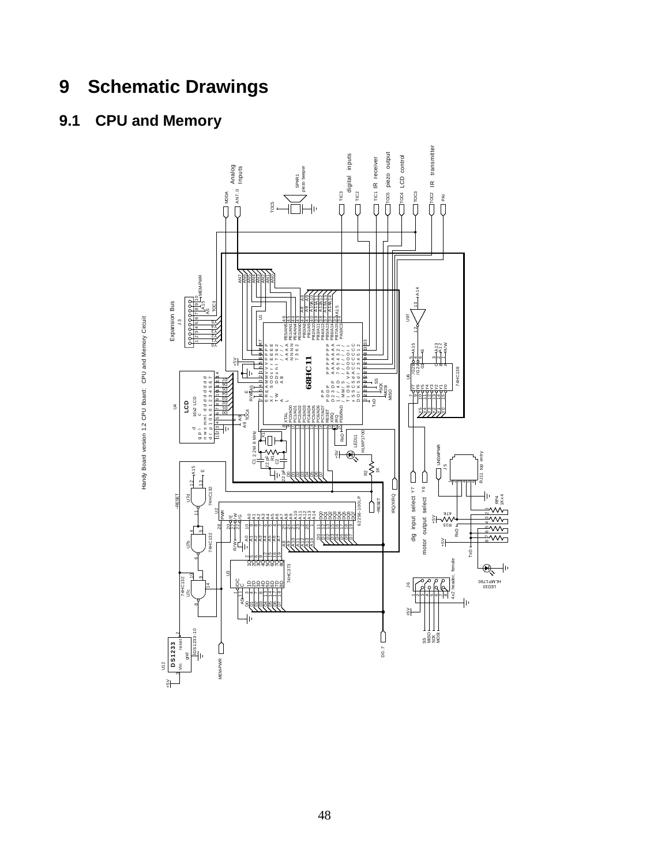# **9 Schematic Drawings**

# **9.1 CPU and Memory**



Handy Board version 1.2 CPU Board: CPU and Memory Circuit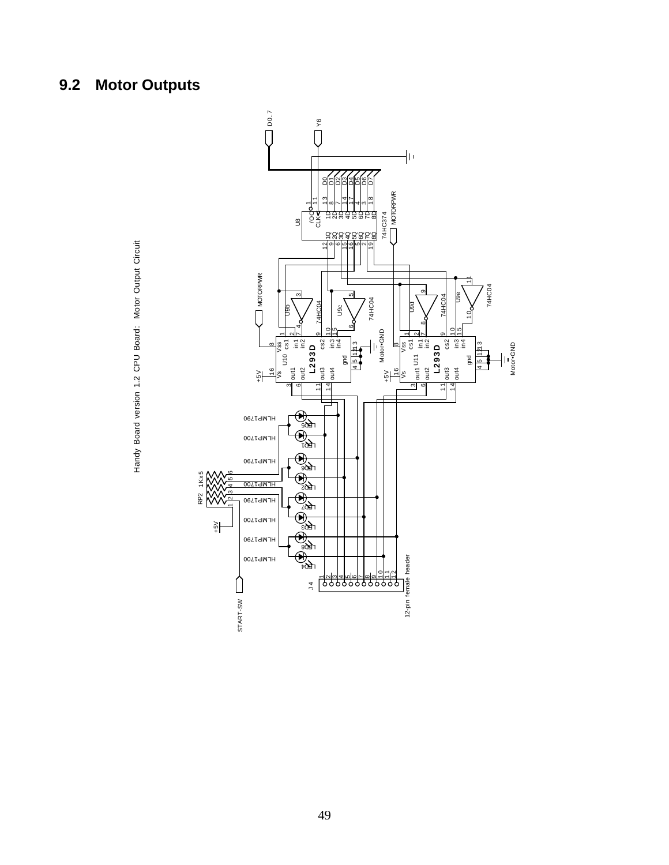# **9.2 Motor Outputs**

Handy Board version 1.2 CPU Board: Motor Output Circuit Handy Board version 1.2 CPU Board: Motor Output Circuit

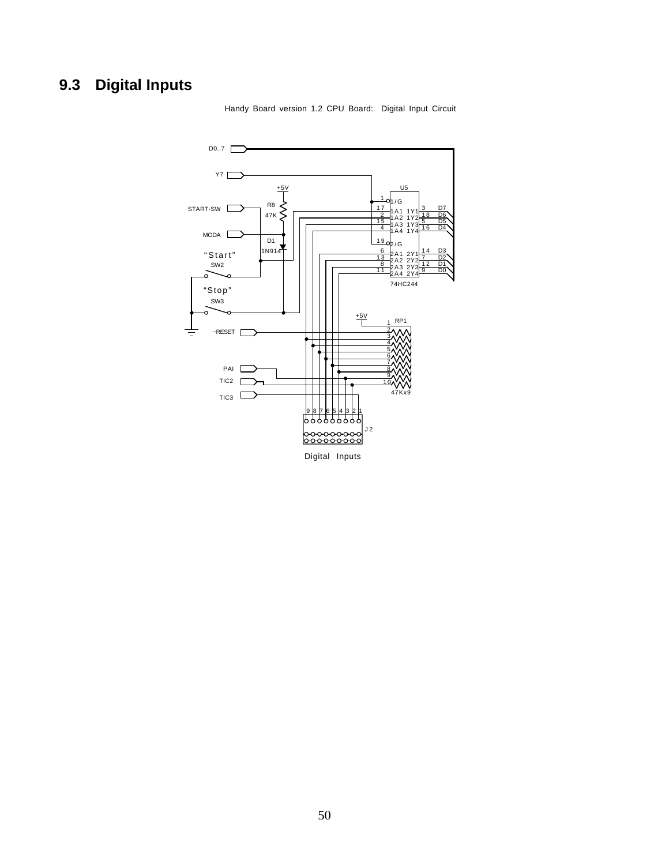# **9.3 Digital Inputs**



Handy Board version 1.2 CPU Board: Digital Input Circuit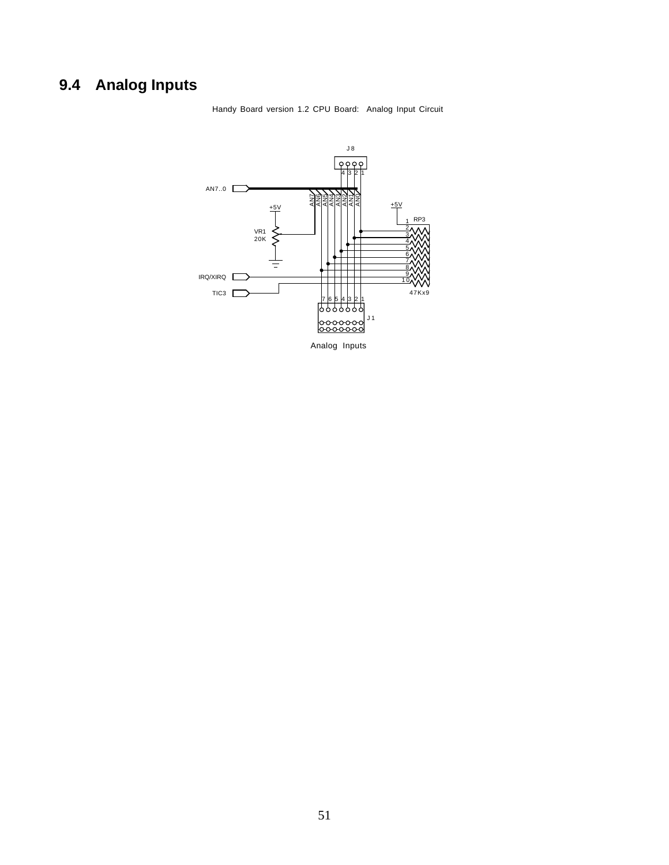# **9.4 Analog Inputs**

Handy Board version 1.2 CPU Board: Analog Input Circuit

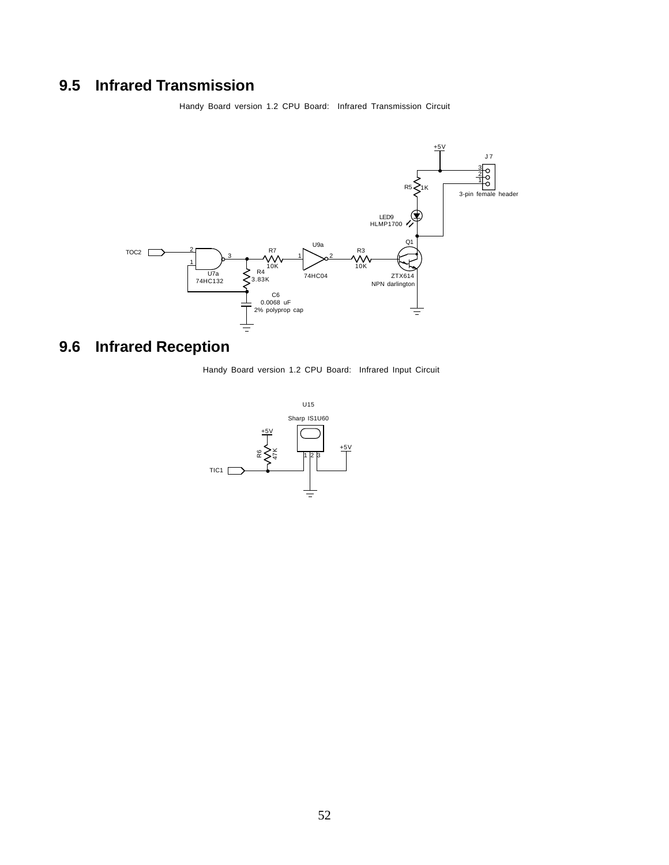## **9.5 Infrared Transmission**

Handy Board version 1.2 CPU Board: Infrared Transmission Circuit



# **9.6 Infrared Reception**

Handy Board version 1.2 CPU Board: Infrared Input Circuit

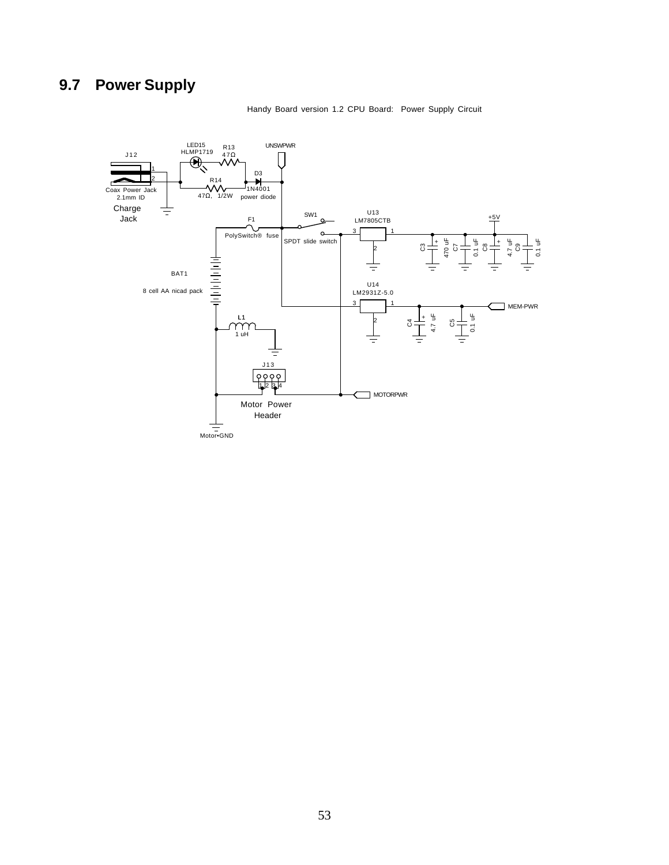# **9.7 Power Supply**

Handy Board version 1.2 CPU Board: Power Supply Circuit

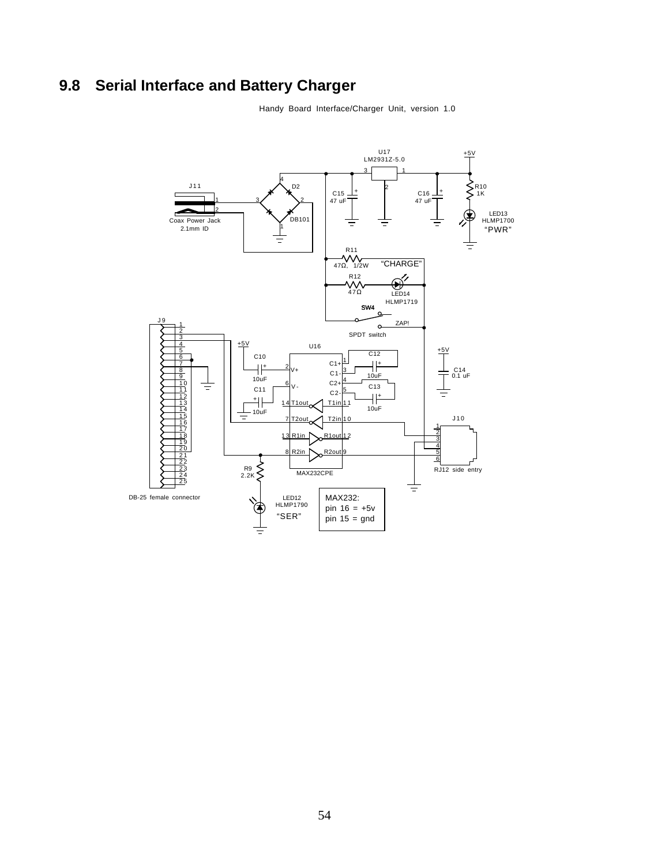# **9.8 Serial Interface and Battery Charger**

Handy Board Interface/Charger Unit, version 1.0

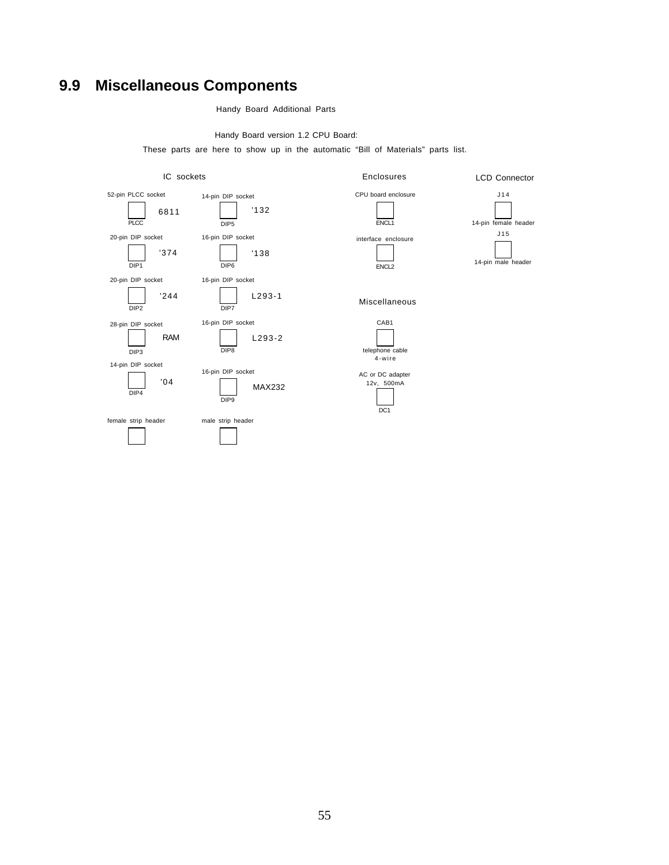# **9.9 Miscellaneous Components**

Handy Board Additional Parts

Handy Board version 1.2 CPU Board:

These parts are here to show up in the automatic "Bill of Materials" parts list.

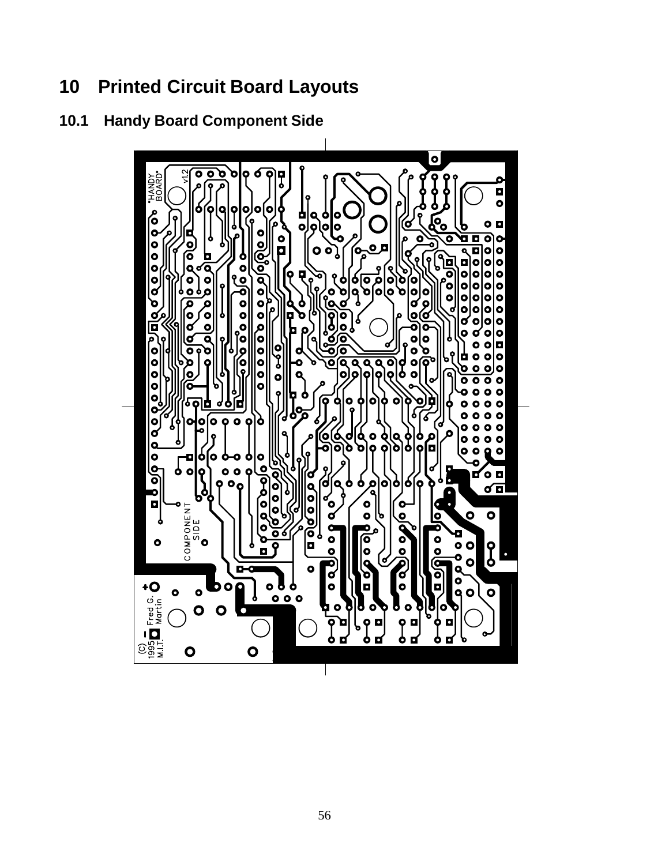# **10 Printed Circuit Board Layouts**

# **10.1 Handy Board Component Side**

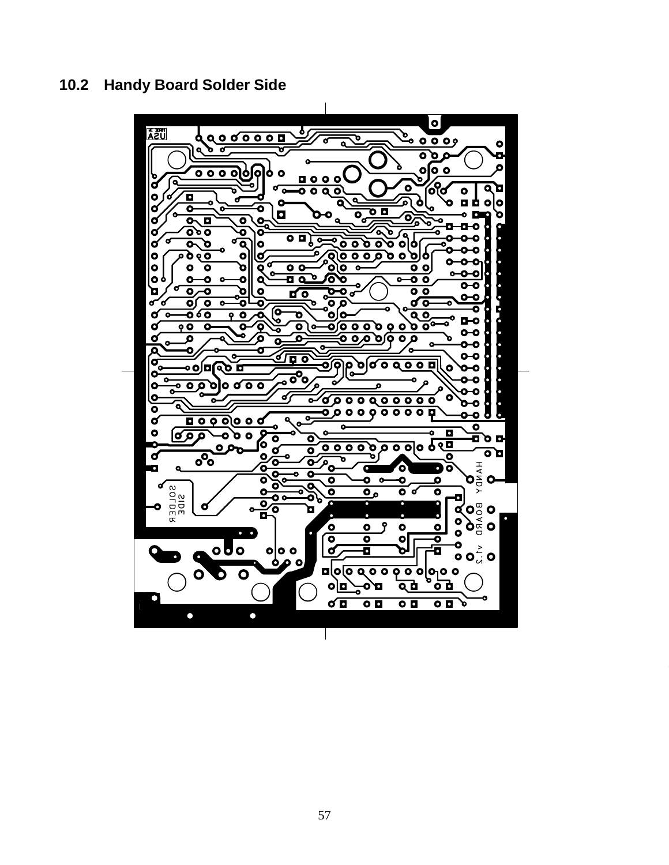# **10.2 Handy Board Solder Side**

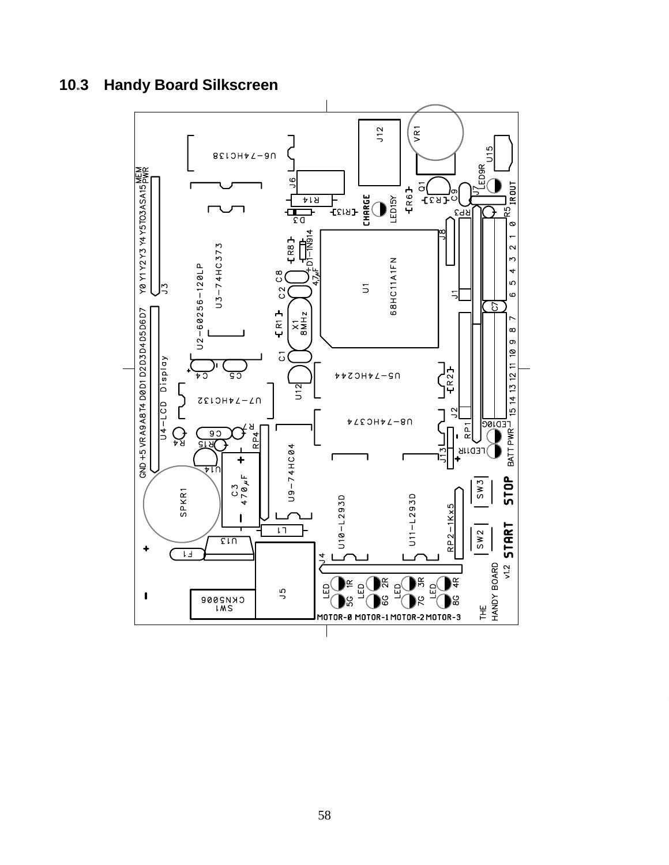# **10.3 Handy Board Silkscreen**

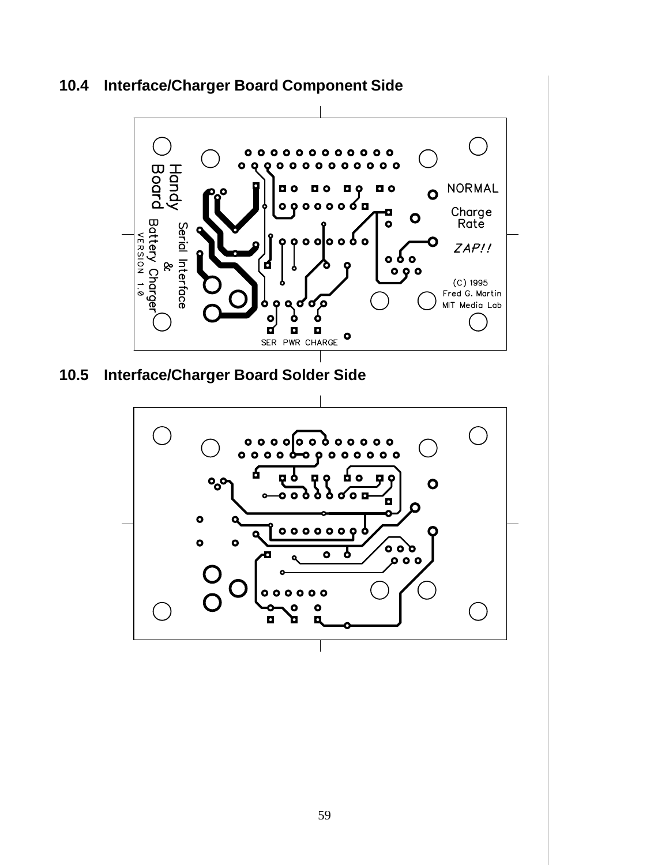

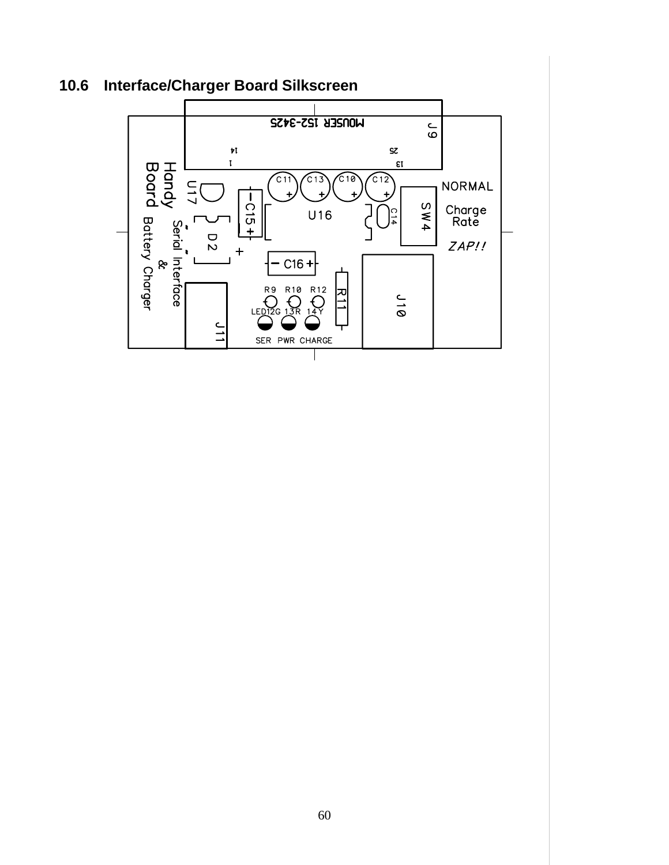

60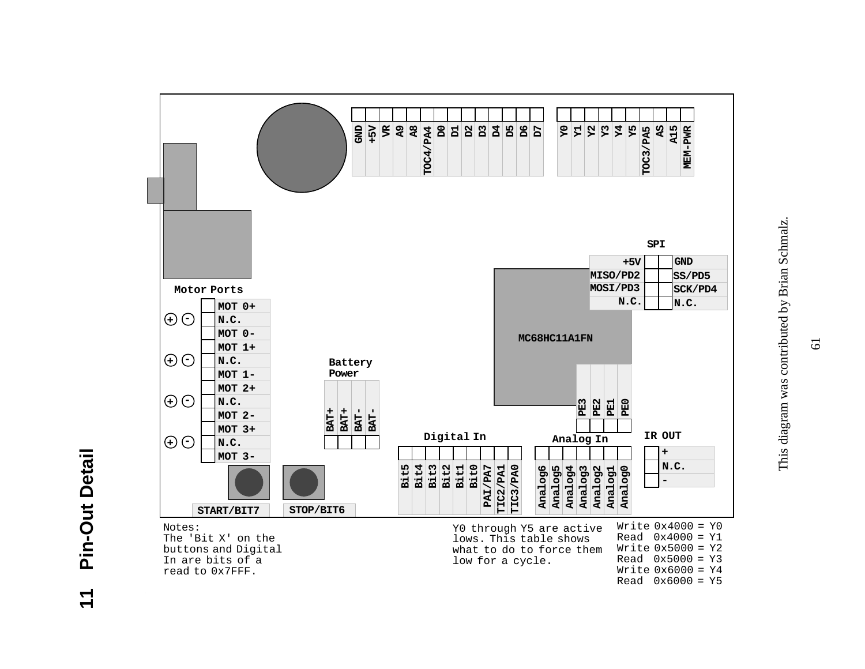



61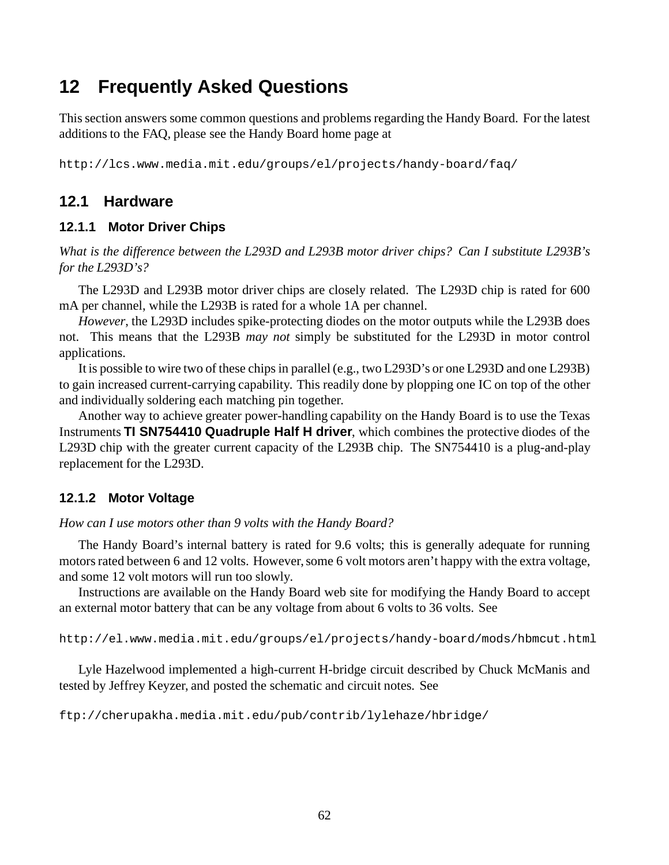# **12 Frequently Asked Questions**

This section answers some common questions and problems regarding the Handy Board. For the latest additions to the FAQ, please see the Handy Board home page at

http://lcs.www.media.mit.edu/groups/el/projects/handy-board/faq/

## **12.1 Hardware**

### **12.1.1 Motor Driver Chips**

*What is the difference between the L293D and L293B motor driver chips? Can I substitute L293B's for the L293D's?*

The L293D and L293B motor driver chips are closely related. The L293D chip is rated for 600 mA per channel, while the L293B is rated for a whole 1A per channel.

*However*, the L293D includes spike-protecting diodes on the motor outputs while the L293B does not. This means that the L293B *may not* simply be substituted for the L293D in motor control applications.

It is possible to wire two of these chips in parallel (e.g., two L293D's or one L293D and one L293B) to gain increased current-carrying capability. This readily done by plopping one IC on top of the other and individually soldering each matching pin together.

Another way to achieve greater power-handling capability on the Handy Board is to use the Texas Instruments **TI SN754410 Quadruple Half H driver**, which combines the protective diodes of the L293D chip with the greater current capacity of the L293B chip. The SN754410 is a plug-and-play replacement for the L293D.

## **12.1.2 Motor Voltage**

*How can I use motors other than 9 volts with the Handy Board?*

The Handy Board's internal battery is rated for 9.6 volts; this is generally adequate for running motors rated between 6 and 12 volts. However, some 6 volt motors aren't happy with the extra voltage, and some 12 volt motors will run too slowly.

Instructions are available on the Handy Board web site for modifying the Handy Board to accept an external motor battery that can be any voltage from about 6 volts to 36 volts. See

http://el.www.media.mit.edu/groups/el/projects/handy-board/mods/hbmcut.html

Lyle Hazelwood implemented a high-current H-bridge circuit described by Chuck McManis and tested by Jeffrey Keyzer, and posted the schematic and circuit notes. See

ftp://cherupakha.media.mit.edu/pub/contrib/lylehaze/hbridge/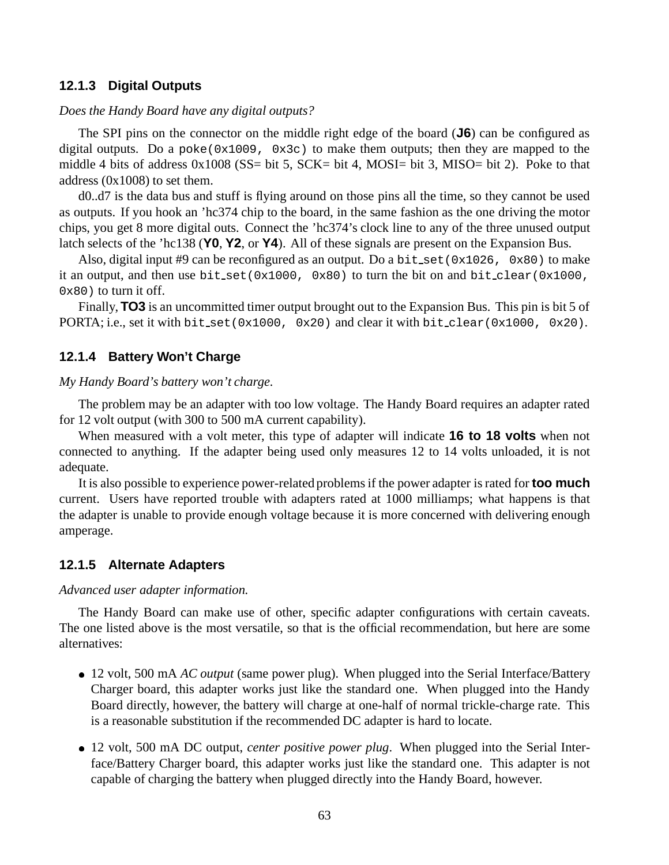#### **12.1.3 Digital Outputs**

#### *Does the Handy Board have any digital outputs?*

The SPI pins on the connector on the middle right edge of the board (**J6**) can be configured as digital outputs. Do a poke( $0x1009$ ,  $0x3c$ ) to make them outputs; then they are mapped to the middle 4 bits of address 0x1008 (SS= bit 5, SCK= bit 4, MOSI= bit 3, MISO= bit 2). Poke to that address (0x1008) to set them.

d0..d7 is the data bus and stuff is flying around on those pins all the time, so they cannot be used as outputs. If you hook an 'hc374 chip to the board, in the same fashion as the one driving the motor chips, you get 8 more digital outs. Connect the 'hc374's clock line to any of the three unused output latch selects of the 'hc138 (**Y0**, **Y2**, or **Y4**). All of these signals are present on the Expansion Bus.

Also, digital input #9 can be reconfigured as an output. Do a bit set (0x1026, 0x80) to make it an output, and then use bit\_set(0x1000, 0x80) to turn the bit on and bit\_clear(0x1000, 0x80) to turn it off.

Finally, **TO3** is an uncommitted timer output brought out to the Expansion Bus. This pin is bit 5 of PORTA; i.e., set it with bit\_set(0x1000, 0x20) and clear it with bit\_clear(0x1000, 0x20).

#### **12.1.4 Battery Won't Charge**

#### *My Handy Board's battery won't charge.*

The problem may be an adapter with too low voltage. The Handy Board requires an adapter rated for 12 volt output (with 300 to 500 mA current capability).

When measured with a volt meter, this type of adapter will indicate **16 to 18 volts** when not connected to anything. If the adapter being used only measures 12 to 14 volts unloaded, it is not adequate.

It is also possible to experience power-related problems if the power adapter is rated for **too much** current. Users have reported trouble with adapters rated at 1000 milliamps; what happens is that the adapter is unable to provide enough voltage because it is more concerned with delivering enough amperage.

#### **12.1.5 Alternate Adapters**

#### *Advanced user adapter information.*

The Handy Board can make use of other, specific adapter configurations with certain caveats. The one listed above is the most versatile, so that is the official recommendation, but here are some alternatives:

- 12 volt, 500 mA *AC output* (same power plug). When plugged into the Serial Interface/Battery Charger board, this adapter works just like the standard one. When plugged into the Handy Board directly, however, the battery will charge at one-half of normal trickle-charge rate. This is a reasonable substitution if the recommended DC adapter is hard to locate.
- 12 volt, 500 mA DC output, *center positive power plug*. When plugged into the Serial Interface/Battery Charger board, this adapter works just like the standard one. This adapter is not capable of charging the battery when plugged directly into the Handy Board, however.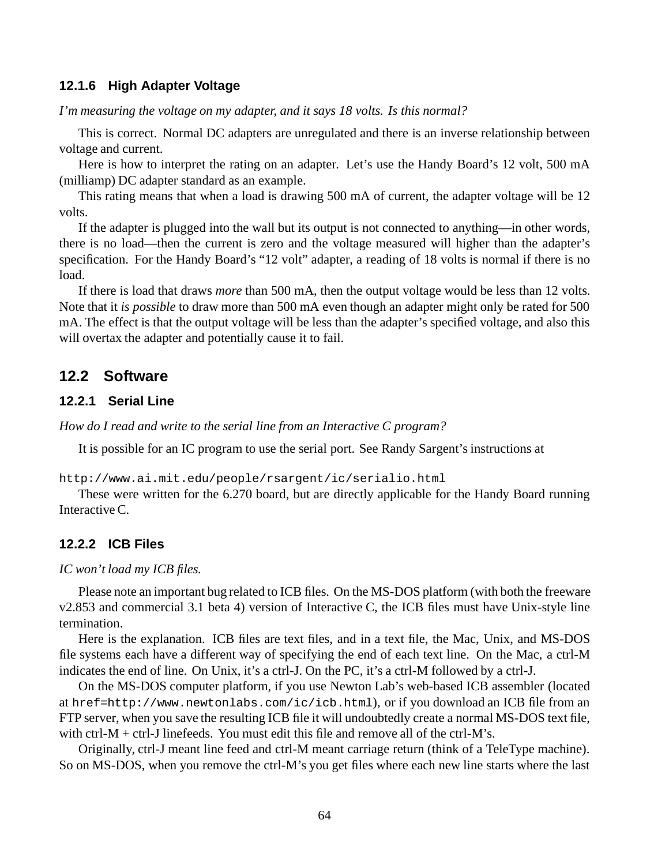#### **12.1.6 High Adapter Voltage**

*I'm measuring the voltage on my adapter, and it says 18 volts. Is this normal?*

This is correct. Normal DC adapters are unregulated and there is an inverse relationship between voltage and current.

Here is how to interpret the rating on an adapter. Let's use the Handy Board's 12 volt, 500 mA (milliamp) DC adapter standard as an example.

This rating means that when a load is drawing 500 mA of current, the adapter voltage will be 12 volts.

If the adapter is plugged into the wall but its output is not connected to anything—in other words, there is no load—then the current is zero and the voltage measured will higher than the adapter's specification. For the Handy Board's "12 volt" adapter, a reading of 18 volts is normal if there is no load.

If there is load that draws *more* than 500 mA, then the output voltage would be less than 12 volts. Note that it *is possible* to draw more than 500 mA even though an adapter might only be rated for 500 mA. The effect is that the output voltage will be less than the adapter's specified voltage, and also this will overtax the adapter and potentially cause it to fail.

### **12.2 Software**

#### **12.2.1 Serial Line**

*How do I read and write to the serial line from an Interactive C program?*

It is possible for an IC program to use the serial port. See Randy Sargent's instructions at

http://www.ai.mit.edu/people/rsargent/ic/serialio.html

These were written for the 6.270 board, but are directly applicable for the Handy Board running Interactive C.

#### **12.2.2 ICB Files**

*IC won't load my ICB files.*

Please note an important bug related to ICB files. On the MS-DOS platform (with both the freeware v2.853 and commercial 3.1 beta 4) version of Interactive C, the ICB files must have Unix-style line termination.

Here is the explanation. ICB files are text files, and in a text file, the Mac, Unix, and MS-DOS file systems each have a different way of specifying the end of each text line. On the Mac, a ctrl-M indicates the end of line. On Unix, it's a ctrl-J. On the PC, it's a ctrl-M followed by a ctrl-J.

On the MS-DOS computer platform, if you use Newton Lab's web-based ICB assembler (located at href=http://www.newtonlabs.com/ic/icb.html), or if you download an ICB file from an FTP server, when you save the resulting ICB file it will undoubtedly create a normal MS-DOS text file, with  $ctrl-M + ctl-J$  linefeeds. You must edit this file and remove all of the  $ctrl-M$ 's.

Originally, ctrl-J meant line feed and ctrl-M meant carriage return (think of a TeleType machine). So on MS-DOS, when you remove the ctrl-M's you get files where each new line starts where the last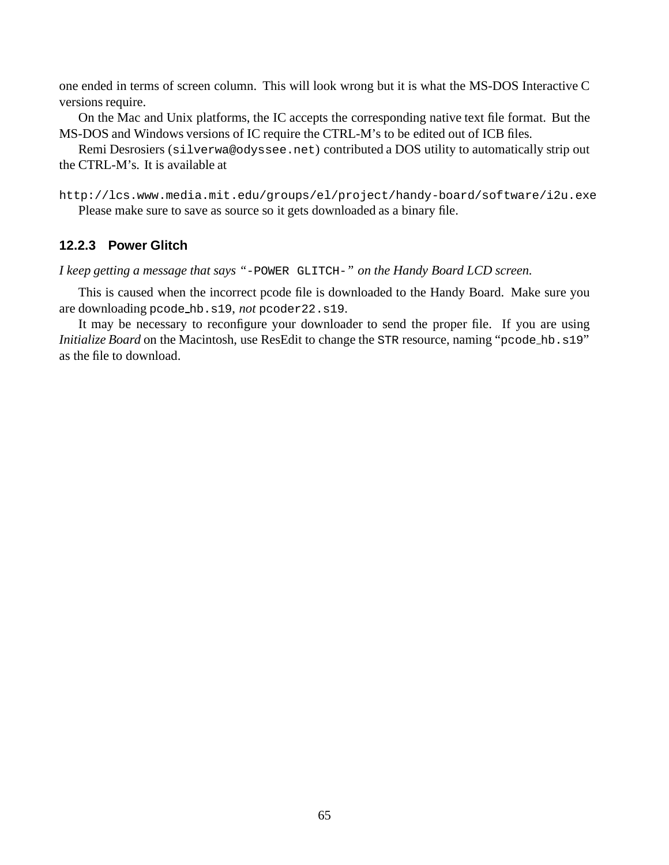one ended in terms of screen column. This will look wrong but it is what the MS-DOS Interactive C versions require.

On the Mac and Unix platforms, the IC accepts the corresponding native text file format. But the MS-DOS and Windows versions of IC require the CTRL-M's to be edited out of ICB files.

Remi Desrosiers (silverwa@odyssee.net) contributed a DOS utility to automatically strip out the CTRL-M's. It is available at

http://lcs.www.media.mit.edu/groups/el/project/handy-board/software/i2u.exe Please make sure to save as source so it gets downloaded as a binary file.

#### **12.2.3 Power Glitch**

*I keep getting a message that says "*-POWER GLITCH-*" on the Handy Board LCD screen.*

This is caused when the incorrect pcode file is downloaded to the Handy Board. Make sure you are downloading pcode hb.s19, *not* pcoder22.s19.

It may be necessary to reconfigure your downloader to send the proper file. If you are using *Initialize Board* on the Macintosh, use ResEdit to change the STR resource, naming "pcode\_hb.s19" as the file to download.